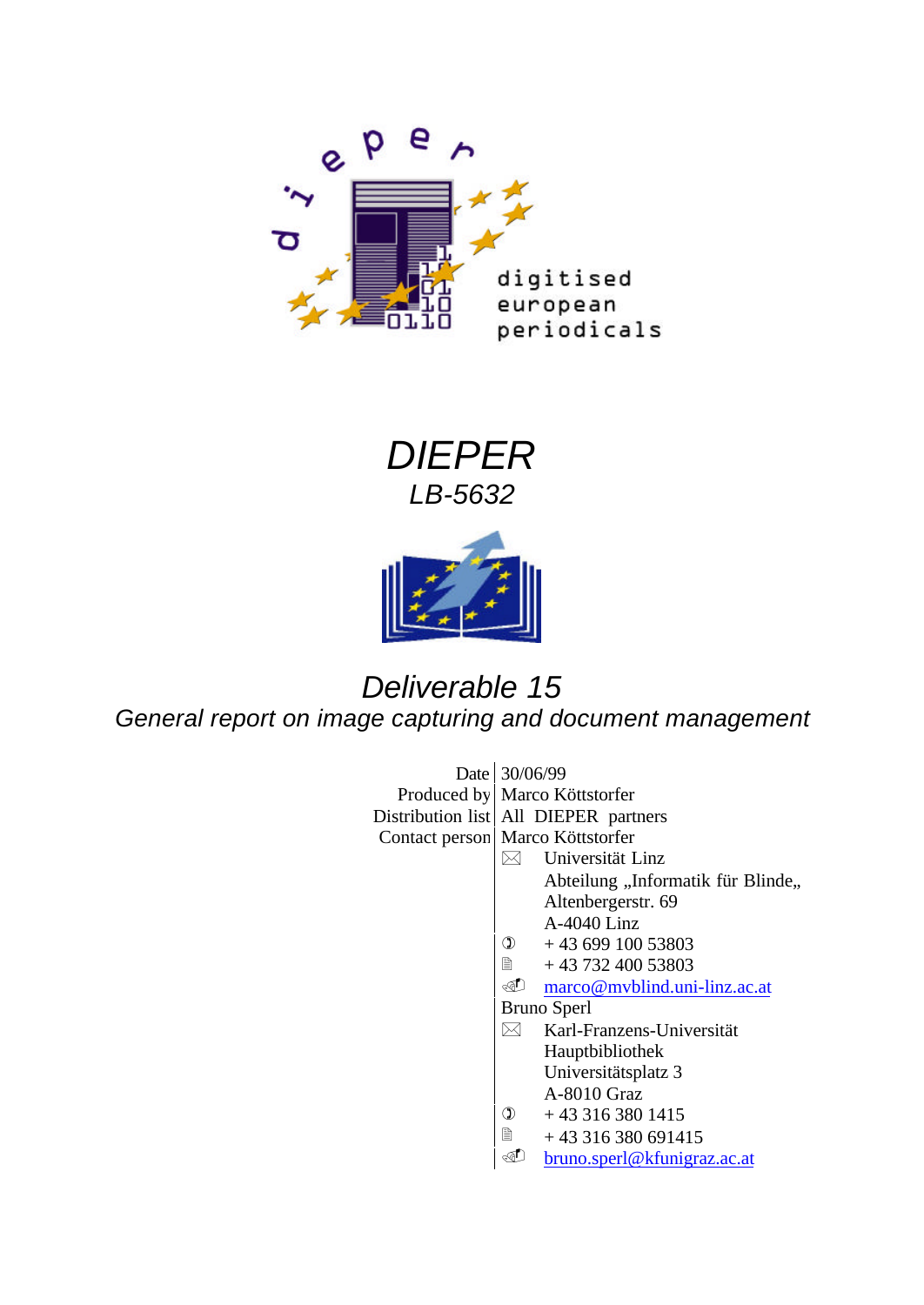





# *Deliverable 15*

*General report on image capturing and document management*

| Date 30/06/99 |                                    |                                                 |  |
|---------------|------------------------------------|-------------------------------------------------|--|
|               |                                    | Produced by Marco Köttstorfer                   |  |
|               |                                    | Distribution list   All DIEPER partners         |  |
|               | Contact person   Marco Köttstorfer |                                                 |  |
|               |                                    | Universität Linz                                |  |
|               |                                    | Abteilung "Informatik für Blinde,,              |  |
|               |                                    | Altenbergerstr. 69                              |  |
|               |                                    | A-4040 Linz                                     |  |
|               |                                    | $\Phi$ +43 699 100 53803                        |  |
|               |                                    | ■ +43 732 400 53803                             |  |
|               |                                    | <u><sup> marco@mvblind.uni-linz.ac.at</sup></u> |  |
|               |                                    | <b>Bruno Sperl</b>                              |  |
|               |                                    | Karl-Franzens-Universität                       |  |
|               |                                    | Hauptbibliothek                                 |  |
|               |                                    | Universitätsplatz 3                             |  |
|               |                                    | A-8010 Graz                                     |  |
|               | $\circled{1}$                      | $+433163801415$                                 |  |
|               |                                    | +43 316 380 691415                              |  |
|               |                                    | bruno.sperl@kfunigraz.ac.at                     |  |
|               |                                    |                                                 |  |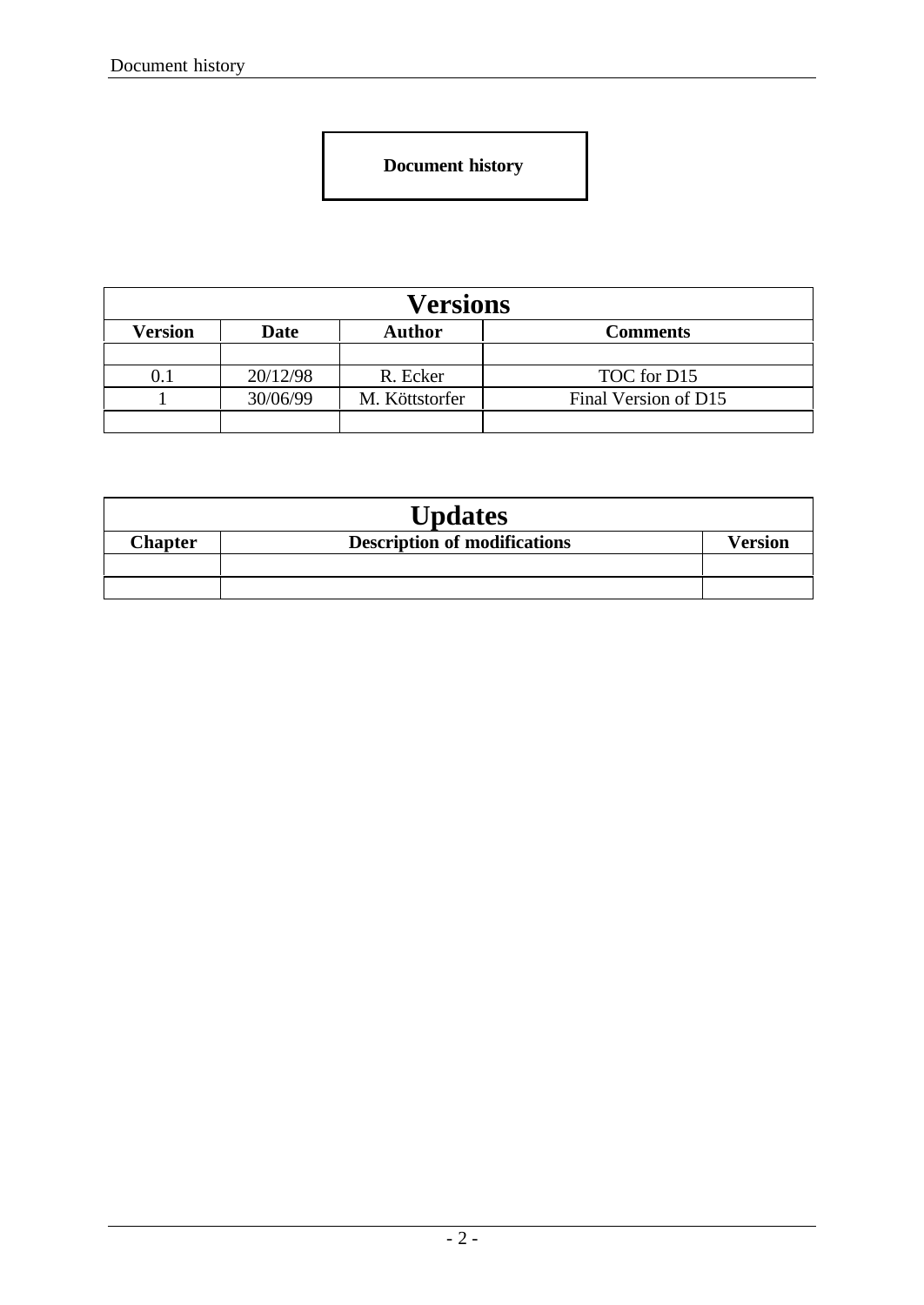**Document history**

| <b>Versions</b>                                            |          |                |                      |
|------------------------------------------------------------|----------|----------------|----------------------|
| Version<br><b>Author</b><br><b>Date</b><br><b>Comments</b> |          |                |                      |
|                                                            |          |                |                      |
|                                                            | 20/12/98 | R. Ecker       | TOC for D15          |
|                                                            | 30/06/99 | M. Köttstorfer | Final Version of D15 |
|                                                            |          |                |                      |

| <b>Updates</b> |                                     |         |  |
|----------------|-------------------------------------|---------|--|
| <b>Chapter</b> | <b>Description of modifications</b> | Version |  |
|                |                                     |         |  |
|                |                                     |         |  |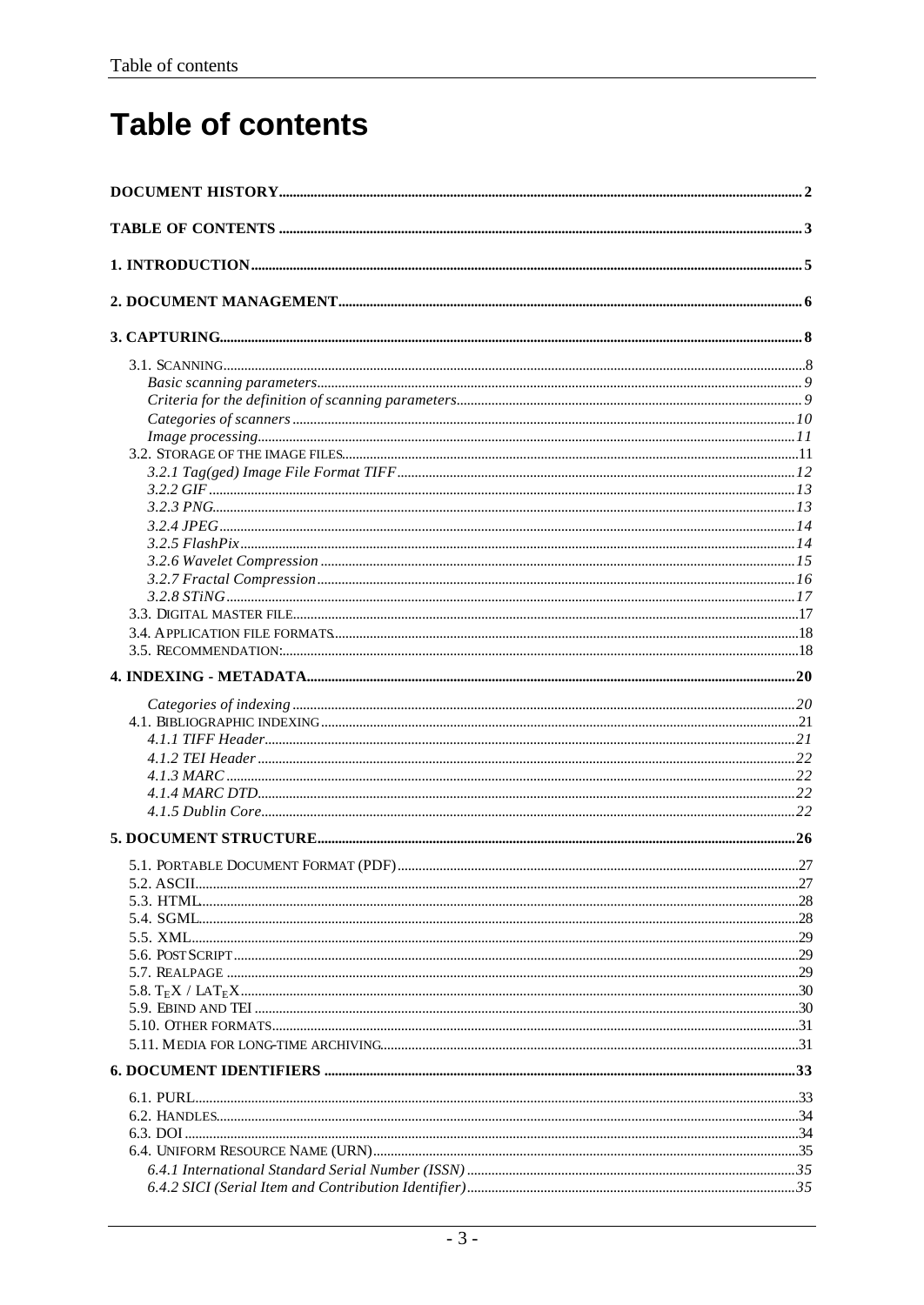# **Table of contents**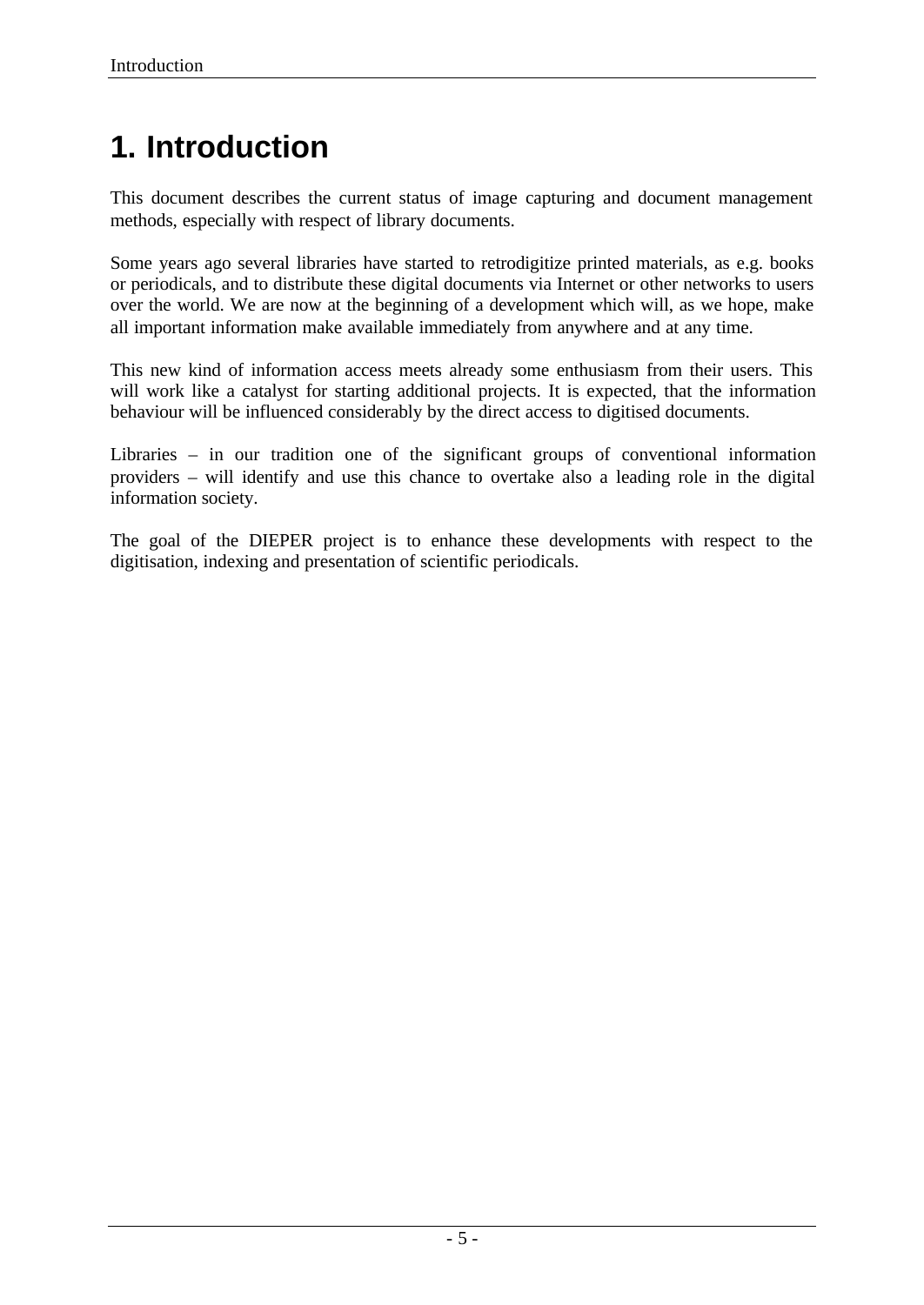# **1. Introduction**

This document describes the current status of image capturing and document management methods, especially with respect of library documents.

Some years ago several libraries have started to retrodigitize printed materials, as e.g. books or periodicals, and to distribute these digital documents via Internet or other networks to users over the world. We are now at the beginning of a development which will, as we hope, make all important information make available immediately from anywhere and at any time.

This new kind of information access meets already some enthusiasm from their users. This will work like a catalyst for starting additional projects. It is expected, that the information behaviour will be influenced considerably by the direct access to digitised documents.

Libraries – in our tradition one of the significant groups of conventional information providers – will identify and use this chance to overtake also a leading role in the digital information society.

The goal of the DIEPER project is to enhance these developments with respect to the digitisation, indexing and presentation of scientific periodicals.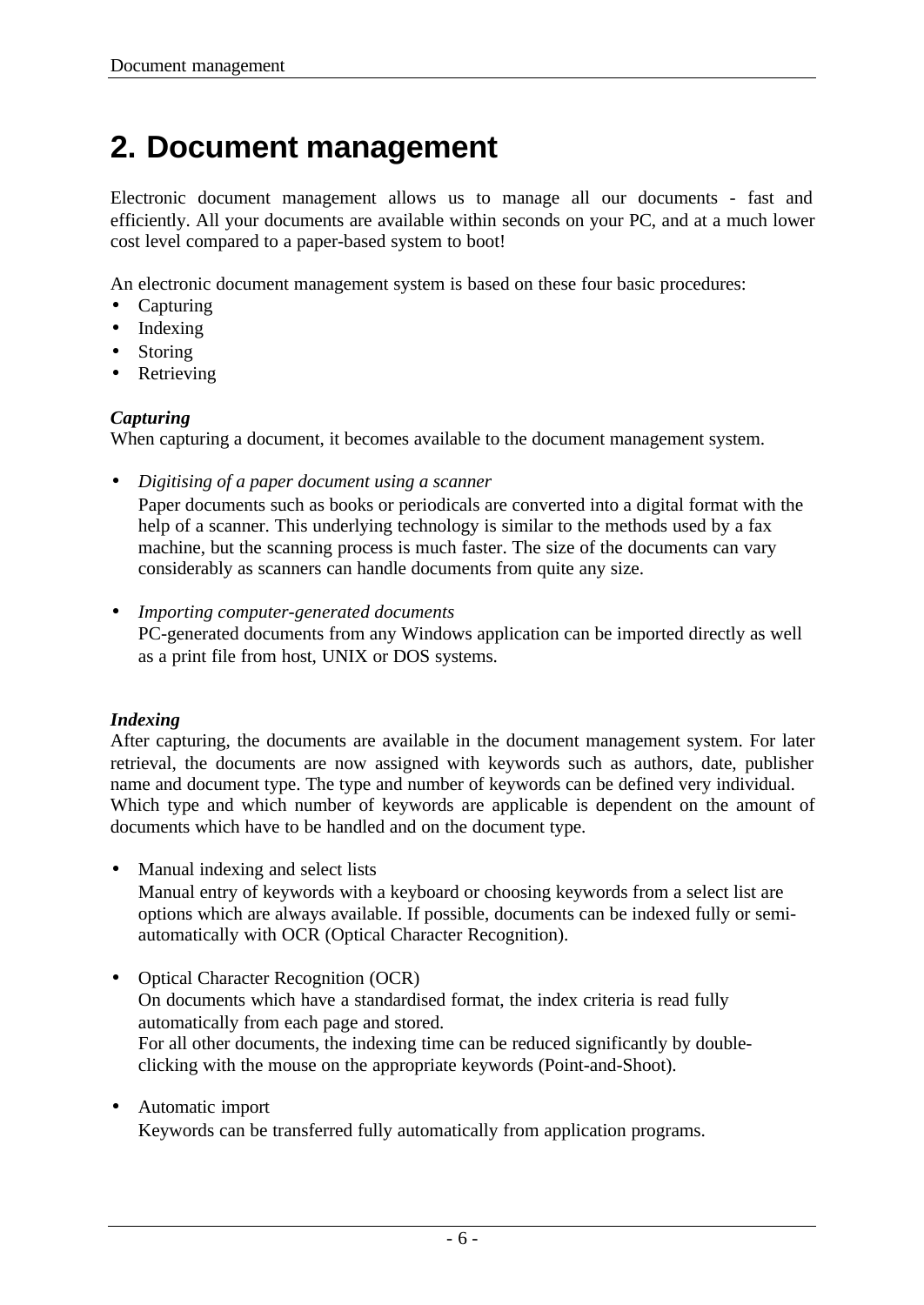# **2. Document management**

Electronic document management allows us to manage all our documents - fast and efficiently. All your documents are available within seconds on your PC, and at a much lower cost level compared to a paper-based system to boot!

An electronic document management system is based on these four basic procedures:

- Capturing
- Indexing
- Storing
- Retrieving

### *Capturing*

When capturing a document, it becomes available to the document management system.

- *Digitising of a paper document using a scanner* Paper documents such as books or periodicals are converted into a digital format with the help of a scanner. This underlying technology is similar to the methods used by a fax machine, but the scanning process is much faster. The size of the documents can vary considerably as scanners can handle documents from quite any size.
- *Importing computer-generated documents* PC-generated documents from any Windows application can be imported directly as well as a print file from host, UNIX or DOS systems.

## *Indexing*

After capturing, the documents are available in the document management system. For later retrieval, the documents are now assigned with keywords such as authors, date, publisher name and document type. The type and number of keywords can be defined very individual. Which type and which number of keywords are applicable is dependent on the amount of documents which have to be handled and on the document type.

• Manual indexing and select lists

Manual entry of keywords with a keyboard or choosing keywords from a select list are options which are always available. If possible, documents can be indexed fully or semiautomatically with OCR (Optical Character Recognition).

- Optical Character Recognition (OCR) On documents which have a standardised format, the index criteria is read fully automatically from each page and stored. For all other documents, the indexing time can be reduced significantly by doubleclicking with the mouse on the appropriate keywords (Point-and-Shoot).
- Automatic import

Keywords can be transferred fully automatically from application programs.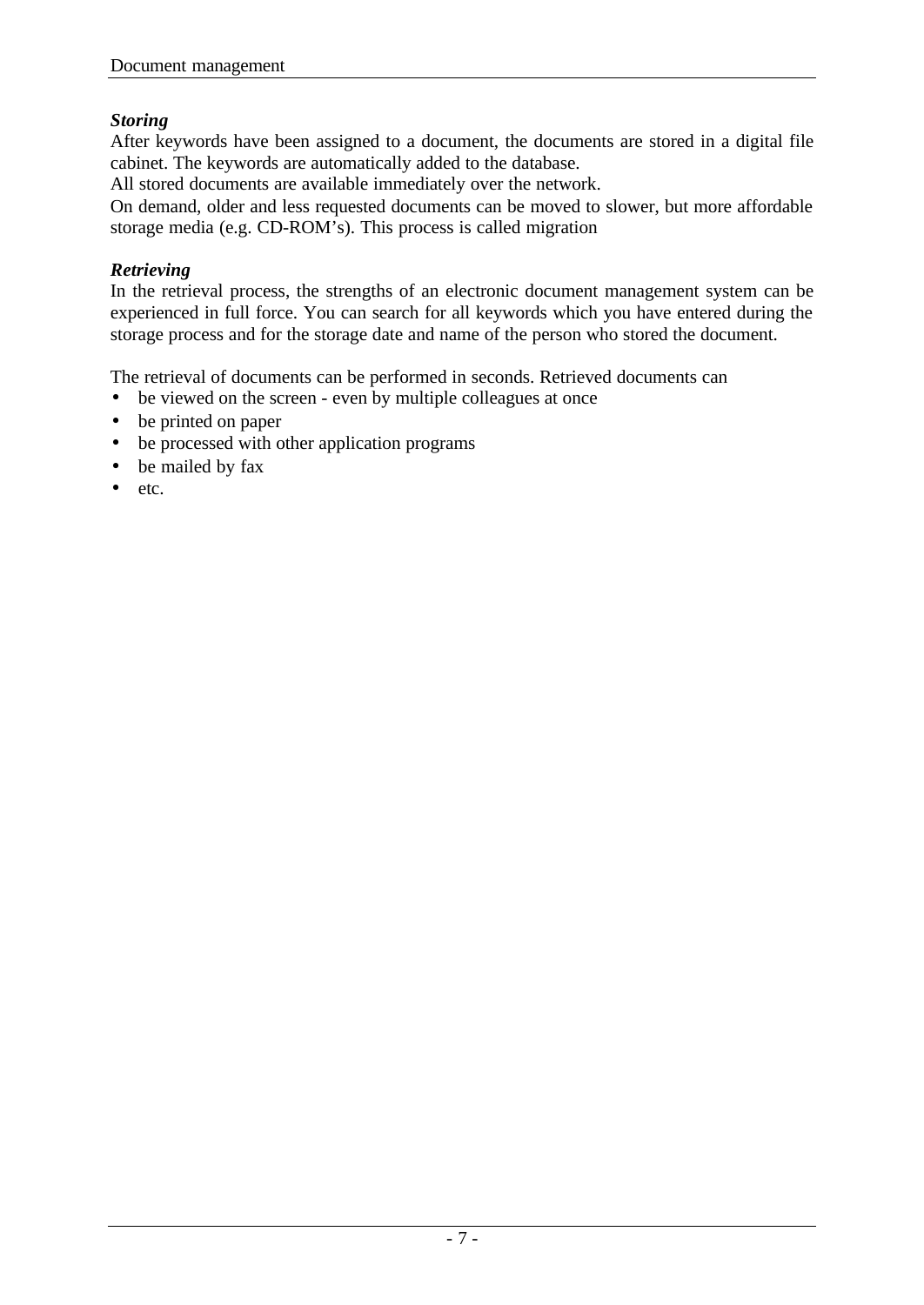## *Storing*

After keywords have been assigned to a document, the documents are stored in a digital file cabinet. The keywords are automatically added to the database.

All stored documents are available immediately over the network.

On demand, older and less requested documents can be moved to slower, but more affordable storage media (e.g. CD-ROM's). This process is called migration

## *Retrieving*

In the retrieval process, the strengths of an electronic document management system can be experienced in full force. You can search for all keywords which you have entered during the storage process and for the storage date and name of the person who stored the document.

The retrieval of documents can be performed in seconds. Retrieved documents can

- be viewed on the screen even by multiple colleagues at once
- be printed on paper
- be processed with other application programs
- be mailed by fax
- etc.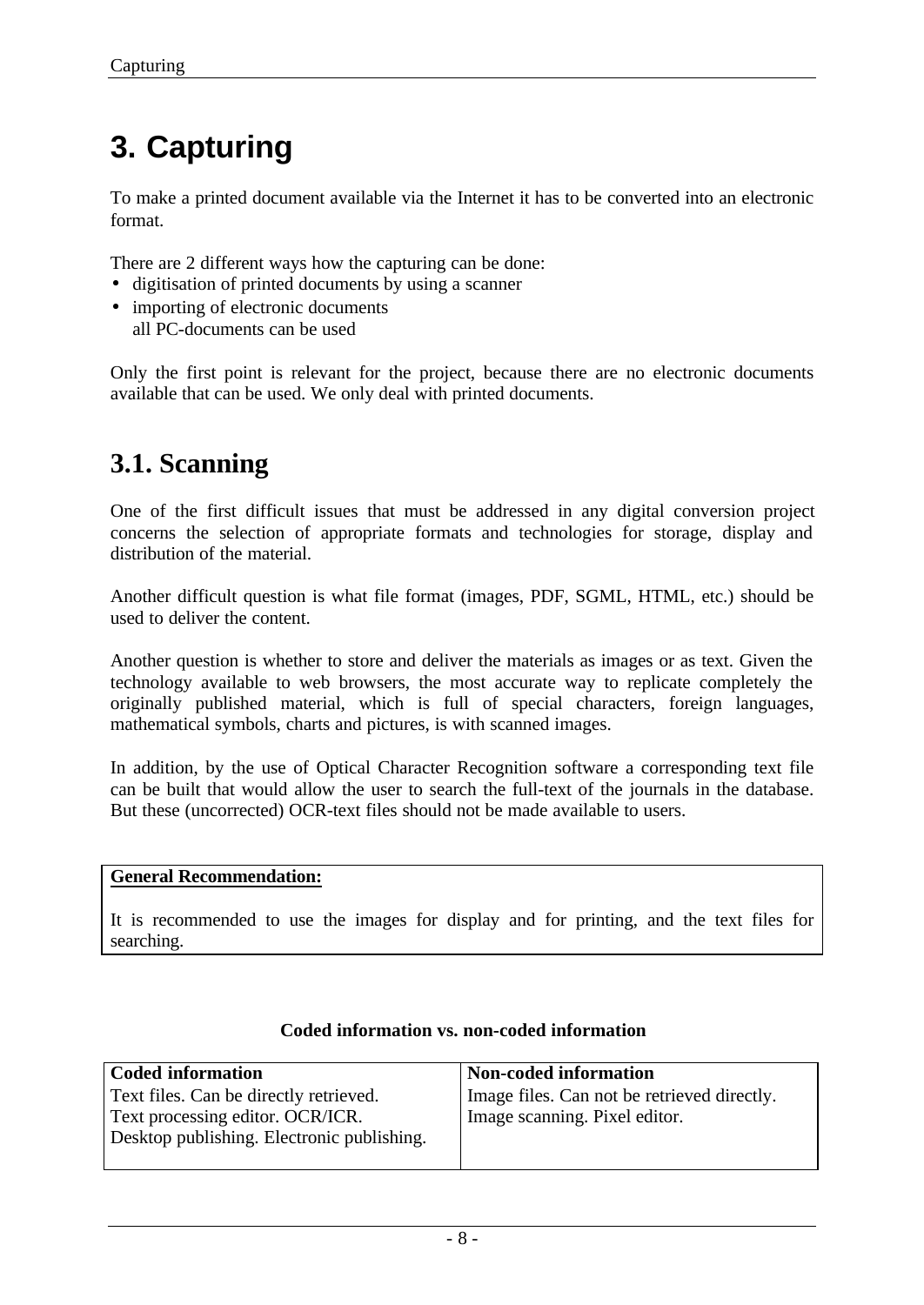# **3. Capturing**

To make a printed document available via the Internet it has to be converted into an electronic format.

There are 2 different ways how the capturing can be done:

- digitisation of printed documents by using a scanner
- importing of electronic documents all PC-documents can be used

Only the first point is relevant for the project, because there are no electronic documents available that can be used. We only deal with printed documents.

## **3.1. Scanning**

One of the first difficult issues that must be addressed in any digital conversion project concerns the selection of appropriate formats and technologies for storage, display and distribution of the material.

Another difficult question is what file format (images, PDF, SGML, HTML, etc.) should be used to deliver the content.

Another question is whether to store and deliver the materials as images or as text. Given the technology available to web browsers, the most accurate way to replicate completely the originally published material, which is full of special characters, foreign languages, mathematical symbols, charts and pictures, is with scanned images.

In addition, by the use of Optical Character Recognition software a corresponding text file can be built that would allow the user to search the full-text of the journals in the database. But these (uncorrected) OCR-text files should not be made available to users.

### **General Recommendation:**

It is recommended to use the images for display and for printing, and the text files for searching.

| <b>Coded information</b>                   | Non-coded information                       |
|--------------------------------------------|---------------------------------------------|
| Text files. Can be directly retrieved.     | Image files. Can not be retrieved directly. |
| Text processing editor. OCR/ICR.           | Image scanning. Pixel editor.               |
| Desktop publishing. Electronic publishing. |                                             |
|                                            |                                             |

## **Coded information vs. non-coded information**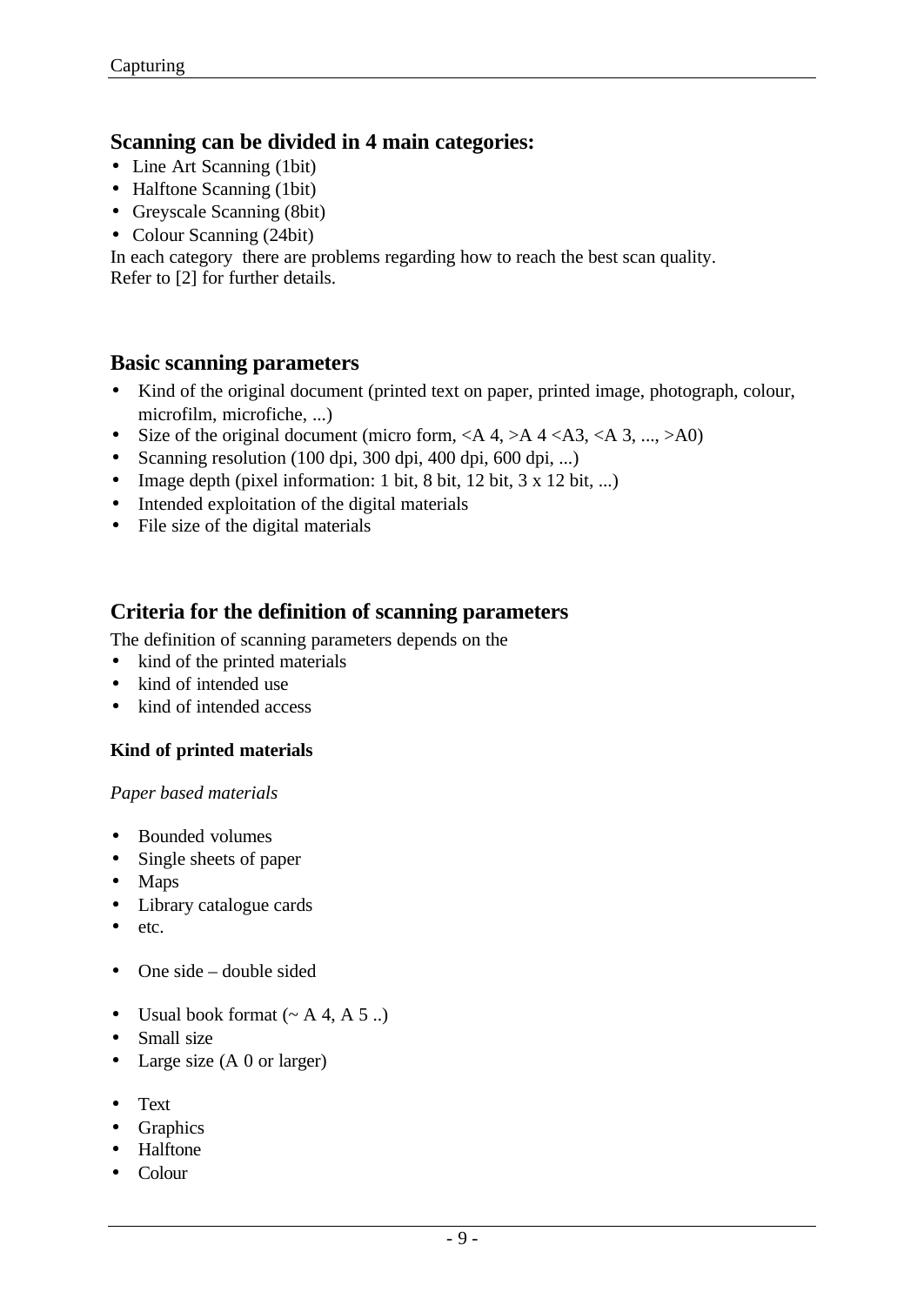## **Scanning can be divided in 4 main categories:**

- Line Art Scanning (1bit)
- Halftone Scanning (1bit)
- Greyscale Scanning (8bit)
- Colour Scanning (24bit)

In each category there are problems regarding how to reach the best scan quality. Refer to [2] for further details.

## **Basic scanning parameters**

- Kind of the original document (printed text on paper, printed image, photograph, colour, microfilm, microfiche, ...)
- Size of the original document (micro form, <A 4, >A 4 <A3, <A 3, ..., >A0)
- Scanning resolution (100 dpi, 300 dpi, 400 dpi, 600 dpi, ...)
- Image depth (pixel information: 1 bit, 8 bit, 12 bit, 3 x 12 bit, ...)
- Intended exploitation of the digital materials
- File size of the digital materials

## **Criteria for the definition of scanning parameters**

The definition of scanning parameters depends on the

- kind of the printed materials
- kind of intended use
- kind of intended access

## **Kind of printed materials**

### *Paper based materials*

- Bounded volumes
- Single sheets of paper
- Maps
- Library catalogue cards
- etc.
- One side double sided
- Usual book format  $(~ A 4, A 5 ...)$
- Small size
- Large size (A 0 or larger)
- Text
- Graphics
- Halftone
- Colour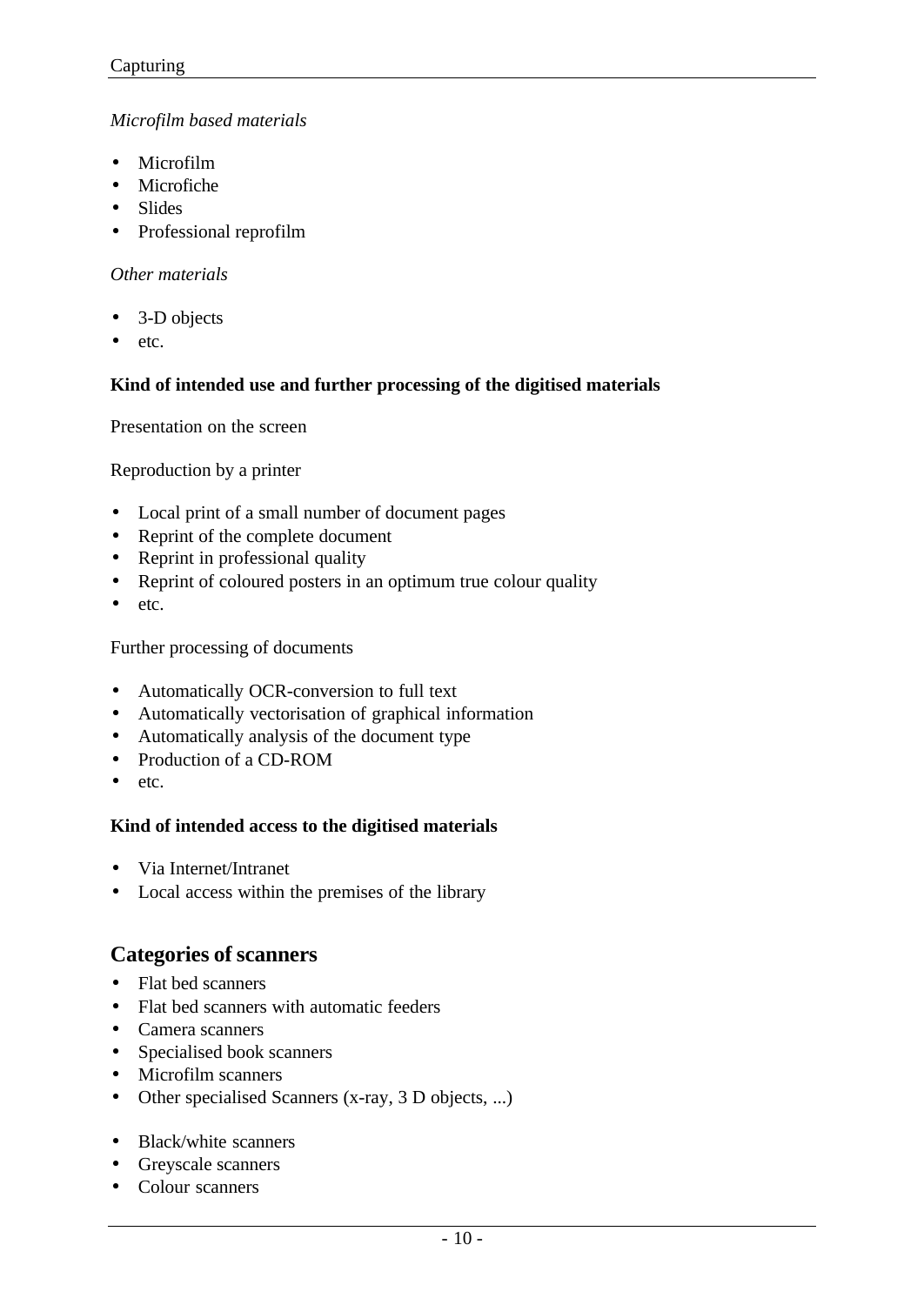### *Microfilm based materials*

- Microfilm
- Microfiche
- Slides
- Professional reprofilm

### *Other materials*

- 3-D objects
- etc.

### **Kind of intended use and further processing of the digitised materials**

Presentation on the screen

Reproduction by a printer

- Local print of a small number of document pages
- Reprint of the complete document
- Reprint in professional quality
- Reprint of coloured posters in an optimum true colour quality
- etc.

Further processing of documents

- Automatically OCR-conversion to full text
- Automatically vectorisation of graphical information
- Automatically analysis of the document type
- Production of a CD-ROM
- etc.

### **Kind of intended access to the digitised materials**

- Via Internet/Intranet
- Local access within the premises of the library

## **Categories of scanners**

- Flat bed scanners
- Flat bed scanners with automatic feeders
- Camera scanners
- Specialised book scanners
- Microfilm scanners
- Other specialised Scanners (x-ray, 3 D objects, ...)
- Black/white scanners
- Greyscale scanners
- Colour scanners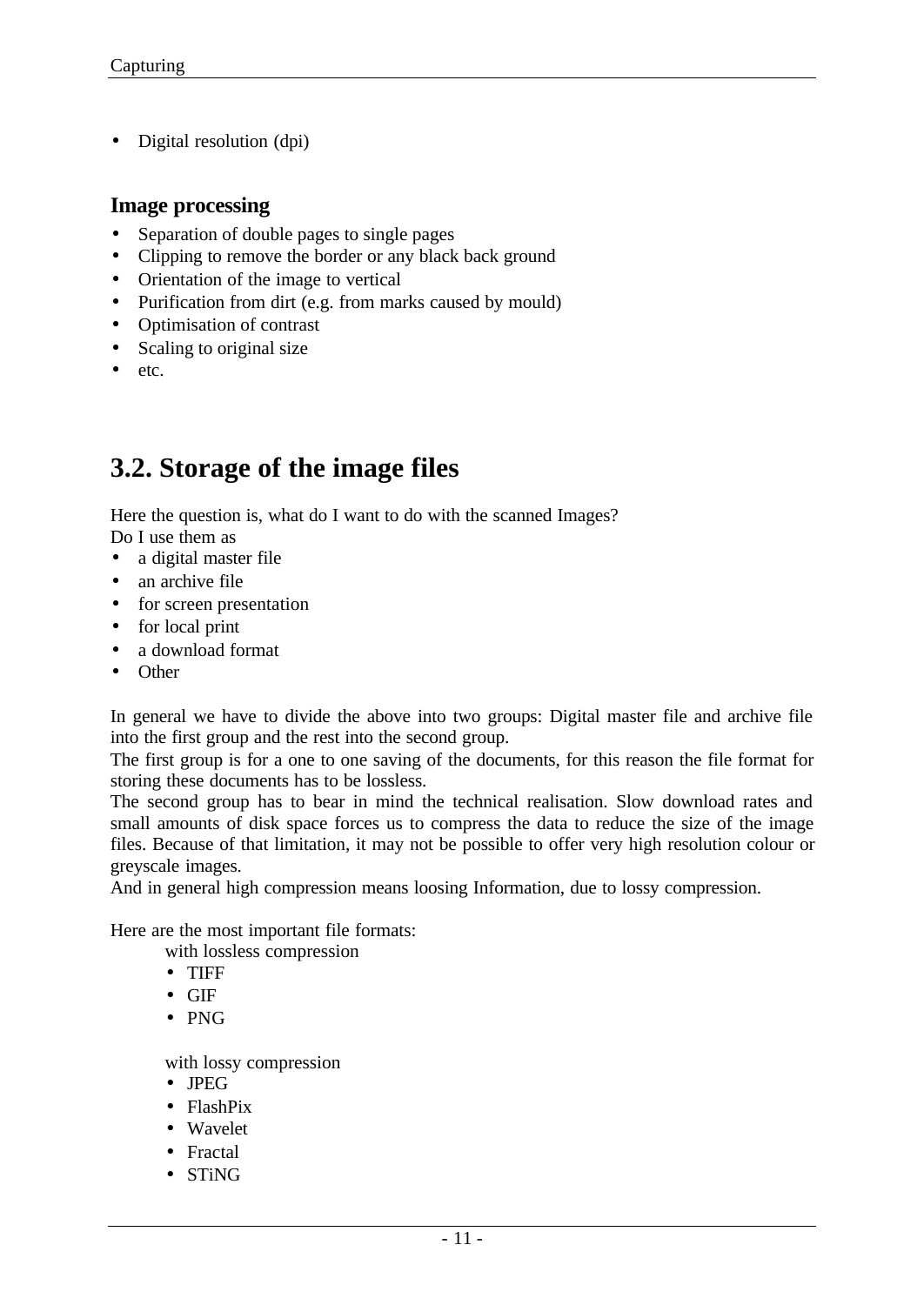• Digital resolution (dpi)

## **Image processing**

- Separation of double pages to single pages
- Clipping to remove the border or any black back ground
- Orientation of the image to vertical
- Purification from dirt (e.g. from marks caused by mould)
- Optimisation of contrast
- Scaling to original size
- etc.

## **3.2. Storage of the image files**

Here the question is, what do I want to do with the scanned Images? Do I use them as

- a digital master file
- an archive file
- for screen presentation
- for local print
- a download format
- Other

In general we have to divide the above into two groups: Digital master file and archive file into the first group and the rest into the second group.

The first group is for a one to one saving of the documents, for this reason the file format for storing these documents has to be lossless.

The second group has to bear in mind the technical realisation. Slow download rates and small amounts of disk space forces us to compress the data to reduce the size of the image files. Because of that limitation, it may not be possible to offer very high resolution colour or greyscale images.

And in general high compression means loosing Information, due to lossy compression.

Here are the most important file formats:

with lossless compression

- TIFF
- GIF
- PNG

with lossy compression

- JPEG
- FlashPix
- Wavelet
- Fractal
- STiNG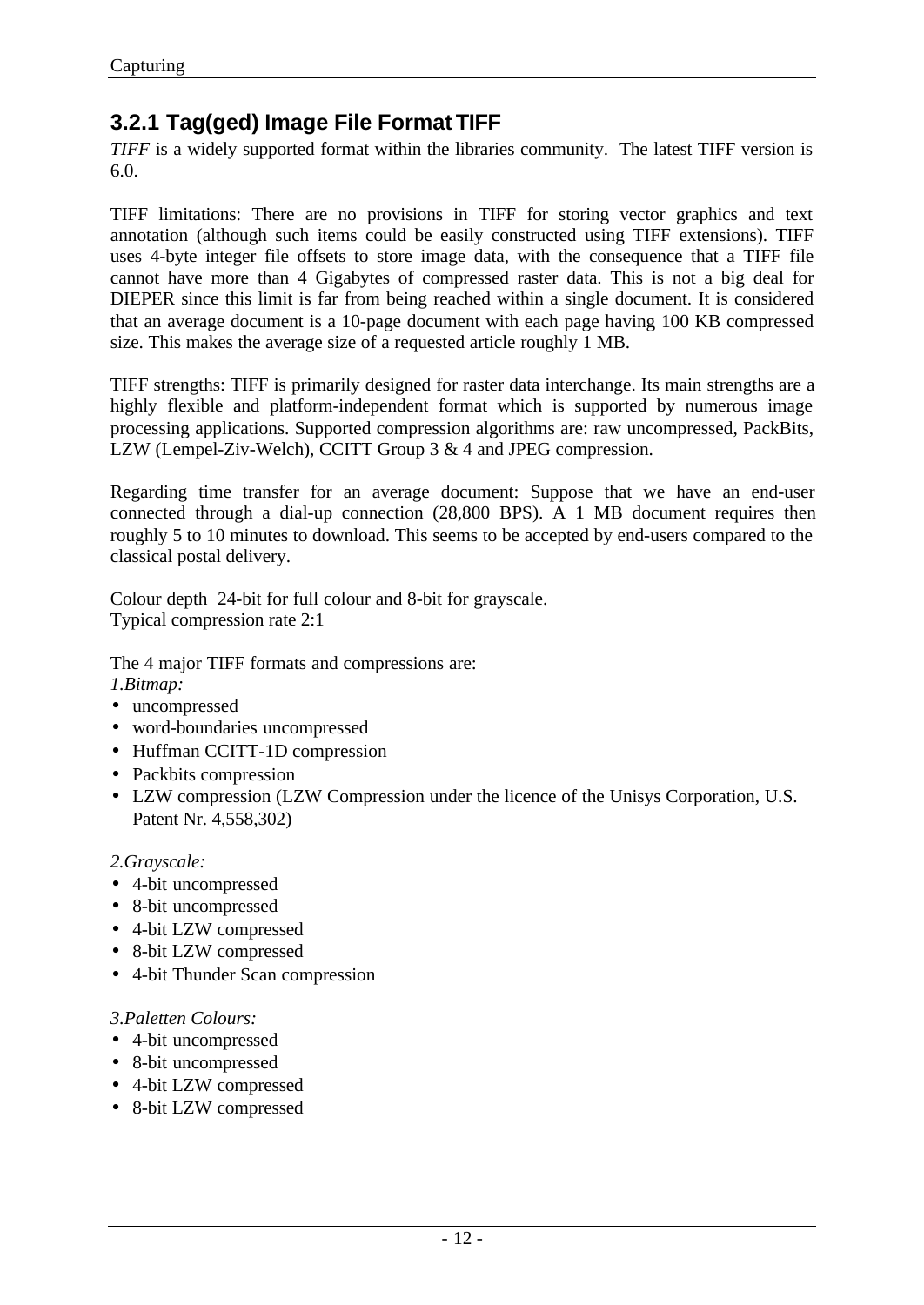## **3.2.1 Tag(ged) Image File Format TIFF**

*TIFF* is a widely supported format within the libraries community. The latest TIFF version is 6.0.

TIFF limitations: There are no provisions in TIFF for storing vector graphics and text annotation (although such items could be easily constructed using TIFF extensions). TIFF uses 4-byte integer file offsets to store image data, with the consequence that a TIFF file cannot have more than 4 Gigabytes of compressed raster data. This is not a big deal for DIEPER since this limit is far from being reached within a single document. It is considered that an average document is a 10-page document with each page having 100 KB compressed size. This makes the average size of a requested article roughly 1 MB.

TIFF strengths: TIFF is primarily designed for raster data interchange. Its main strengths are a highly flexible and platform-independent format which is supported by numerous image processing applications. Supported compression algorithms are: raw uncompressed, PackBits, LZW (Lempel-Ziv-Welch), CCITT Group 3 & 4 and JPEG compression.

Regarding time transfer for an average document: Suppose that we have an end-user connected through a dial-up connection (28,800 BPS). A 1 MB document requires then roughly 5 to 10 minutes to download. This seems to be accepted by end-users compared to the classical postal delivery.

Colour depth 24-bit for full colour and 8-bit for grayscale. Typical compression rate 2:1

The 4 major TIFF formats and compressions are: *1.Bitmap:*

- uncompressed
- word-boundaries uncompressed
- Huffman CCITT-1D compression
- Packbits compression
- LZW compression (LZW Compression under the licence of the Unisys Corporation, U.S. Patent Nr. 4,558,302)

### *2.Grayscale:*

- 4-bit uncompressed
- 8-bit uncompressed
- 4-bit LZW compressed
- 8-bit LZW compressed
- 4-bit Thunder Scan compression

#### *3.Paletten Colours:*

- 4-bit uncompressed
- 8-bit uncompressed
- 4-bit LZW compressed
- 8-bit LZW compressed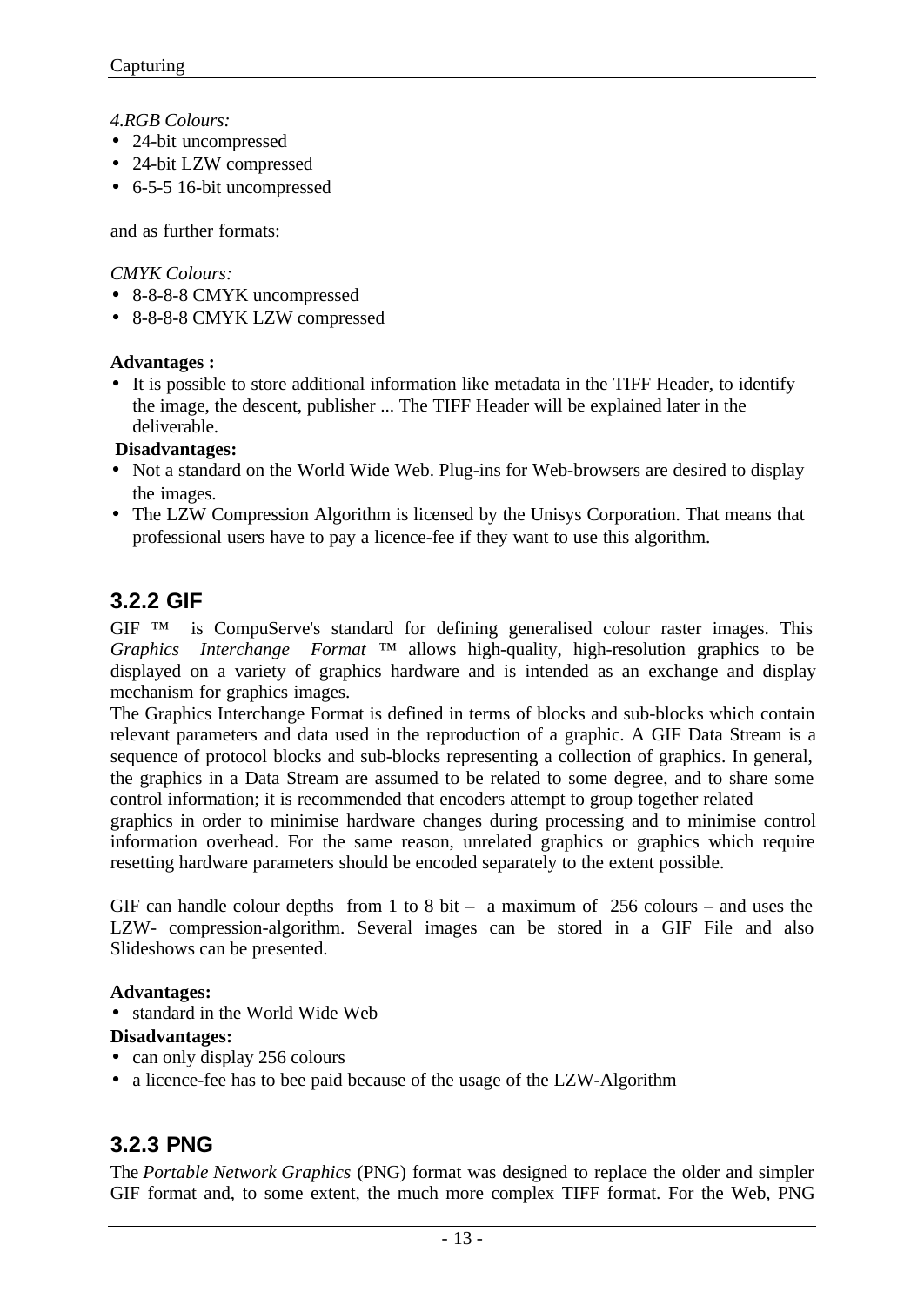*4.RGB Colours:*

- 24-bit uncompressed
- 24-bit LZW compressed
- 6-5-5 16-bit uncompressed

and as further formats:

*CMYK Colours:*

- 8-8-8-8 CMYK uncompressed
- 8-8-8-8 CMYK LZW compressed

## **Advantages :**

• It is possible to store additional information like metadata in the TIFF Header, to identify the image, the descent, publisher ... The TIFF Header will be explained later in the deliverable.

### **Disadvantages:**

- Not a standard on the World Wide Web. Plug-ins for Web-browsers are desired to display the images.
- The LZW Compression Algorithm is licensed by the Unisys Corporation. That means that professional users have to pay a licence-fee if they want to use this algorithm.

## **3.2.2 GIF**

GIF ™ is CompuServe's standard for defining generalised colour raster images. This *Graphics Interchange Format* ™ allows high-quality, high-resolution graphics to be displayed on a variety of graphics hardware and is intended as an exchange and display mechanism for graphics images.

The Graphics Interchange Format is defined in terms of blocks and sub-blocks which contain relevant parameters and data used in the reproduction of a graphic. A GIF Data Stream is a sequence of protocol blocks and sub-blocks representing a collection of graphics. In general, the graphics in a Data Stream are assumed to be related to some degree, and to share some control information; it is recommended that encoders attempt to group together related

graphics in order to minimise hardware changes during processing and to minimise control information overhead. For the same reason, unrelated graphics or graphics which require resetting hardware parameters should be encoded separately to the extent possible.

GIF can handle colour depths from 1 to 8 bit – a maximum of  $256$  colours – and uses the LZW- compression-algorithm. Several images can be stored in a GIF File and also Slideshows can be presented.

## **Advantages:**

• standard in the World Wide Web

## **Disadvantages:**

- can only display 256 colours
- a licence-fee has to bee paid because of the usage of the LZW-Algorithm

## **3.2.3 PNG**

The *Portable Network Graphics* (PNG) format was designed to replace the older and simpler GIF format and, to some extent, the much more complex TIFF format. For the Web, PNG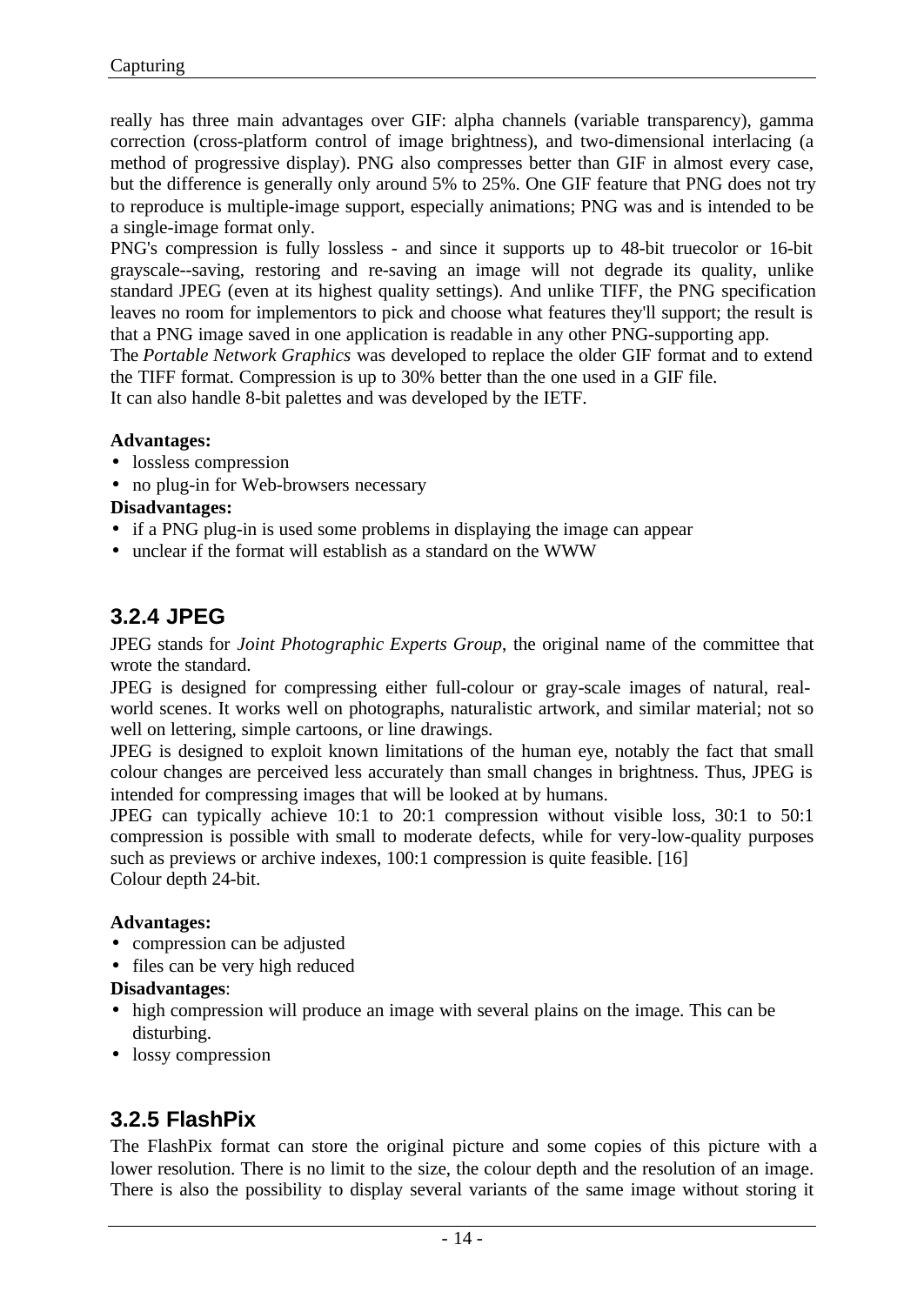really has three main advantages over GIF: alpha channels (variable transparency), gamma correction (cross-platform control of image brightness), and two-dimensional interlacing (a method of progressive display). PNG also compresses better than GIF in almost every case, but the difference is generally only around 5% to 25%. One GIF feature that PNG does not try to reproduce is multiple-image support, especially animations; PNG was and is intended to be a single-image format only.

PNG's compression is fully lossless - and since it supports up to 48-bit truecolor or 16-bit grayscale--saving, restoring and re-saving an image will not degrade its quality, unlike standard JPEG (even at its highest quality settings). And unlike TIFF, the PNG specification leaves no room for implementors to pick and choose what features they'll support; the result is that a PNG image saved in one application is readable in any other PNG-supporting app.

The *Portable Network Graphics* was developed to replace the older GIF format and to extend the TIFF format. Compression is up to 30% better than the one used in a GIF file.

It can also handle 8-bit palettes and was developed by the IETF.

#### **Advantages:**

- lossless compression
- no plug-in for Web-browsers necessary

### **Disadvantages:**

- if a PNG plug-in is used some problems in displaying the image can appear
- unclear if the format will establish as a standard on the WWW

## **3.2.4 JPEG**

JPEG stands for *Joint Photographic Experts Group*, the original name of the committee that wrote the standard.

JPEG is designed for compressing either full-colour or gray-scale images of natural, realworld scenes. It works well on photographs, naturalistic artwork, and similar material; not so well on lettering, simple cartoons, or line drawings.

JPEG is designed to exploit known limitations of the human eye, notably the fact that small colour changes are perceived less accurately than small changes in brightness. Thus, JPEG is intended for compressing images that will be looked at by humans.

JPEG can typically achieve 10:1 to 20:1 compression without visible loss, 30:1 to 50:1 compression is possible with small to moderate defects, while for very-low-quality purposes such as previews or archive indexes, 100:1 compression is quite feasible. [16] Colour depth 24-bit.

### **Advantages:**

- compression can be adjusted
- files can be very high reduced

### **Disadvantages**:

- high compression will produce an image with several plains on the image. This can be disturbing.
- lossy compression

## **3.2.5 FlashPix**

The FlashPix format can store the original picture and some copies of this picture with a lower resolution. There is no limit to the size, the colour depth and the resolution of an image. There is also the possibility to display several variants of the same image without storing it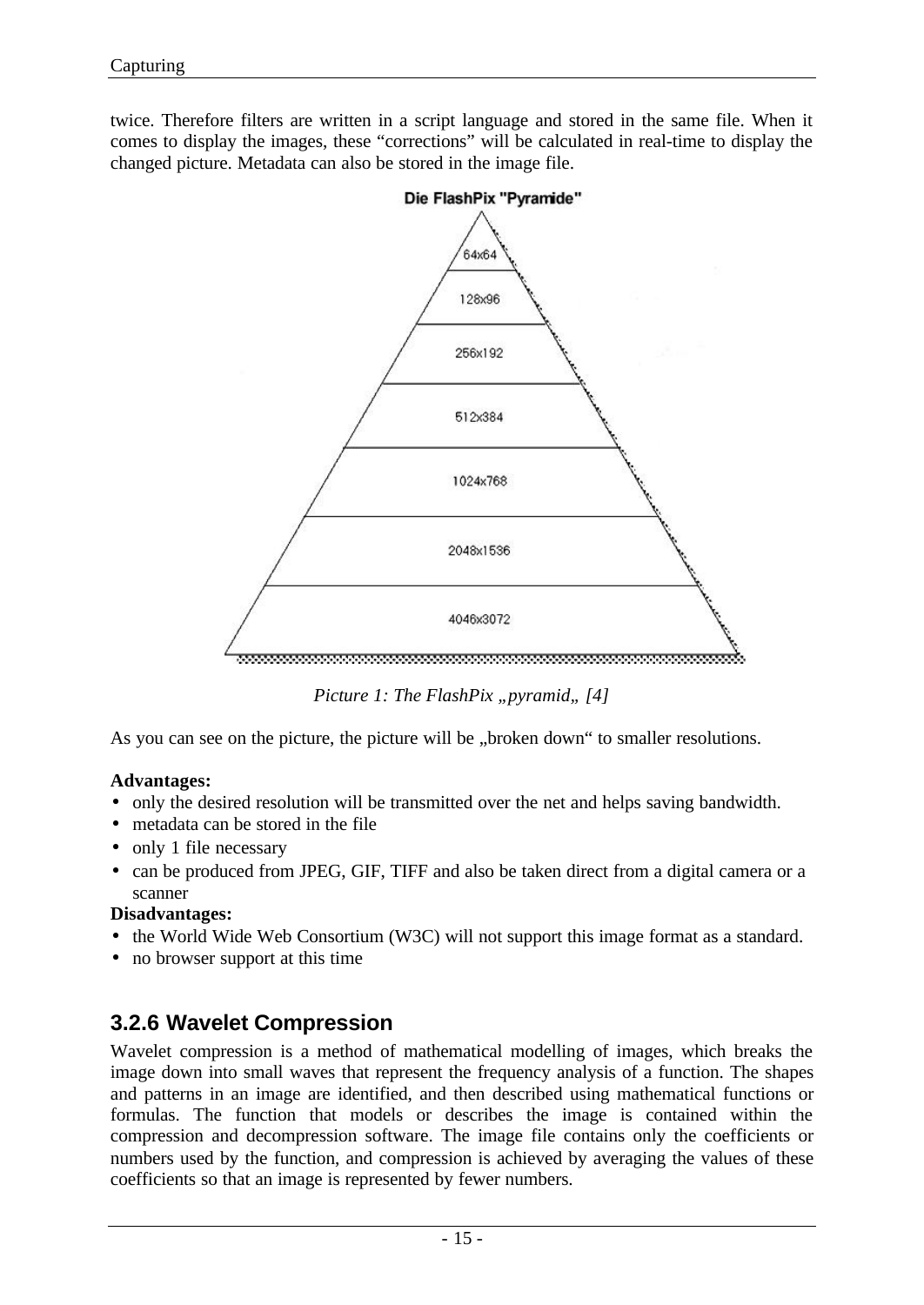twice. Therefore filters are written in a script language and stored in the same file. When it comes to display the images, these "corrections" will be calculated in real-time to display the changed picture. Metadata can also be stored in the image file.



*Picture 1: The FlashPix "pyramid*, [4]

As you can see on the picture, the picture will be "broken down" to smaller resolutions.

### **Advantages:**

- only the desired resolution will be transmitted over the net and helps saving bandwidth.
- metadata can be stored in the file
- only 1 file necessary
- can be produced from JPEG, GIF, TIFF and also be taken direct from a digital camera or a scanner

### **Disadvantages:**

- the World Wide Web Consortium (W3C) will not support this image format as a standard.
- no browser support at this time

## **3.2.6 Wavelet Compression**

Wavelet compression is a method of mathematical modelling of images, which breaks the image down into small waves that represent the frequency analysis of a function. The shapes and patterns in an image are identified, and then described using mathematical functions or formulas. The function that models or describes the image is contained within the compression and decompression software. The image file contains only the coefficients or numbers used by the function, and compression is achieved by averaging the values of these coefficients so that an image is represented by fewer numbers.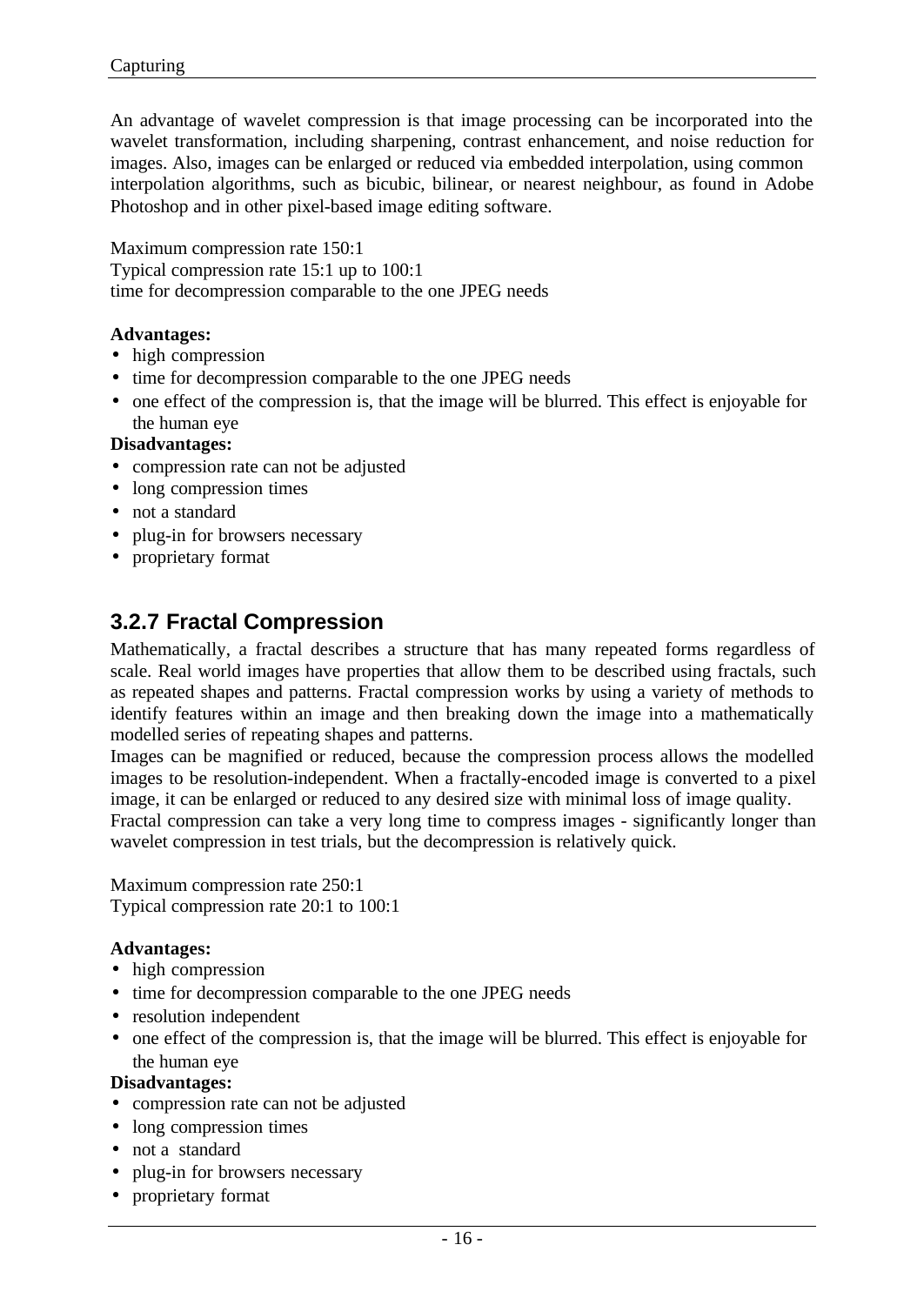An advantage of wavelet compression is that image processing can be incorporated into the wavelet transformation, including sharpening, contrast enhancement, and noise reduction for images. Also, images can be enlarged or reduced via embedded interpolation, using common interpolation algorithms, such as bicubic, bilinear, or nearest neighbour, as found in Adobe Photoshop and in other pixel-based image editing software.

Maximum compression rate 150:1 Typical compression rate 15:1 up to 100:1 time for decompression comparable to the one JPEG needs

#### **Advantages:**

- high compression
- time for decompression comparable to the one JPEG needs
- one effect of the compression is, that the image will be blurred. This effect is enjoyable for the human eye

#### **Disadvantages:**

- compression rate can not be adjusted
- long compression times
- not a standard
- plug-in for browsers necessary
- proprietary format

## **3.2.7 Fractal Compression**

Mathematically, a fractal describes a structure that has many repeated forms regardless of scale. Real world images have properties that allow them to be described using fractals, such as repeated shapes and patterns. Fractal compression works by using a variety of methods to identify features within an image and then breaking down the image into a mathematically modelled series of repeating shapes and patterns.

Images can be magnified or reduced, because the compression process allows the modelled images to be resolution-independent. When a fractally-encoded image is converted to a pixel image, it can be enlarged or reduced to any desired size with minimal loss of image quality.

Fractal compression can take a very long time to compress images - significantly longer than wavelet compression in test trials, but the decompression is relatively quick.

Maximum compression rate 250:1 Typical compression rate 20:1 to 100:1

#### **Advantages:**

- high compression
- time for decompression comparable to the one JPEG needs
- resolution independent
- one effect of the compression is, that the image will be blurred. This effect is enjoyable for the human eye

#### **Disadvantages:**

- compression rate can not be adjusted
- long compression times
- not a standard
- plug-in for browsers necessary
- proprietary format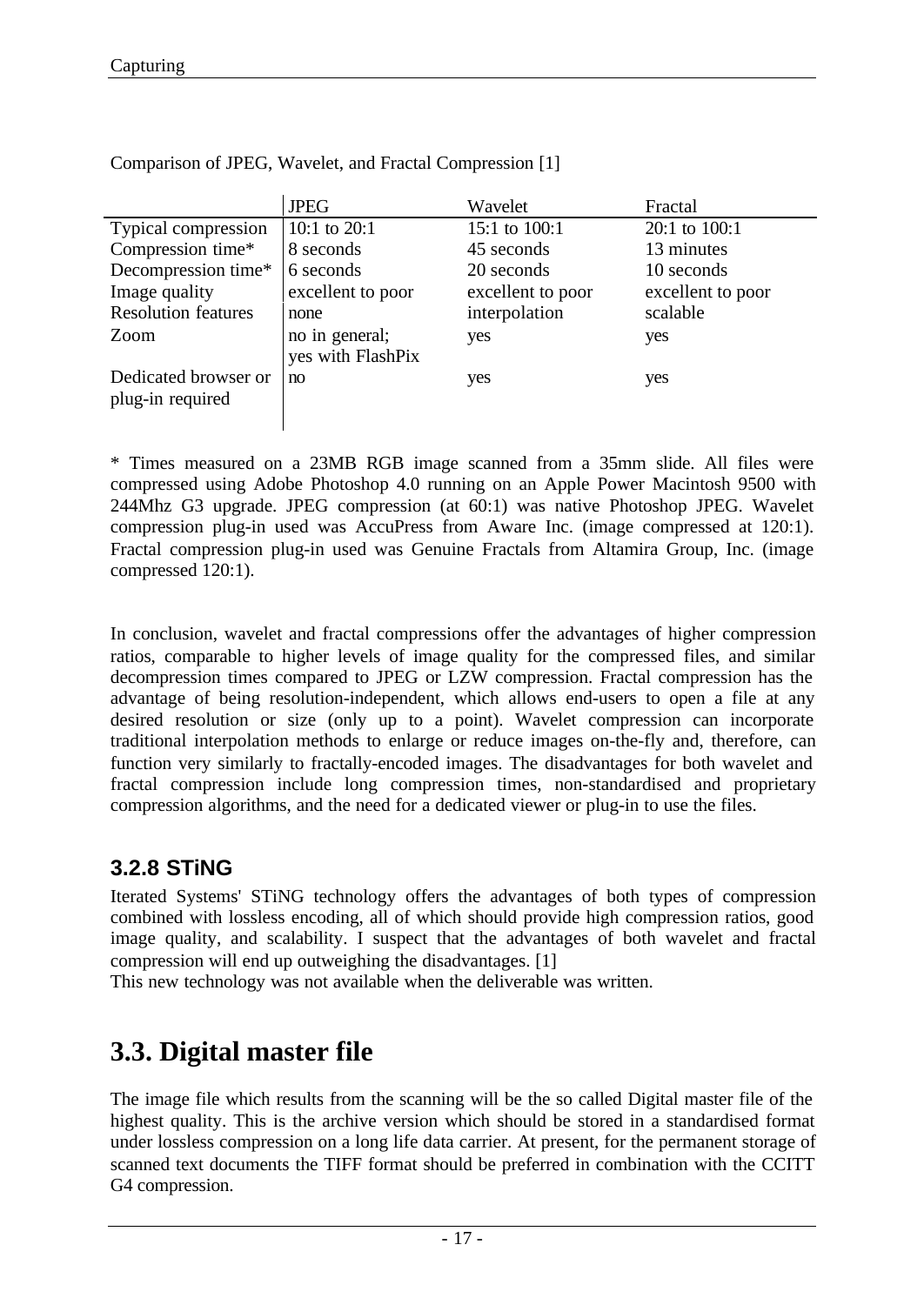|                                          | <b>JPEG</b>                         | Wavelet           | Fractal           |
|------------------------------------------|-------------------------------------|-------------------|-------------------|
| Typical compression                      | 10:1 to $20:1$                      | 15:1 to 100:1     | 20:1 to 100:1     |
| Compression time*                        | 8 seconds                           | 45 seconds        | 13 minutes        |
| Decompression time*                      | 6 seconds                           | 20 seconds        | 10 seconds        |
| Image quality                            | excellent to poor                   | excellent to poor | excellent to poor |
| <b>Resolution features</b>               | none                                | interpolation     | scalable          |
| Zoom                                     | no in general;<br>yes with FlashPix | yes               | yes               |
| Dedicated browser or<br>plug-in required | no                                  | yes               | yes               |

Comparison of JPEG, Wavelet, and Fractal Compression [1]

\* Times measured on a 23MB RGB image scanned from a 35mm slide. All files were compressed using Adobe Photoshop 4.0 running on an Apple Power Macintosh 9500 with 244Mhz G3 upgrade. JPEG compression (at 60:1) was native Photoshop JPEG. Wavelet compression plug-in used was AccuPress from Aware Inc. (image compressed at 120:1). Fractal compression plug-in used was Genuine Fractals from Altamira Group, Inc. (image compressed 120:1).

In conclusion, wavelet and fractal compressions offer the advantages of higher compression ratios, comparable to higher levels of image quality for the compressed files, and similar decompression times compared to JPEG or LZW compression. Fractal compression has the advantage of being resolution-independent, which allows end-users to open a file at any desired resolution or size (only up to a point). Wavelet compression can incorporate traditional interpolation methods to enlarge or reduce images on-the-fly and, therefore, can function very similarly to fractally-encoded images. The disadvantages for both wavelet and fractal compression include long compression times, non-standardised and proprietary compression algorithms, and the need for a dedicated viewer or plug-in to use the files.

## **3.2.8 STiNG**

Iterated Systems' STiNG technology offers the advantages of both types of compression combined with lossless encoding, all of which should provide high compression ratios, good image quality, and scalability. I suspect that the advantages of both wavelet and fractal compression will end up outweighing the disadvantages. [1]

This new technology was not available when the deliverable was written.

## **3.3. Digital master file**

The image file which results from the scanning will be the so called Digital master file of the highest quality. This is the archive version which should be stored in a standardised format under lossless compression on a long life data carrier. At present, for the permanent storage of scanned text documents the TIFF format should be preferred in combination with the CCITT G4 compression.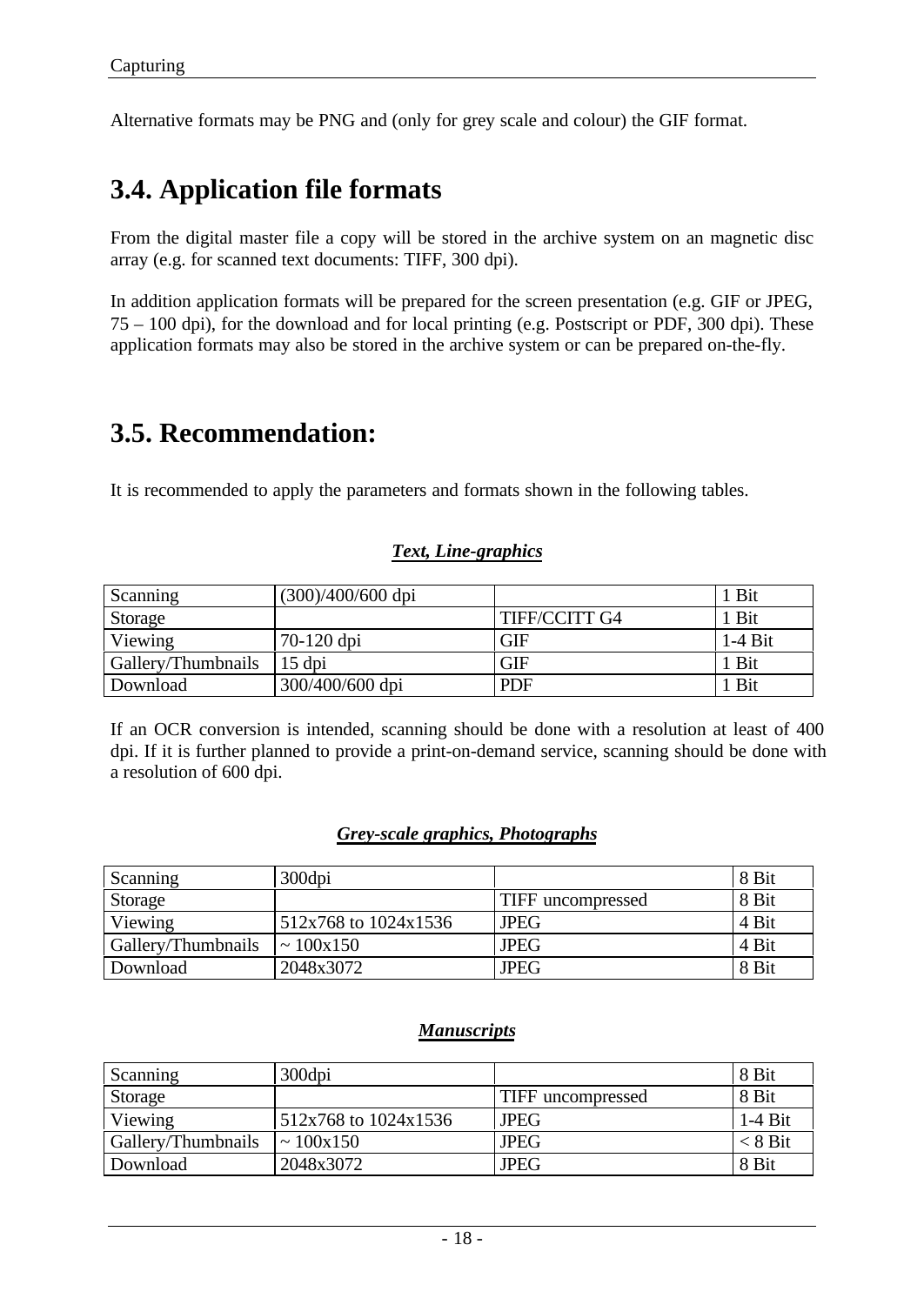Alternative formats may be PNG and (only for grey scale and colour) the GIF format.

## **3.4. Application file formats**

From the digital master file a copy will be stored in the archive system on an magnetic disc array (e.g. for scanned text documents: TIFF, 300 dpi).

In addition application formats will be prepared for the screen presentation (e.g. GIF or JPEG, 75 – 100 dpi), for the download and for local printing (e.g. Postscript or PDF, 300 dpi). These application formats may also be stored in the archive system or can be prepared on-the-fly.

## **3.5. Recommendation:**

It is recommended to apply the parameters and formats shown in the following tables.

## *Text, Line-graphics*

| Scanning           | (300)/400/600 dpi |               | Bit       |
|--------------------|-------------------|---------------|-----------|
| Storage            |                   | TIFF/CCITT G4 | Bit       |
| Viewing            | 70-120 dpi        | <b>GIF</b>    | $1-4$ Bit |
| Gallery/Thumbnails | 15 dpi            | <b>GIF</b>    | Bit       |
| Download           | 300/400/600 dpi   | <b>PDF</b>    | Bit       |

If an OCR conversion is intended, scanning should be done with a resolution at least of 400 dpi. If it is further planned to provide a print-on-demand service, scanning should be done with a resolution of 600 dpi.

### *Grey-scale graphics, Photographs*

| Scanning           | 300dpi               |                   | 8 Bit |
|--------------------|----------------------|-------------------|-------|
| Storage            |                      | TIFF uncompressed | 8 Bit |
| Viewing            | 512x768 to 1024x1536 | <b>JPEG</b>       | 4 Bit |
| Gallery/Thumbnails | $\sim 100x150$       | <b>JPEG</b>       | 4 Bit |
| Download           | 2048x3072            | <b>JPEG</b>       | 8 Bit |

### *Manuscripts*

| Scanning           | 300dpi               |                   | 8 Bit     |
|--------------------|----------------------|-------------------|-----------|
| Storage            |                      | TIFF uncompressed | 8 Bit     |
| Viewing            | 512x768 to 1024x1536 | <b>JPEG</b>       | $1-4$ Bit |
| Gallery/Thumbnails | $\sim 100x150$       | <b>JPEG</b>       | $< 8$ Bit |
| Download           | 2048x3072            | <b>JPEG</b>       | 8 Bit     |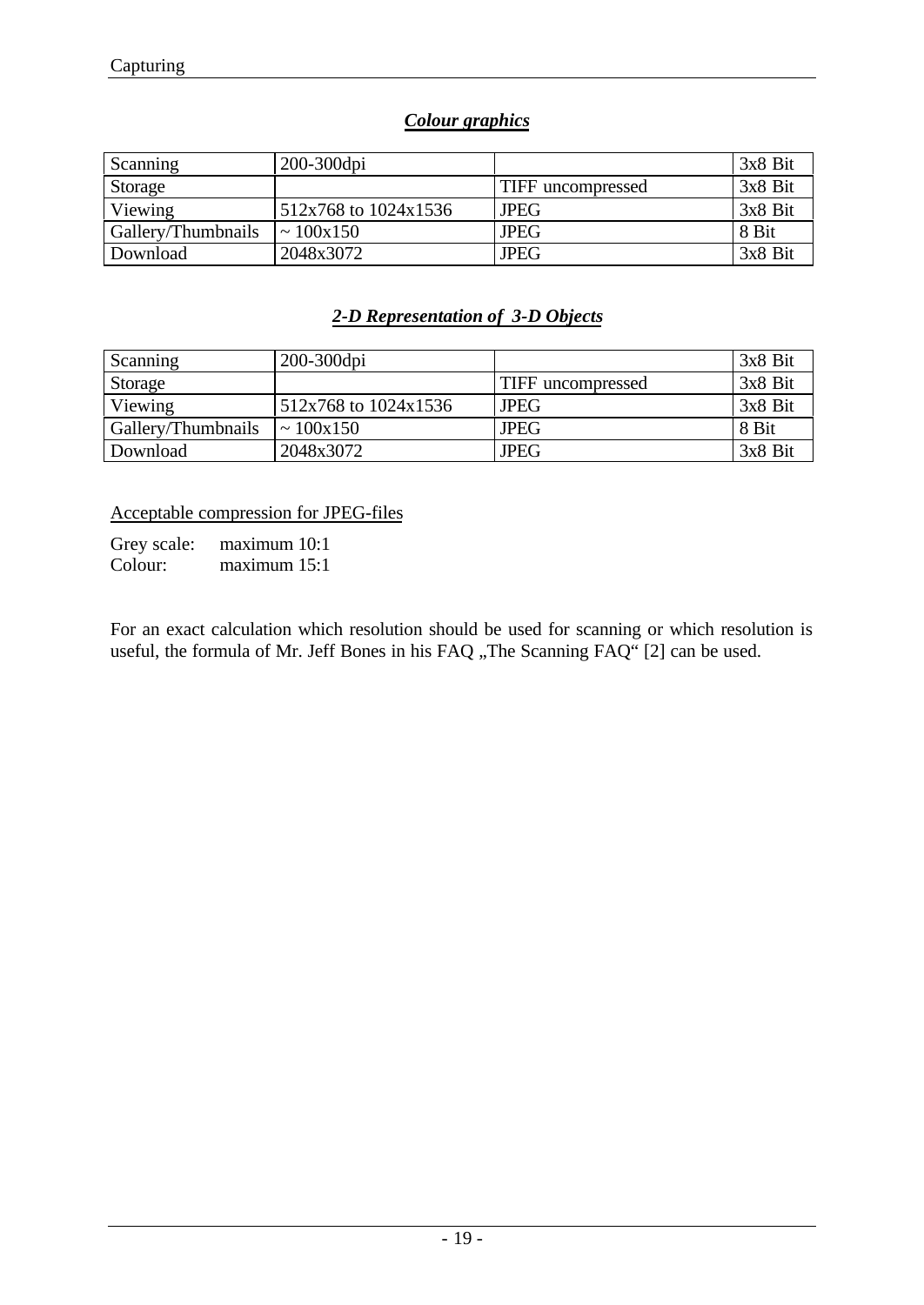## *Colour graphics*

| Scanning           | 200-300dpi           |                   | 3x8 Bit |
|--------------------|----------------------|-------------------|---------|
| Storage            |                      | TIFF uncompressed | 3x8 Bit |
| Viewing            | 512x768 to 1024x1536 | <b>JPEG</b>       | 3x8 Bit |
| Gallery/Thumbnails | $\sim 100x150$       | <b>JPEG</b>       | 8 Bit   |
| Download           | 2048x3072            | <b>JPEG</b>       | 3x8 Bit |

## *2-D Representation of 3-D Objects*

| Scanning           | 200-300dpi           |                          | $3x8$ Bit |
|--------------------|----------------------|--------------------------|-----------|
| Storage            |                      | <b>TIFF</b> uncompressed | $3x8$ Bit |
| Viewing            | 512x768 to 1024x1536 | <b>JPEG</b>              | $3x8$ Bit |
| Gallery/Thumbnails | $\sim 100x150$       | <b>JPEG</b>              | 8 Bit     |
| Download           | 2048x3072            | <b>JPEG</b>              | 3x8 Bit   |

Acceptable compression for JPEG-files

Grey scale: maximum 10:1 Colour: maximum 15:1

For an exact calculation which resolution should be used for scanning or which resolution is useful, the formula of Mr. Jeff Bones in his FAQ "The Scanning FAQ" [2] can be used.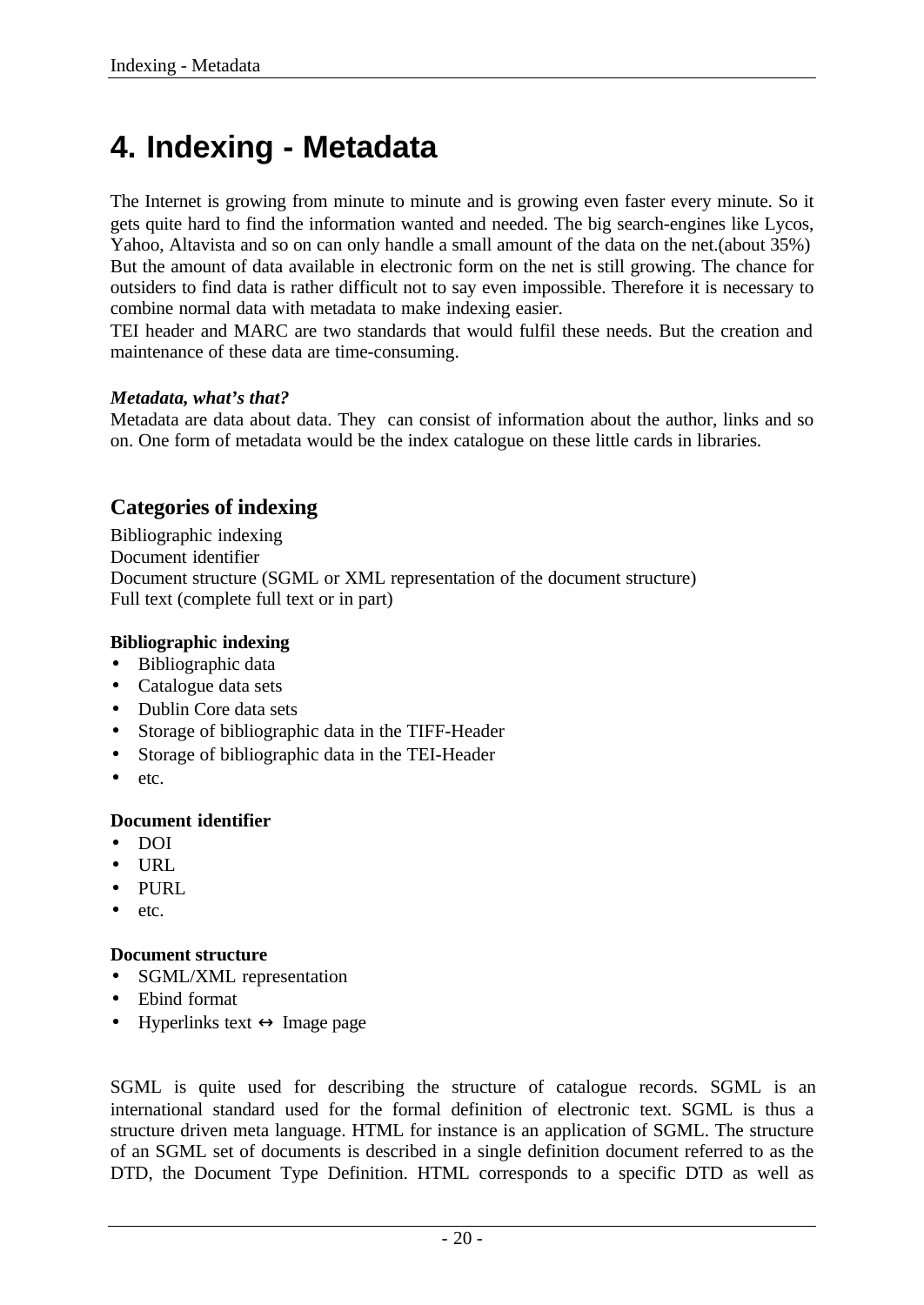# **4. Indexing - Metadata**

The Internet is growing from minute to minute and is growing even faster every minute. So it gets quite hard to find the information wanted and needed. The big search-engines like Lycos, Yahoo, Altavista and so on can only handle a small amount of the data on the net.(about 35%) But the amount of data available in electronic form on the net is still growing. The chance for outsiders to find data is rather difficult not to say even impossible. Therefore it is necessary to combine normal data with metadata to make indexing easier.

TEI header and MARC are two standards that would fulfil these needs. But the creation and maintenance of these data are time-consuming.

### *Metadata, what's that?*

Metadata are data about data. They can consist of information about the author, links and so on. One form of metadata would be the index catalogue on these little cards in libraries.

## **Categories of indexing**

Bibliographic indexing Document identifier Document structure (SGML or XML representation of the document structure) Full text (complete full text or in part)

### **Bibliographic indexing**

- Bibliographic data
- Catalogue data sets
- Dublin Core data sets
- Storage of bibliographic data in the TIFF-Header
- Storage of bibliographic data in the TEI-Header
- etc.

### **Document identifier**

- DOI
- URL
- PURL
- $etc.$

### **Document structure**

- SGML/XML representation
- Ebind format
- Hyperlinks text  $\leftrightarrow$  Image page

SGML is quite used for describing the structure of catalogue records. SGML is an international standard used for the formal definition of electronic text. SGML is thus a structure driven meta language. HTML for instance is an application of SGML. The structure of an SGML set of documents is described in a single definition document referred to as the DTD, the Document Type Definition. HTML corresponds to a specific DTD as well as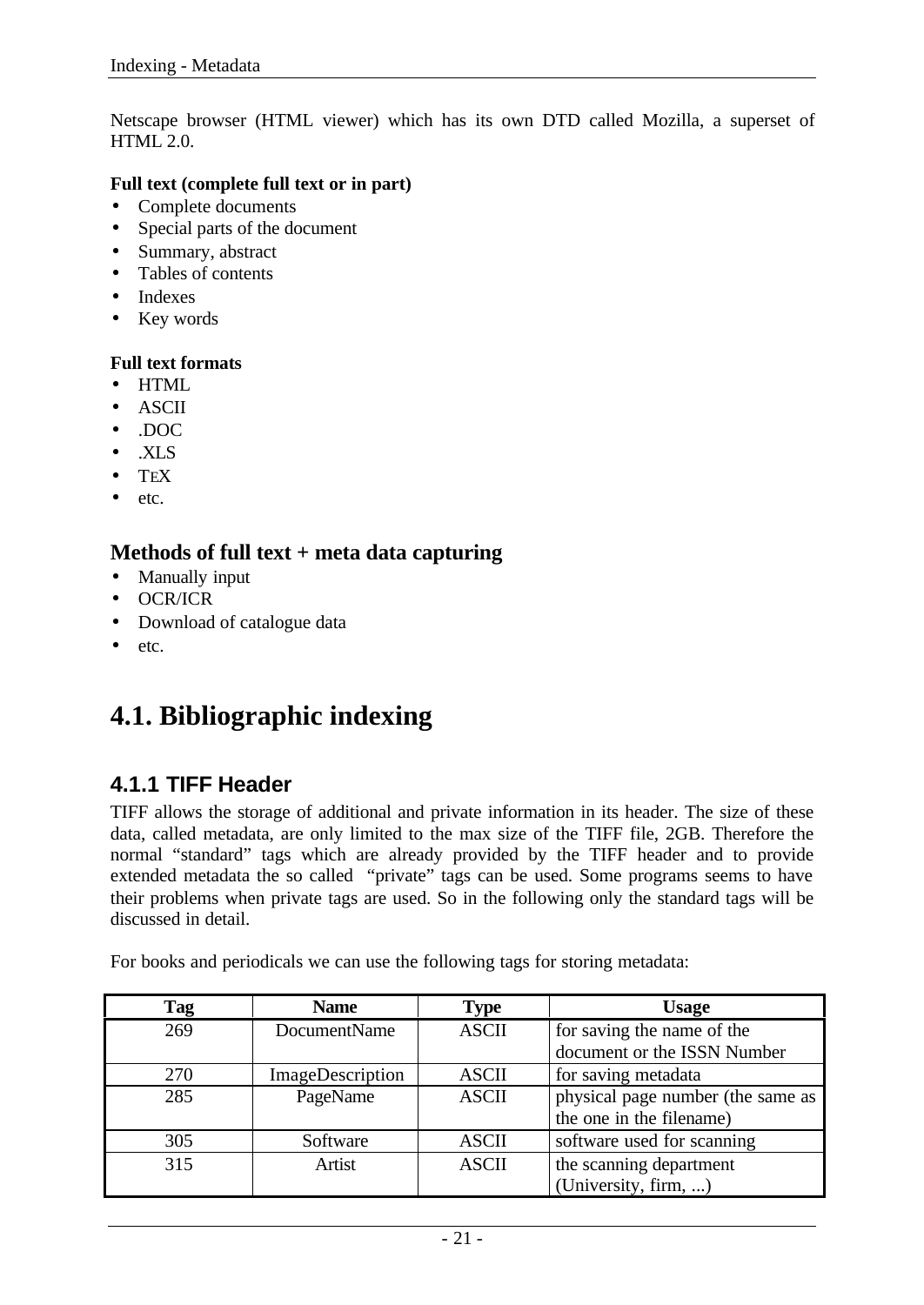Netscape browser (HTML viewer) which has its own DTD called Mozilla, a superset of HTML 2.0.

### **Full text (complete full text or in part)**

- Complete documents
- Special parts of the document
- Summary, abstract
- Tables of contents
- Indexes
- Key words

### **Full text formats**

- HTML
- ASCII
- .DOC
- .XLS
- $\bullet$  TEX
- etc.

## **Methods of full text + meta data capturing**

- Manually input
- OCR/ICR
- Download of catalogue data
- etc.

## **4.1. Bibliographic indexing**

## **4.1.1 TIFF Header**

TIFF allows the storage of additional and private information in its header. The size of these data, called metadata, are only limited to the max size of the TIFF file, 2GB. Therefore the normal "standard" tags which are already provided by the TIFF header and to provide extended metadata the so called "private" tags can be used. Some programs seems to have their problems when private tags are used. So in the following only the standard tags will be discussed in detail.

For books and periodicals we can use the following tags for storing metadata:

| Tag | <b>Name</b>      | <b>Type</b>  | <b>Usage</b>                      |
|-----|------------------|--------------|-----------------------------------|
| 269 | DocumentName     | <b>ASCII</b> | for saving the name of the        |
|     |                  |              | document or the ISSN Number       |
| 270 | ImageDescription | <b>ASCII</b> | for saving metadata               |
| 285 | PageName         | <b>ASCII</b> | physical page number (the same as |
|     |                  |              | the one in the filename)          |
| 305 | Software         | <b>ASCII</b> | software used for scanning        |
| 315 | Artist           | <b>ASCII</b> | the scanning department           |
|     |                  |              | (University, firm, )              |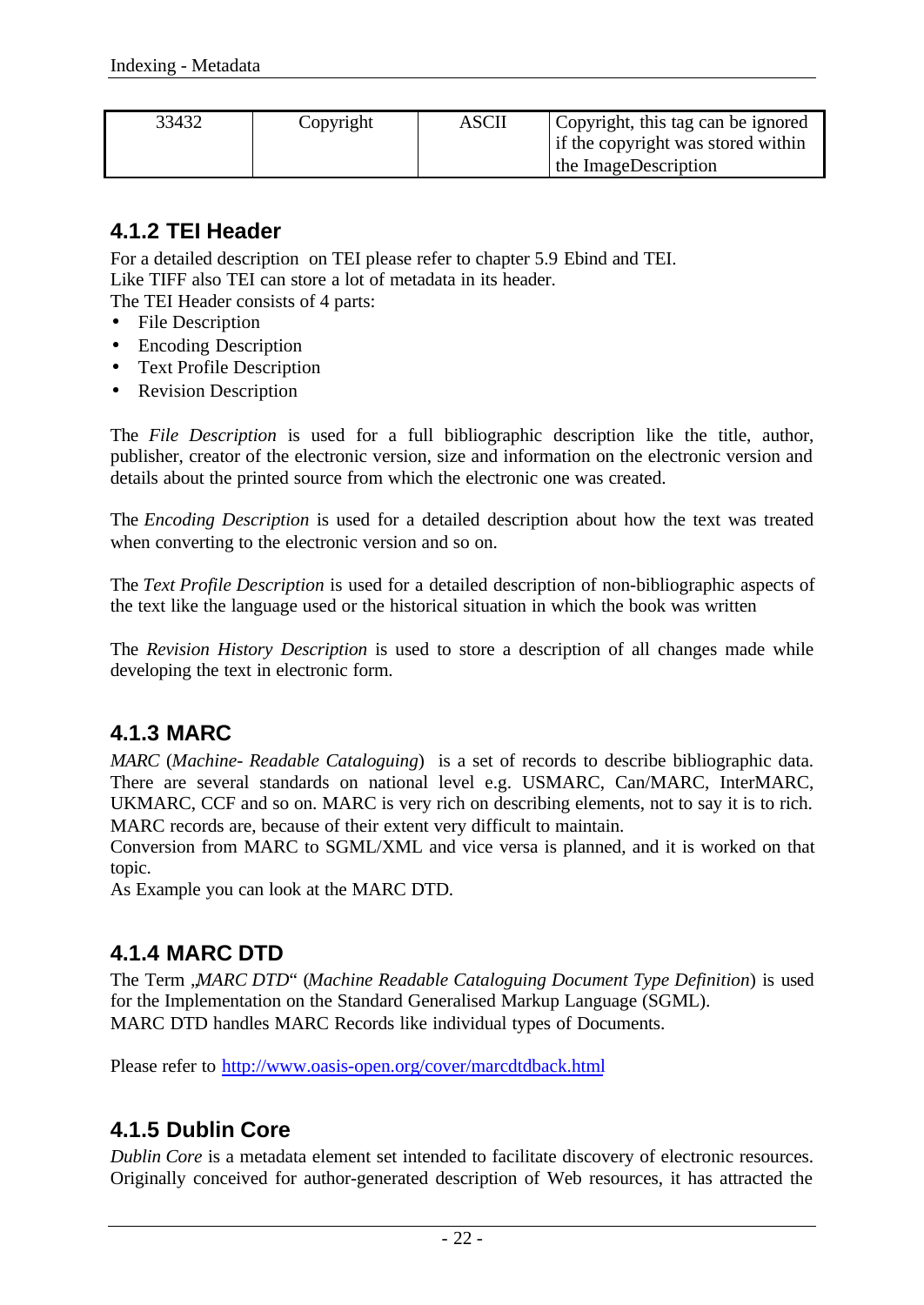| 33432 | Copyright | ASCII | Copyright, this tag can be ignored<br>If the copyright was stored within<br>the ImageDescription |
|-------|-----------|-------|--------------------------------------------------------------------------------------------------|
|       |           |       |                                                                                                  |

## **4.1.2 TEI Header**

For a detailed description on TEI please refer to chapter 5.9 Ebind and TEI. Like TIFF also TEI can store a lot of metadata in its header.

The TEI Header consists of 4 parts:

- File Description
- Encoding Description
- Text Profile Description
- Revision Description

The *File Description* is used for a full bibliographic description like the title, author, publisher, creator of the electronic version, size and information on the electronic version and details about the printed source from which the electronic one was created.

The *Encoding Description* is used for a detailed description about how the text was treated when converting to the electronic version and so on.

The *Text Profile Description* is used for a detailed description of non-bibliographic aspects of the text like the language used or the historical situation in which the book was written

The *Revision History Description* is used to store a description of all changes made while developing the text in electronic form.

## **4.1.3 MARC**

*MARC* (*Machine- Readable Cataloguing*) is a set of records to describe bibliographic data. There are several standards on national level e.g. USMARC, Can/MARC, InterMARC, UKMARC, CCF and so on. MARC is very rich on describing elements, not to say it is to rich. MARC records are, because of their extent very difficult to maintain.

Conversion from MARC to SGML/XML and vice versa is planned, and it is worked on that topic.

As Example you can look at the MARC DTD.

## **4.1.4 MARC DTD**

The Term , *MARC DTD*" (*Machine Readable Cataloguing Document Type Definition*) is used for the Implementation on the Standard Generalised Markup Language (SGML). MARC DTD handles MARC Records like individual types of Documents.

Please refer to http://www.oasis-open.org/cover/marcdtdback.html

## **4.1.5 Dublin Core**

*Dublin Core* is a metadata element set intended to facilitate discovery of electronic resources. Originally conceived for author-generated description of Web resources, it has attracted the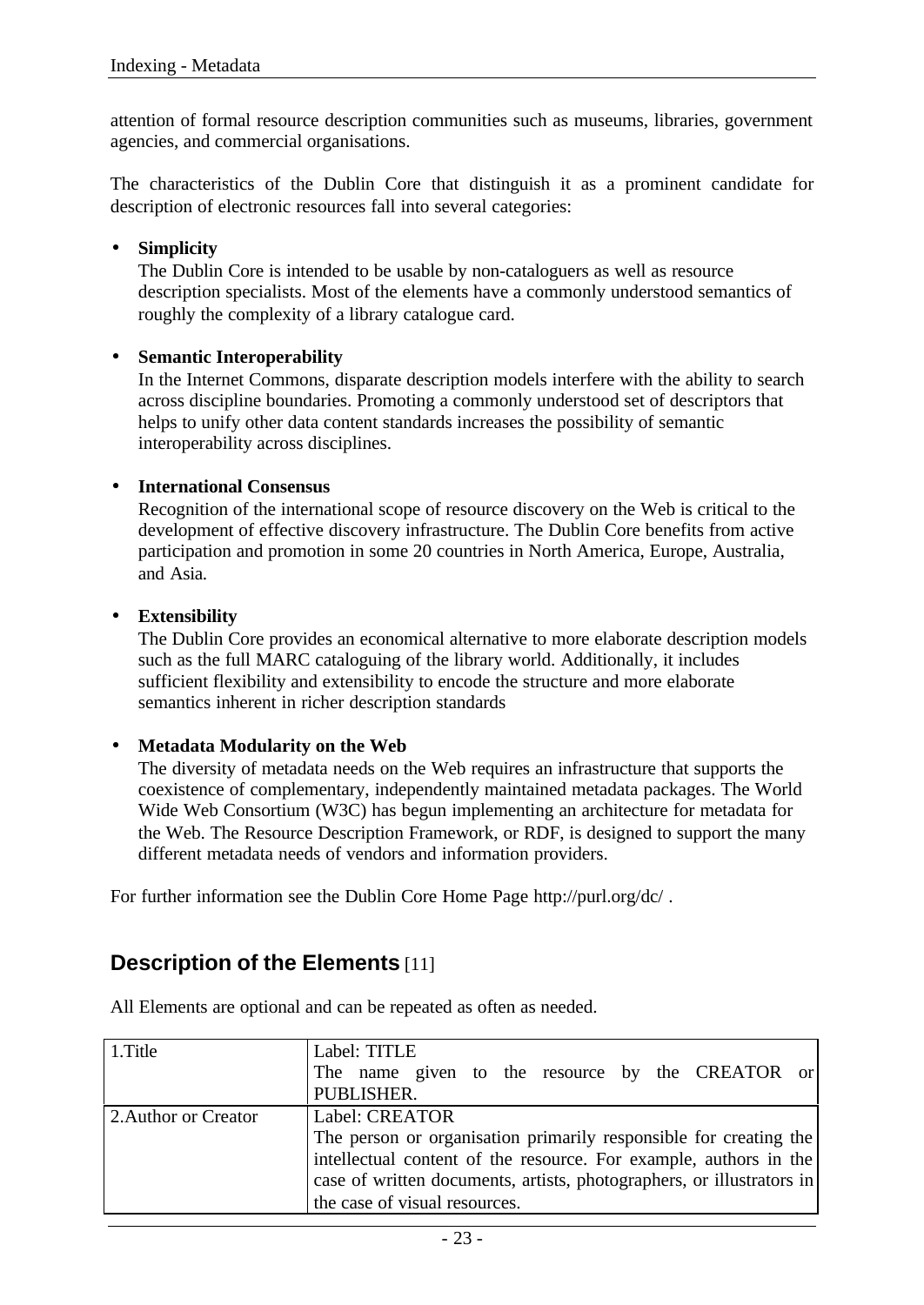attention of formal resource description communities such as museums, libraries, government agencies, and commercial organisations.

The characteristics of the Dublin Core that distinguish it as a prominent candidate for description of electronic resources fall into several categories:

### • **Simplicity**

The Dublin Core is intended to be usable by non-cataloguers as well as resource description specialists. Most of the elements have a commonly understood semantics of roughly the complexity of a library catalogue card.

### • **Semantic Interoperability**

In the Internet Commons, disparate description models interfere with the ability to search across discipline boundaries. Promoting a commonly understood set of descriptors that helps to unify other data content standards increases the possibility of semantic interoperability across disciplines.

### • **International Consensus**

Recognition of the international scope of resource discovery on the Web is critical to the development of effective discovery infrastructure. The Dublin Core benefits from active participation and promotion in some 20 countries in North America, Europe, Australia, and Asia.

### • **Extensibility**

The Dublin Core provides an economical alternative to more elaborate description models such as the full MARC cataloguing of the library world. Additionally, it includes sufficient flexibility and extensibility to encode the structure and more elaborate semantics inherent in richer description standards

## • **Metadata Modularity on the Web**

The diversity of metadata needs on the Web requires an infrastructure that supports the coexistence of complementary, independently maintained metadata packages. The World Wide Web Consortium (W3C) has begun implementing an architecture for metadata for the Web. The Resource Description Framework, or RDF, is designed to support the many different metadata needs of vendors and information providers.

For further information see the Dublin Core Home Page http://purl.org/dc/.

## **Description of the Elements** [11]

| 1.Title              | Label: TITLE                                                          |
|----------------------|-----------------------------------------------------------------------|
|                      | The name given to the resource by the CREATOR or                      |
|                      | PUBLISHER.                                                            |
| 2. Author or Creator | Label: CREATOR                                                        |
|                      | The person or organisation primarily responsible for creating the     |
|                      | intellectual content of the resource. For example, authors in the     |
|                      | case of written documents, artists, photographers, or illustrators in |
|                      | the case of visual resources.                                         |

All Elements are optional and can be repeated as often as needed.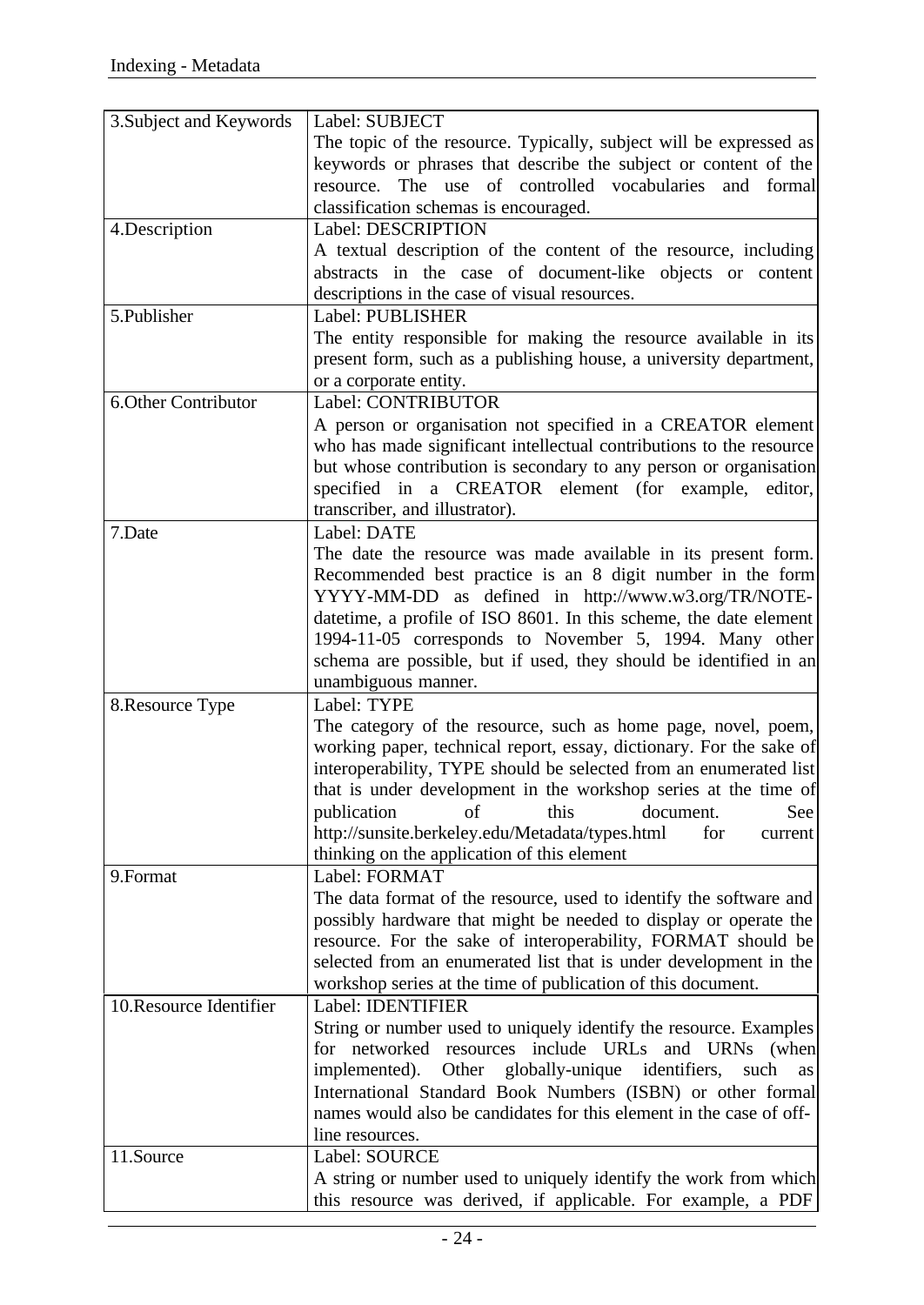| 3. Subject and Keywords    | Label: SUBJECT                                                       |
|----------------------------|----------------------------------------------------------------------|
|                            | The topic of the resource. Typically, subject will be expressed as   |
|                            | keywords or phrases that describe the subject or content of the      |
|                            | resource. The use of controlled vocabularies<br>and<br>formal        |
|                            | classification schemas is encouraged.                                |
| 4. Description             | Label: DESCRIPTION                                                   |
|                            | A textual description of the content of the resource, including      |
|                            | abstracts in the case of document-like objects or content            |
|                            | descriptions in the case of visual resources.                        |
| 5.Publisher                | Label: PUBLISHER                                                     |
|                            | The entity responsible for making the resource available in its      |
|                            | present form, such as a publishing house, a university department,   |
|                            |                                                                      |
|                            | or a corporate entity.                                               |
| <b>6.Other Contributor</b> | Label: CONTRIBUTOR                                                   |
|                            | A person or organisation not specified in a CREATOR element          |
|                            | who has made significant intellectual contributions to the resource  |
|                            | but whose contribution is secondary to any person or organisation    |
|                            | specified in a CREATOR element (for example,<br>editor,              |
|                            | transcriber, and illustrator).                                       |
| 7.Date                     | Label: DATE                                                          |
|                            | The date the resource was made available in its present form.        |
|                            | Recommended best practice is an 8 digit number in the form           |
|                            | YYYY-MM-DD as defined in http://www.w3.org/TR/NOTE-                  |
|                            | datetime, a profile of ISO 8601. In this scheme, the date element    |
|                            | 1994-11-05 corresponds to November 5, 1994. Many other               |
|                            | schema are possible, but if used, they should be identified in an    |
|                            | unambiguous manner.                                                  |
| 8. Resource Type           | Label: TYPE                                                          |
|                            | The category of the resource, such as home page, novel, poem,        |
|                            | working paper, technical report, essay, dictionary. For the sake of  |
|                            | interoperability, TYPE should be selected from an enumerated list    |
|                            | that is under development in the workshop series at the time of      |
|                            | this<br>of<br>publication<br>document.<br>See                        |
|                            | http://sunsite.berkeley.edu/Metadata/types.html<br>for<br>current    |
|                            | thinking on the application of this element                          |
| 9.Format                   | Label: FORMAT                                                        |
|                            | The data format of the resource, used to identify the software and   |
|                            | possibly hardware that might be needed to display or operate the     |
|                            | resource. For the sake of interoperability, FORMAT should be         |
|                            | selected from an enumerated list that is under development in the    |
|                            | workshop series at the time of publication of this document.         |
| 10. Resource Identifier    | Label: IDENTIFIER                                                    |
|                            |                                                                      |
|                            | String or number used to uniquely identify the resource. Examples    |
|                            | for networked resources include URLs and<br><b>URNs</b><br>(when     |
|                            | Other globally-unique<br>implemented).<br>identifiers,<br>such<br>as |
|                            | International Standard Book Numbers (ISBN) or other formal           |
|                            | names would also be candidates for this element in the case of off-  |
|                            | line resources.                                                      |
| 11.Source                  | Label: SOURCE                                                        |
|                            | A string or number used to uniquely identify the work from which     |
|                            | this resource was derived, if applicable. For example, a PDF         |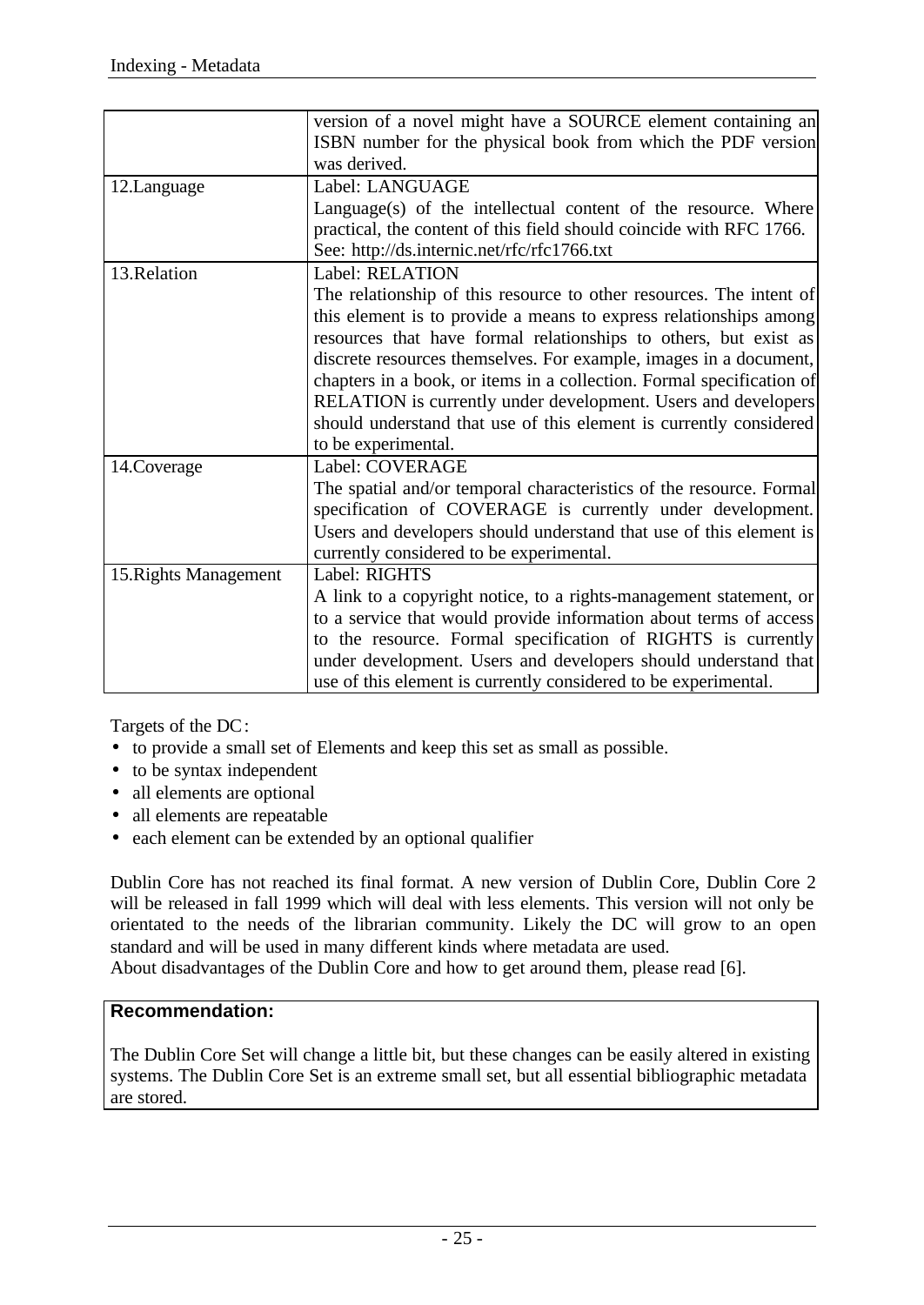|                       | version of a novel might have a SOURCE element containing an          |
|-----------------------|-----------------------------------------------------------------------|
|                       | ISBN number for the physical book from which the PDF version          |
|                       | was derived.                                                          |
| 12.Language           | Label: LANGUAGE                                                       |
|                       | Language(s) of the intellectual content of the resource. Where        |
|                       | practical, the content of this field should coincide with RFC 1766.   |
|                       | See: http://ds.internic.net/rfc/rfc1766.txt                           |
| 13.Relation           | Label: RELATION                                                       |
|                       | The relationship of this resource to other resources. The intent of   |
|                       | this element is to provide a means to express relationships among     |
|                       | resources that have formal relationships to others, but exist as      |
|                       | discrete resources themselves. For example, images in a document,     |
|                       | chapters in a book, or items in a collection. Formal specification of |
|                       | RELATION is currently under development. Users and developers         |
|                       | should understand that use of this element is currently considered    |
|                       | to be experimental.                                                   |
| 14.Coverage           | Label: COVERAGE                                                       |
|                       | The spatial and/or temporal characteristics of the resource. Formal   |
|                       | specification of COVERAGE is currently under development.             |
|                       | Users and developers should understand that use of this element is    |
|                       | currently considered to be experimental.                              |
| 15. Rights Management | Label: RIGHTS                                                         |
|                       | A link to a copyright notice, to a rights-management statement, or    |
|                       | to a service that would provide information about terms of access     |
|                       | to the resource. Formal specification of RIGHTS is currently          |
|                       | under development. Users and developers should understand that        |
|                       | use of this element is currently considered to be experimental.       |

Targets of the DC:

- to provide a small set of Elements and keep this set as small as possible.
- to be syntax independent
- all elements are optional
- all elements are repeatable
- each element can be extended by an optional qualifier

Dublin Core has not reached its final format. A new version of Dublin Core, Dublin Core 2 will be released in fall 1999 which will deal with less elements. This version will not only be orientated to the needs of the librarian community. Likely the DC will grow to an open standard and will be used in many different kinds where metadata are used.

About disadvantages of the Dublin Core and how to get around them, please read [6].

## **Recommendation:**

The Dublin Core Set will change a little bit, but these changes can be easily altered in existing systems. The Dublin Core Set is an extreme small set, but all essential bibliographic metadata are stored.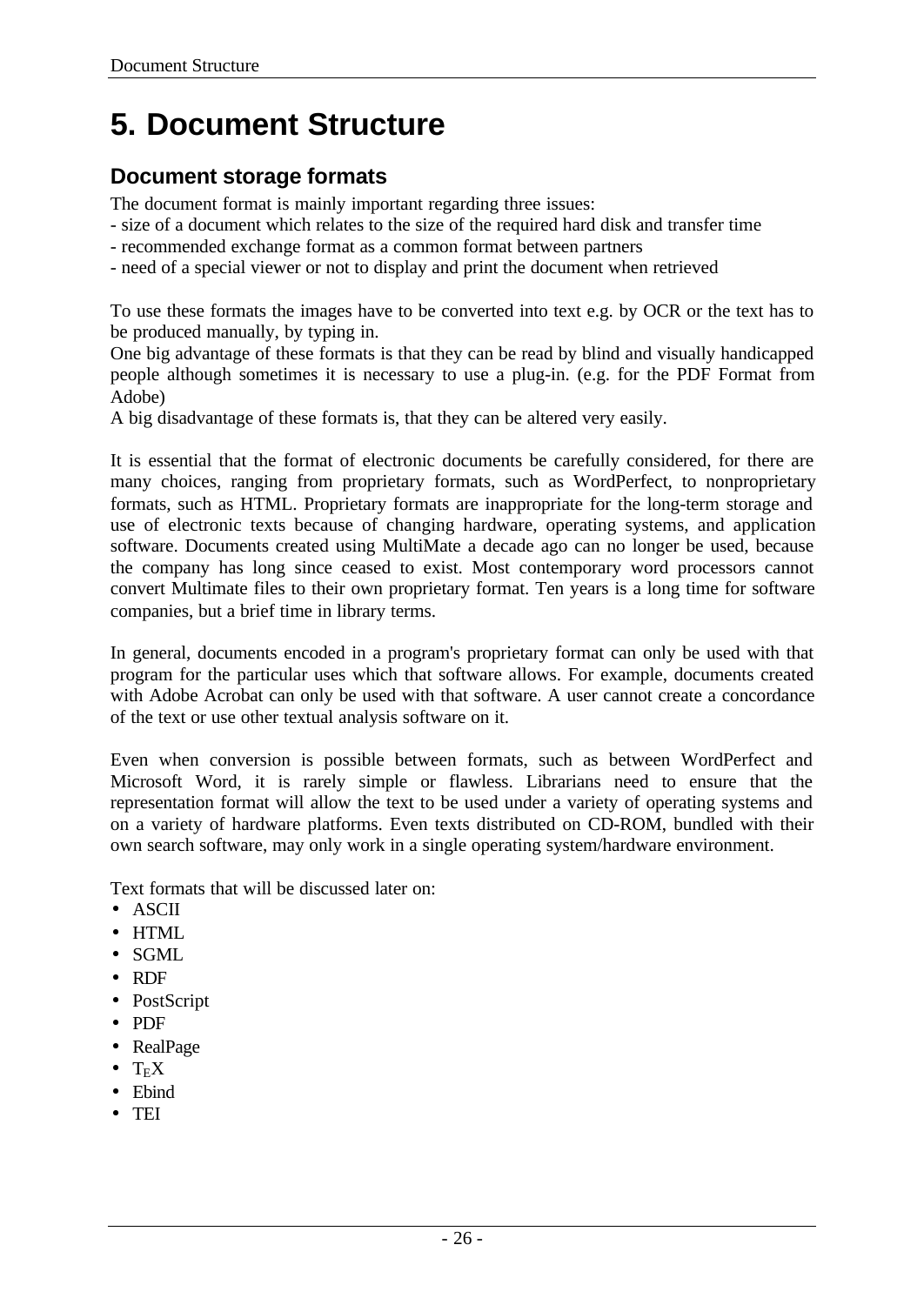# **5. Document Structure**

## **Document storage formats**

The document format is mainly important regarding three issues:

- size of a document which relates to the size of the required hard disk and transfer time
- recommended exchange format as a common format between partners
- need of a special viewer or not to display and print the document when retrieved

To use these formats the images have to be converted into text e.g. by OCR or the text has to be produced manually, by typing in.

One big advantage of these formats is that they can be read by blind and visually handicapped people although sometimes it is necessary to use a plug-in. (e.g. for the PDF Format from Adobe)

A big disadvantage of these formats is, that they can be altered very easily.

It is essential that the format of electronic documents be carefully considered, for there are many choices, ranging from proprietary formats, such as WordPerfect, to nonproprietary formats, such as HTML. Proprietary formats are inappropriate for the long-term storage and use of electronic texts because of changing hardware, operating systems, and application software. Documents created using MultiMate a decade ago can no longer be used, because the company has long since ceased to exist. Most contemporary word processors cannot convert Multimate files to their own proprietary format. Ten years is a long time for software companies, but a brief time in library terms.

In general, documents encoded in a program's proprietary format can only be used with that program for the particular uses which that software allows. For example, documents created with Adobe Acrobat can only be used with that software. A user cannot create a concordance of the text or use other textual analysis software on it.

Even when conversion is possible between formats, such as between WordPerfect and Microsoft Word, it is rarely simple or flawless. Librarians need to ensure that the representation format will allow the text to be used under a variety of operating systems and on a variety of hardware platforms. Even texts distributed on CD-ROM, bundled with their own search software, may only work in a single operating system/hardware environment.

Text formats that will be discussed later on:

- ASCII
- HTML
- SGML
- RDF
- PostScript
- PDF
- RealPage
- $\bullet$  T<sub>E</sub>X
- Ebind
- TEI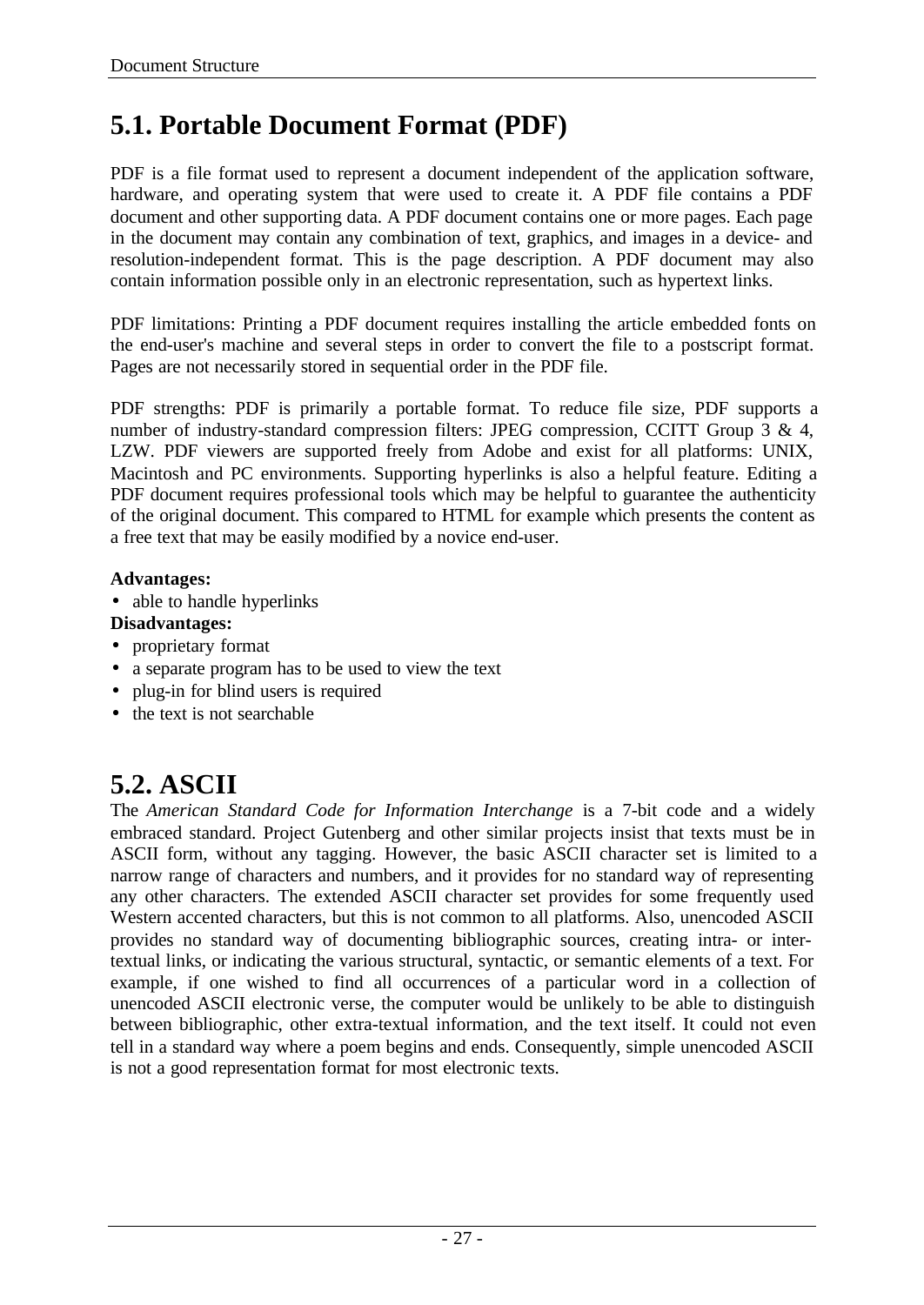## **5.1. Portable Document Format (PDF)**

PDF is a file format used to represent a document independent of the application software, hardware, and operating system that were used to create it. A PDF file contains a PDF document and other supporting data. A PDF document contains one or more pages. Each page in the document may contain any combination of text, graphics, and images in a device- and resolution-independent format. This is the page description. A PDF document may also contain information possible only in an electronic representation, such as hypertext links.

PDF limitations: Printing a PDF document requires installing the article embedded fonts on the end-user's machine and several steps in order to convert the file to a postscript format. Pages are not necessarily stored in sequential order in the PDF file.

PDF strengths: PDF is primarily a portable format. To reduce file size, PDF supports a number of industry-standard compression filters: JPEG compression, CCITT Group 3 & 4, LZW. PDF viewers are supported freely from Adobe and exist for all platforms: UNIX, Macintosh and PC environments. Supporting hyperlinks is also a helpful feature. Editing a PDF document requires professional tools which may be helpful to guarantee the authenticity of the original document. This compared to HTML for example which presents the content as a free text that may be easily modified by a novice end-user.

## **Advantages:**

• able to handle hyperlinks

## **Disadvantages:**

- proprietary format
- a separate program has to be used to view the text
- plug-in for blind users is required
- the text is not searchable

## **5.2. ASCII**

The *American Standard Code for Information Interchange* is a 7-bit code and a widely embraced standard. Project Gutenberg and other similar projects insist that texts must be in ASCII form, without any tagging. However, the basic ASCII character set is limited to a narrow range of characters and numbers, and it provides for no standard way of representing any other characters. The extended ASCII character set provides for some frequently used Western accented characters, but this is not common to all platforms. Also, unencoded ASCII provides no standard way of documenting bibliographic sources, creating intra- or intertextual links, or indicating the various structural, syntactic, or semantic elements of a text. For example, if one wished to find all occurrences of a particular word in a collection of unencoded ASCII electronic verse, the computer would be unlikely to be able to distinguish between bibliographic, other extra-textual information, and the text itself. It could not even tell in a standard way where a poem begins and ends. Consequently, simple unencoded ASCII is not a good representation format for most electronic texts.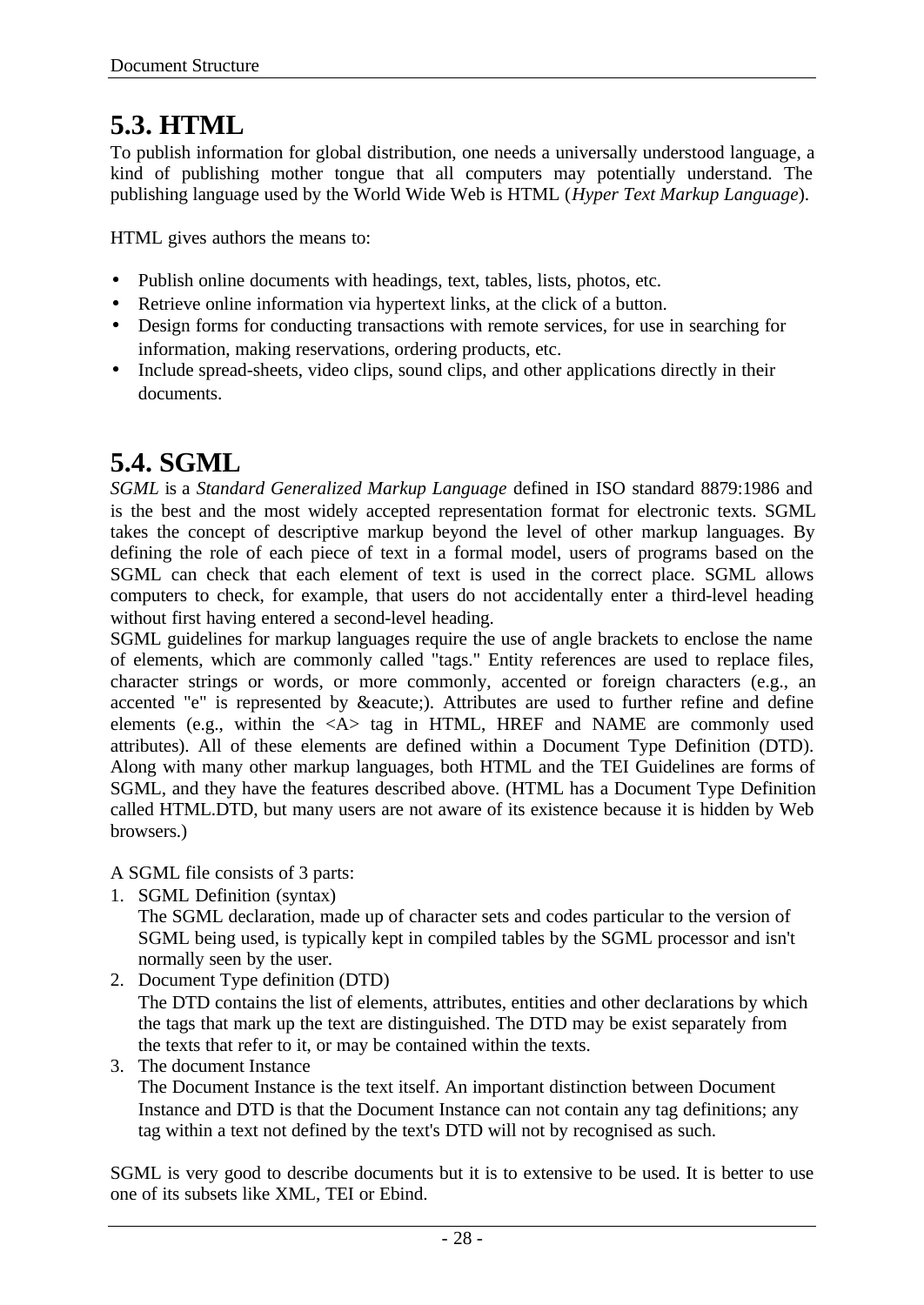## **5.3. HTML**

To publish information for global distribution, one needs a universally understood language, a kind of publishing mother tongue that all computers may potentially understand. The publishing language used by the World Wide Web is HTML (*Hyper Text Markup Language*).

HTML gives authors the means to:

- Publish online documents with headings, text, tables, lists, photos, etc.
- Retrieve online information via hypertext links, at the click of a button.
- Design forms for conducting transactions with remote services, for use in searching for information, making reservations, ordering products, etc.
- Include spread-sheets, video clips, sound clips, and other applications directly in their documents.

## **5.4. SGML**

*SGML* is a *Standard Generalized Markup Language* defined in ISO standard 8879:1986 and is the best and the most widely accepted representation format for electronic texts. SGML takes the concept of descriptive markup beyond the level of other markup languages. By defining the role of each piece of text in a formal model, users of programs based on the SGML can check that each element of text is used in the correct place. SGML allows computers to check, for example, that users do not accidentally enter a third-level heading without first having entered a second-level heading.

SGML guidelines for markup languages require the use of angle brackets to enclose the name of elements, which are commonly called "tags." Entity references are used to replace files, character strings or words, or more commonly, accented or foreign characters (e.g., an accented "e" is represented by é). Attributes are used to further refine and define elements (e.g., within the  $\langle A \rangle$  tag in HTML, HREF and NAME are commonly used attributes). All of these elements are defined within a Document Type Definition (DTD). Along with many other markup languages, both HTML and the TEI Guidelines are forms of SGML, and they have the features described above. (HTML has a Document Type Definition called HTML.DTD, but many users are not aware of its existence because it is hidden by Web browsers.)

A SGML file consists of 3 parts:

1. SGML Definition (syntax)

The SGML declaration, made up of character sets and codes particular to the version of SGML being used, is typically kept in compiled tables by the SGML processor and isn't normally seen by the user.

- 2. Document Type definition (DTD) The DTD contains the list of elements, attributes, entities and other declarations by which the tags that mark up the text are distinguished. The DTD may be exist separately from the texts that refer to it, or may be contained within the texts.
- 3. The document Instance

The Document Instance is the text itself. An important distinction between Document Instance and DTD is that the Document Instance can not contain any tag definitions; any tag within a text not defined by the text's DTD will not by recognised as such.

SGML is very good to describe documents but it is to extensive to be used. It is better to use one of its subsets like XML, TEI or Ebind.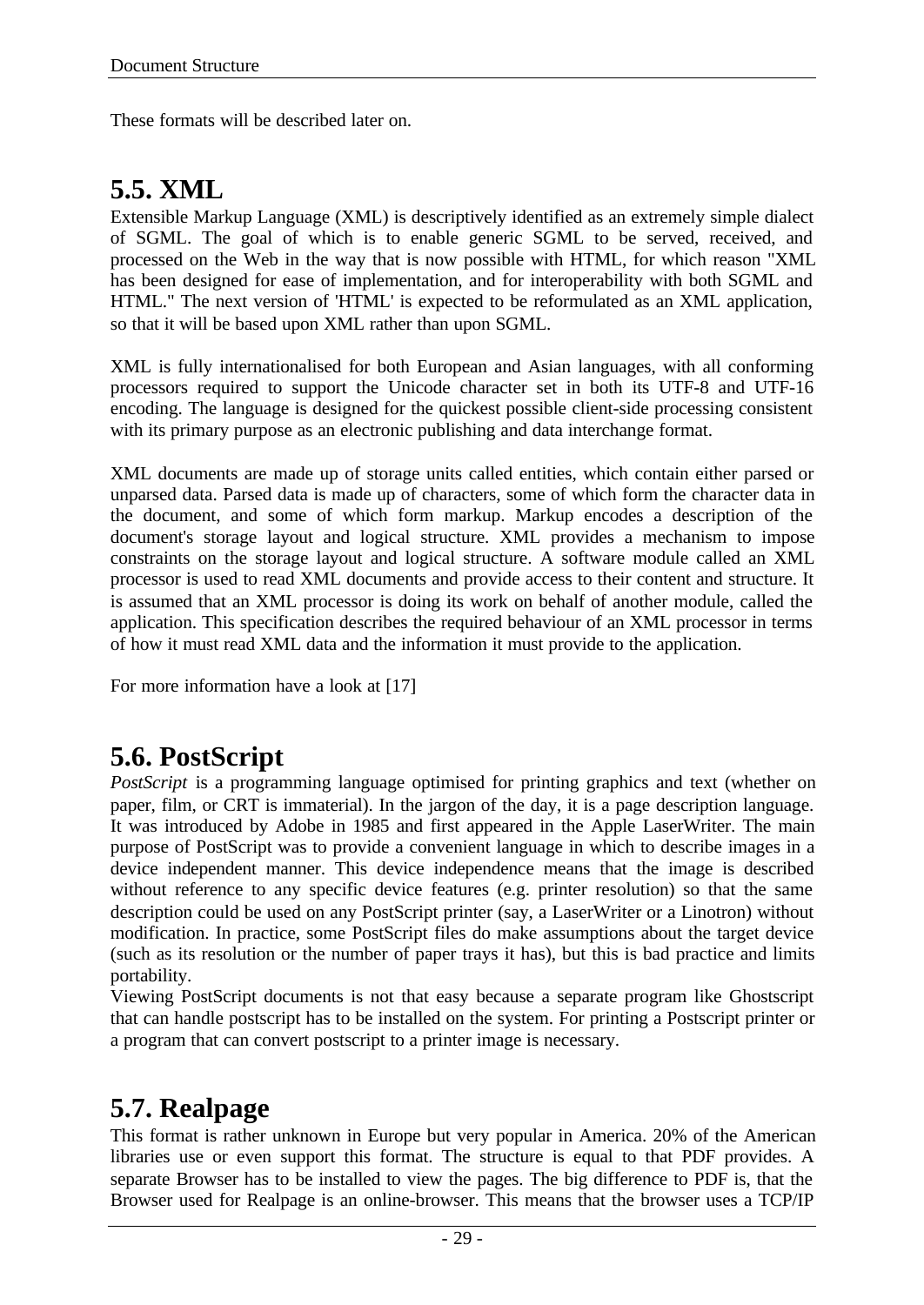These formats will be described later on.

## **5.5. XML**

Extensible Markup Language (XML) is descriptively identified as an extremely simple dialect of SGML. The goal of which is to enable generic SGML to be served, received, and processed on the Web in the way that is now possible with HTML, for which reason "XML has been designed for ease of implementation, and for interoperability with both SGML and HTML." The next version of 'HTML' is expected to be reformulated as an XML application, so that it will be based upon XML rather than upon SGML.

XML is fully internationalised for both European and Asian languages, with all conforming processors required to support the Unicode character set in both its UTF-8 and UTF-16 encoding. The language is designed for the quickest possible client-side processing consistent with its primary purpose as an electronic publishing and data interchange format.

XML documents are made up of storage units called entities, which contain either parsed or unparsed data. Parsed data is made up of characters, some of which form the character data in the document, and some of which form markup. Markup encodes a description of the document's storage layout and logical structure. XML provides a mechanism to impose constraints on the storage layout and logical structure. A software module called an XML processor is used to read XML documents and provide access to their content and structure. It is assumed that an XML processor is doing its work on behalf of another module, called the application. This specification describes the required behaviour of an XML processor in terms of how it must read XML data and the information it must provide to the application.

For more information have a look at [17]

## **5.6. PostScript**

*PostScript* is a programming language optimised for printing graphics and text (whether on paper, film, or CRT is immaterial). In the jargon of the day, it is a page description language. It was introduced by Adobe in 1985 and first appeared in the Apple LaserWriter. The main purpose of PostScript was to provide a convenient language in which to describe images in a device independent manner. This device independence means that the image is described without reference to any specific device features (e.g. printer resolution) so that the same description could be used on any PostScript printer (say, a LaserWriter or a Linotron) without modification. In practice, some PostScript files do make assumptions about the target device (such as its resolution or the number of paper trays it has), but this is bad practice and limits portability.

Viewing PostScript documents is not that easy because a separate program like Ghostscript that can handle postscript has to be installed on the system. For printing a Postscript printer or a program that can convert postscript to a printer image is necessary.

## **5.7. Realpage**

This format is rather unknown in Europe but very popular in America. 20% of the American libraries use or even support this format. The structure is equal to that PDF provides. A separate Browser has to be installed to view the pages. The big difference to PDF is, that the Browser used for Realpage is an online-browser. This means that the browser uses a TCP/IP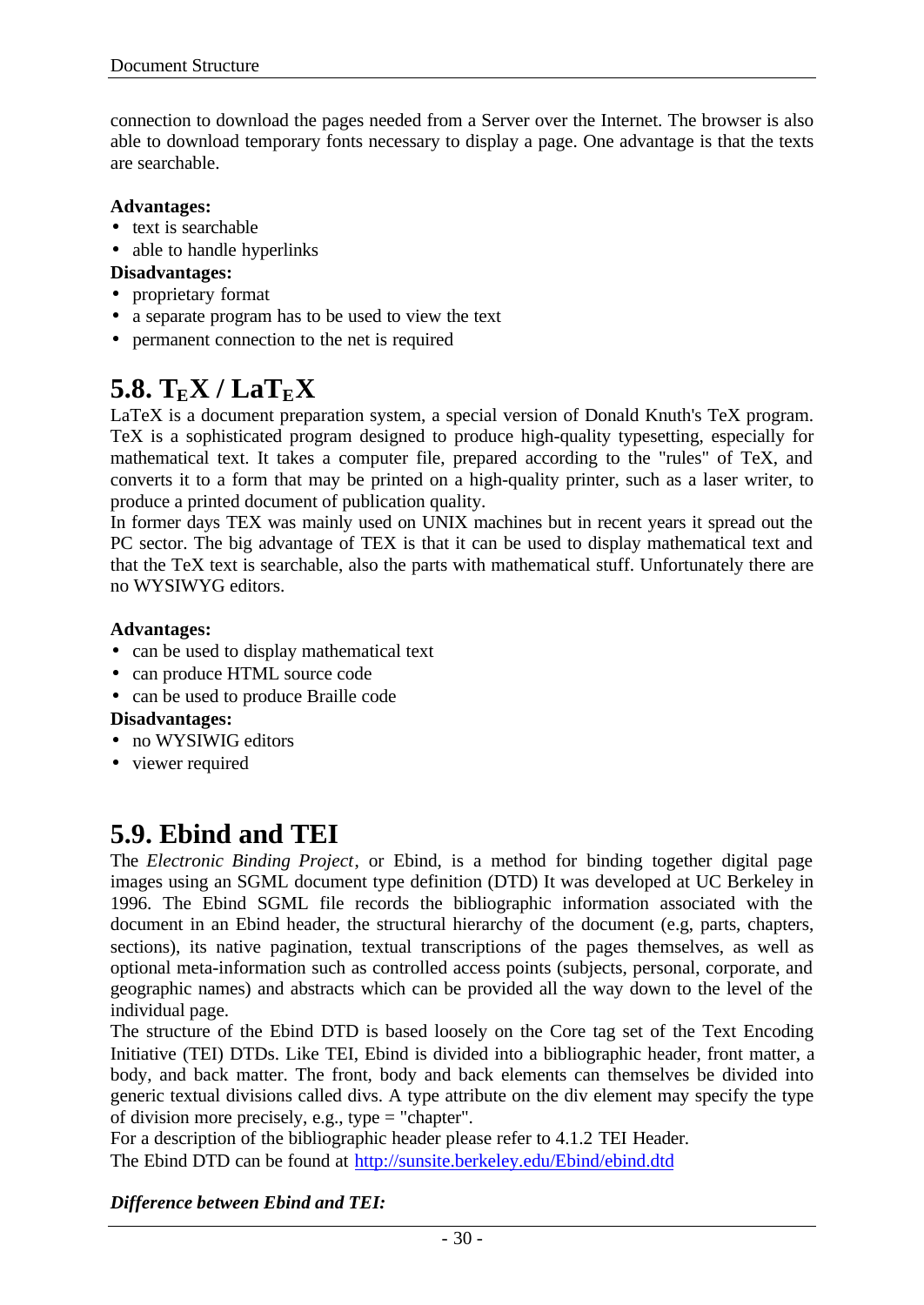connection to download the pages needed from a Server over the Internet. The browser is also able to download temporary fonts necessary to display a page. One advantage is that the texts are searchable.

### **Advantages:**

- text is searchable
- able to handle hyperlinks

### **Disadvantages:**

- proprietary format
- a separate program has to be used to view the text
- permanent connection to the net is required

## $5.8$ .  $T_{E}X / LaT_{E}X$

LaTeX is a document preparation system, a special version of Donald Knuth's TeX program. TeX is a sophisticated program designed to produce high-quality typesetting, especially for mathematical text. It takes a computer file, prepared according to the "rules" of TeX, and converts it to a form that may be printed on a high-quality printer, such as a laser writer, to produce a printed document of publication quality.

In former days TEX was mainly used on UNIX machines but in recent years it spread out the PC sector. The big advantage of TEX is that it can be used to display mathematical text and that the TeX text is searchable, also the parts with mathematical stuff. Unfortunately there are no WYSIWYG editors.

### **Advantages:**

- can be used to display mathematical text
- can produce HTML source code
- can be used to produce Braille code

## **Disadvantages:**

- no WYSIWIG editors
- viewer required

## **5.9. Ebind and TEI**

The *Electronic Binding Project*, or Ebind, is a method for binding together digital page images using an SGML document type definition (DTD) It was developed at UC Berkeley in 1996. The Ebind SGML file records the bibliographic information associated with the document in an Ebind header, the structural hierarchy of the document (e.g. parts, chapters, sections), its native pagination, textual transcriptions of the pages themselves, as well as optional meta-information such as controlled access points (subjects, personal, corporate, and geographic names) and abstracts which can be provided all the way down to the level of the individual page.

The structure of the Ebind DTD is based loosely on the Core tag set of the Text Encoding Initiative (TEI) DTDs. Like TEI, Ebind is divided into a bibliographic header, front matter, a body, and back matter. The front, body and back elements can themselves be divided into generic textual divisions called divs. A type attribute on the div element may specify the type of division more precisely, e.g., type = "chapter".

For a description of the bibliographic header please refer to 4.1.2 TEI Header. The Ebind DTD can be found at http://sunsite.berkeley.edu/Ebind/ebind.dtd

### *Difference between Ebind and TEI:*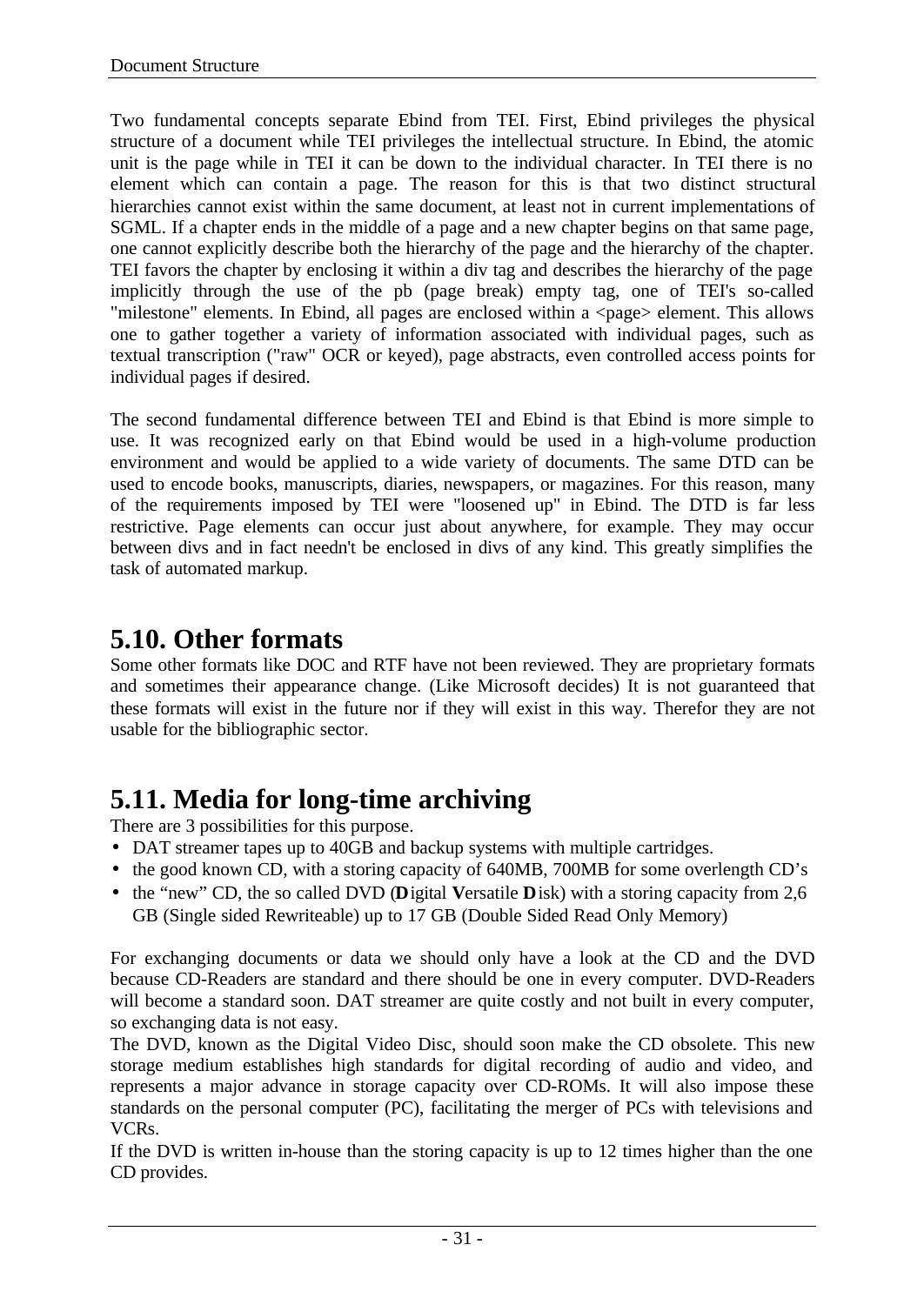Two fundamental concepts separate Ebind from TEI. First, Ebind privileges the physical structure of a document while TEI privileges the intellectual structure. In Ebind, the atomic unit is the page while in TEI it can be down to the individual character. In TEI there is no element which can contain a page. The reason for this is that two distinct structural hierarchies cannot exist within the same document, at least not in current implementations of SGML. If a chapter ends in the middle of a page and a new chapter begins on that same page, one cannot explicitly describe both the hierarchy of the page and the hierarchy of the chapter. TEI favors the chapter by enclosing it within a div tag and describes the hierarchy of the page implicitly through the use of the pb (page break) empty tag, one of TEI's so-called "milestone" elements. In Ebind, all pages are enclosed within a <page> element. This allows one to gather together a variety of information associated with individual pages, such as textual transcription ("raw" OCR or keyed), page abstracts, even controlled access points for individual pages if desired.

The second fundamental difference between TEI and Ebind is that Ebind is more simple to use. It was recognized early on that Ebind would be used in a high-volume production environment and would be applied to a wide variety of documents. The same DTD can be used to encode books, manuscripts, diaries, newspapers, or magazines. For this reason, many of the requirements imposed by TEI were "loosened up" in Ebind. The DTD is far less restrictive. Page elements can occur just about anywhere, for example. They may occur between divs and in fact needn't be enclosed in divs of any kind. This greatly simplifies the task of automated markup.

## **5.10. Other formats**

Some other formats like DOC and RTF have not been reviewed. They are proprietary formats and sometimes their appearance change. (Like Microsoft decides) It is not guaranteed that these formats will exist in the future nor if they will exist in this way. Therefor they are not usable for the bibliographic sector.

## **5.11. Media for long-time archiving**

There are 3 possibilities for this purpose.

- DAT streamer tapes up to 40GB and backup systems with multiple cartridges.
- the good known CD, with a storing capacity of 640MB, 700MB for some overlength CD's
- the "new" CD, the so called DVD (**D**igital **V**ersatile **D**isk) with a storing capacity from 2,6 GB (Single sided Rewriteable) up to 17 GB (Double Sided Read Only Memory)

For exchanging documents or data we should only have a look at the CD and the DVD because CD-Readers are standard and there should be one in every computer. DVD-Readers will become a standard soon. DAT streamer are quite costly and not built in every computer, so exchanging data is not easy.

The DVD, known as the Digital Video Disc, should soon make the CD obsolete. This new storage medium establishes high standards for digital recording of audio and video, and represents a major advance in storage capacity over CD-ROMs. It will also impose these standards on the personal computer (PC), facilitating the merger of PCs with televisions and VCRs.

If the DVD is written in-house than the storing capacity is up to 12 times higher than the one CD provides.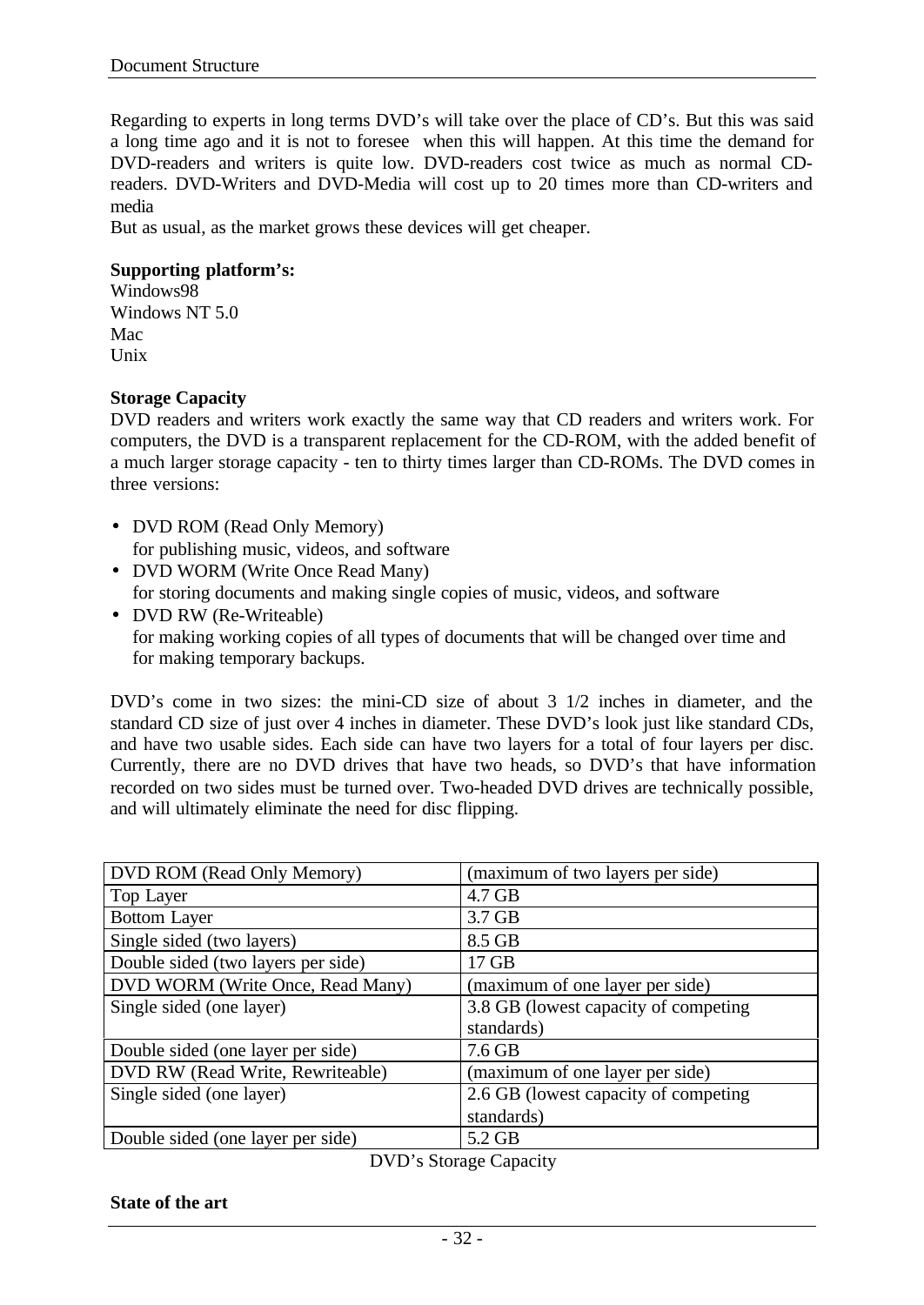Regarding to experts in long terms DVD's will take over the place of CD's. But this was said a long time ago and it is not to foresee when this will happen. At this time the demand for DVD-readers and writers is quite low. DVD-readers cost twice as much as normal CDreaders. DVD-Writers and DVD-Media will cost up to 20 times more than CD-writers and media

But as usual, as the market grows these devices will get cheaper.

#### **Supporting platform's:**

Windows98 Windows NT 5.0 Mac Unix

#### **Storage Capacity**

DVD readers and writers work exactly the same way that CD readers and writers work. For computers, the DVD is a transparent replacement for the CD-ROM, with the added benefit of a much larger storage capacity - ten to thirty times larger than CD-ROMs. The DVD comes in three versions:

- DVD ROM (Read Only Memory) for publishing music, videos, and software
- DVD WORM (Write Once Read Many) for storing documents and making single copies of music, videos, and software
- DVD RW (Re-Writeable) for making working copies of all types of documents that will be changed over time and for making temporary backups.

DVD's come in two sizes: the mini-CD size of about 3 1/2 inches in diameter, and the standard CD size of just over 4 inches in diameter. These DVD's look just like standard CDs, and have two usable sides. Each side can have two layers for a total of four layers per disc. Currently, there are no DVD drives that have two heads, so DVD's that have information recorded on two sides must be turned over. Two-headed DVD drives are technically possible, and will ultimately eliminate the need for disc flipping.

| DVD ROM (Read Only Memory)         | (maximum of two layers per side)      |
|------------------------------------|---------------------------------------|
| Top Layer                          | $4.7$ GB                              |
| <b>Bottom Layer</b>                | 3.7 GB                                |
| Single sided (two layers)          | 8.5 GB                                |
| Double sided (two layers per side) | 17 GB                                 |
| DVD WORM (Write Once, Read Many)   | (maximum of one layer per side)       |
| Single sided (one layer)           | 3.8 GB (lowest capacity of competing) |
|                                    | standards)                            |
| Double sided (one layer per side)  | $7.6$ GB                              |
| DVD RW (Read Write, Rewriteable)   | (maximum of one layer per side)       |
| Single sided (one layer)           | 2.6 GB (lowest capacity of competing) |
|                                    | standards)                            |
| Double sided (one layer per side)  | 5.2 GB                                |

DVD's Storage Capacity

#### **State of the art**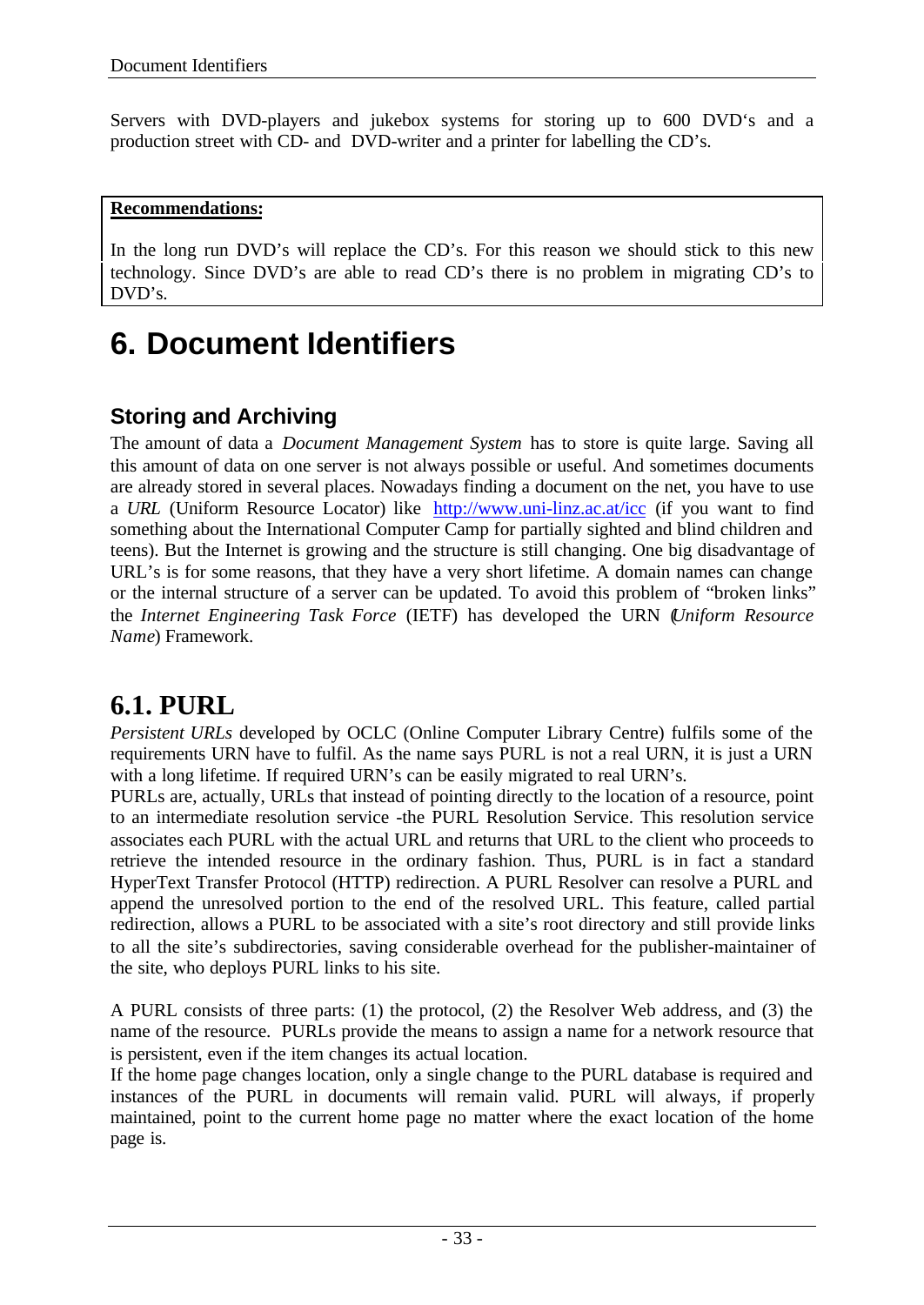Servers with DVD-players and jukebox systems for storing up to 600 DVD's and a production street with CD- and DVD-writer and a printer for labelling the CD's.

### **Recommendations:**

In the long run DVD's will replace the CD's. For this reason we should stick to this new technology. Since DVD's are able to read CD's there is no problem in migrating CD's to DVD's.

# **6. Document Identifiers**

## **Storing and Archiving**

The amount of data a *Document Management System* has to store is quite large. Saving all this amount of data on one server is not always possible or useful. And sometimes documents are already stored in several places. Nowadays finding a document on the net, you have to use a *URL* (Uniform Resource Locator) like http://www.uni-linz.ac.at/icc (if you want to find something about the International Computer Camp for partially sighted and blind children and teens). But the Internet is growing and the structure is still changing. One big disadvantage of URL's is for some reasons, that they have a very short lifetime. A domain names can change or the internal structure of a server can be updated. To avoid this problem of "broken links" the *Internet Engineering Task Force* (IETF) has developed the URN (*Uniform Resource Name*) Framework.

## **6.1. PURL**

*Persistent URLs* developed by OCLC (Online Computer Library Centre) fulfils some of the requirements URN have to fulfil. As the name says PURL is not a real URN, it is just a URN with a long lifetime. If required URN's can be easily migrated to real URN's.

PURLs are, actually, URLs that instead of pointing directly to the location of a resource, point to an intermediate resolution service -the PURL Resolution Service. This resolution service associates each PURL with the actual URL and returns that URL to the client who proceeds to retrieve the intended resource in the ordinary fashion. Thus, PURL is in fact a standard HyperText Transfer Protocol (HTTP) redirection. A PURL Resolver can resolve a PURL and append the unresolved portion to the end of the resolved URL. This feature, called partial redirection, allows a PURL to be associated with a site's root directory and still provide links to all the site's subdirectories, saving considerable overhead for the publisher-maintainer of the site, who deploys PURL links to his site.

A PURL consists of three parts: (1) the protocol, (2) the Resolver Web address, and (3) the name of the resource. PURLs provide the means to assign a name for a network resource that is persistent, even if the item changes its actual location.

If the home page changes location, only a single change to the PURL database is required and instances of the PURL in documents will remain valid. PURL will always, if properly maintained, point to the current home page no matter where the exact location of the home page is.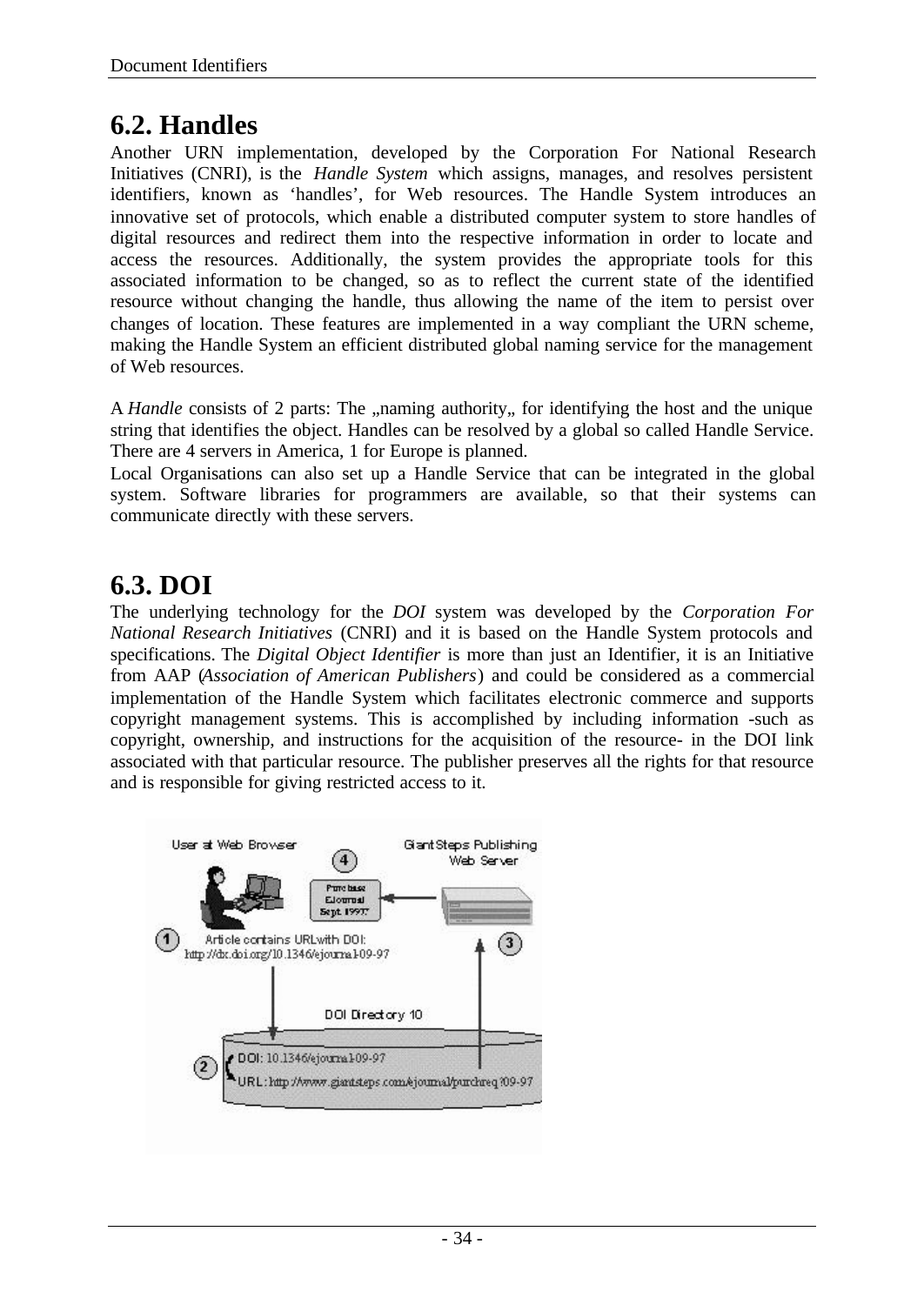## **6.2. Handles**

Another URN implementation, developed by the Corporation For National Research Initiatives (CNRI), is the *Handle System* which assigns, manages, and resolves persistent identifiers, known as 'handles', for Web resources. The Handle System introduces an innovative set of protocols, which enable a distributed computer system to store handles of digital resources and redirect them into the respective information in order to locate and access the resources. Additionally, the system provides the appropriate tools for this associated information to be changed, so as to reflect the current state of the identified resource without changing the handle, thus allowing the name of the item to persist over changes of location. These features are implemented in a way compliant the URN scheme, making the Handle System an efficient distributed global naming service for the management of Web resources.

A *Handle* consists of 2 parts: The "naming authority, for identifying the host and the unique string that identifies the object. Handles can be resolved by a global so called Handle Service. There are 4 servers in America, 1 for Europe is planned.

Local Organisations can also set up a Handle Service that can be integrated in the global system. Software libraries for programmers are available, so that their systems can communicate directly with these servers.

## **6.3. DOI**

The underlying technology for the *DOI* system was developed by the *Corporation For National Research Initiatives* (CNRI) and it is based on the Handle System protocols and specifications. The *Digital Object Identifier* is more than just an Identifier, it is an Initiative from AAP (*Association of American Publishers*) and could be considered as a commercial implementation of the Handle System which facilitates electronic commerce and supports copyright management systems. This is accomplished by including information -such as copyright, ownership, and instructions for the acquisition of the resource- in the DOI link associated with that particular resource. The publisher preserves all the rights for that resource and is responsible for giving restricted access to it.

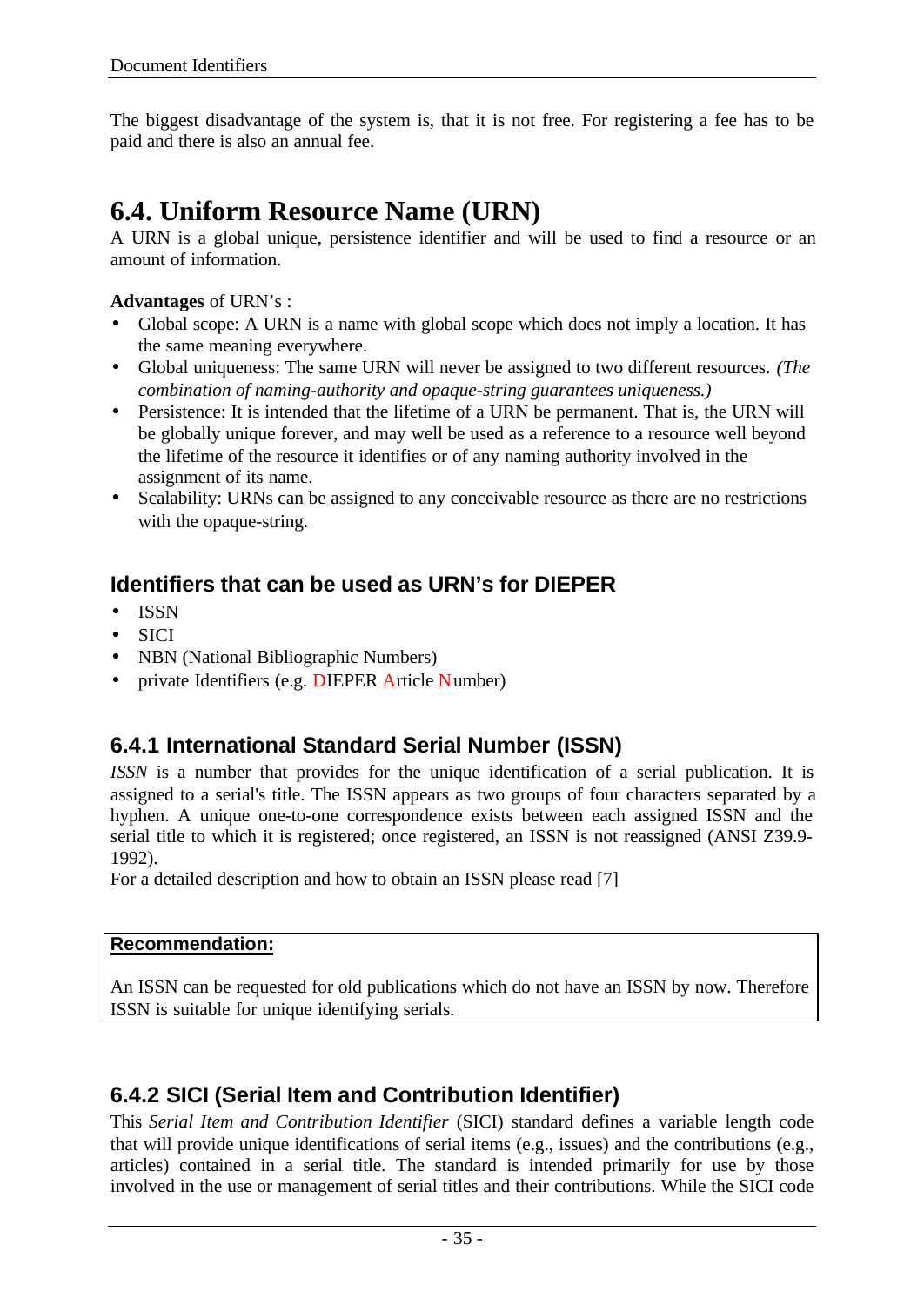The biggest disadvantage of the system is, that it is not free. For registering a fee has to be paid and there is also an annual fee.

## **6.4. Uniform Resource Name (URN)**

A URN is a global unique, persistence identifier and will be used to find a resource or an amount of information.

### **Advantages** of URN's :

- Global scope: A URN is a name with global scope which does not imply a location. It has the same meaning everywhere.
- Global uniqueness: The same URN will never be assigned to two different resources. *(The combination of naming-authority and opaque-string guarantees uniqueness.)*
- Persistence: It is intended that the lifetime of a URN be permanent. That is, the URN will be globally unique forever, and may well be used as a reference to a resource well beyond the lifetime of the resource it identifies or of any naming authority involved in the assignment of its name.
- Scalability: URNs can be assigned to any conceivable resource as there are no restrictions with the opaque-string.

## **Identifiers that can be used as URN's for DIEPER**

- ISSN
- SICI
- NBN (National Bibliographic Numbers)
- private Identifiers (e.g. DIEPER Article Number)

## **6.4.1 International Standard Serial Number (ISSN)**

*ISSN* is a number that provides for the unique identification of a serial publication. It is assigned to a serial's title. The ISSN appears as two groups of four characters separated by a hyphen. A unique one-to-one correspondence exists between each assigned ISSN and the serial title to which it is registered; once registered, an ISSN is not reassigned (ANSI Z39.9- 1992).

For a detailed description and how to obtain an ISSN please read [7]

### **Recommendation:**

An ISSN can be requested for old publications which do not have an ISSN by now. Therefore ISSN is suitable for unique identifying serials.

## **6.4.2 SICI (Serial Item and Contribution Identifier)**

This *Serial Item and Contribution Identifier* (SICI) standard defines a variable length code that will provide unique identifications of serial items (e.g., issues) and the contributions (e.g., articles) contained in a serial title. The standard is intended primarily for use by those involved in the use or management of serial titles and their contributions. While the SICI code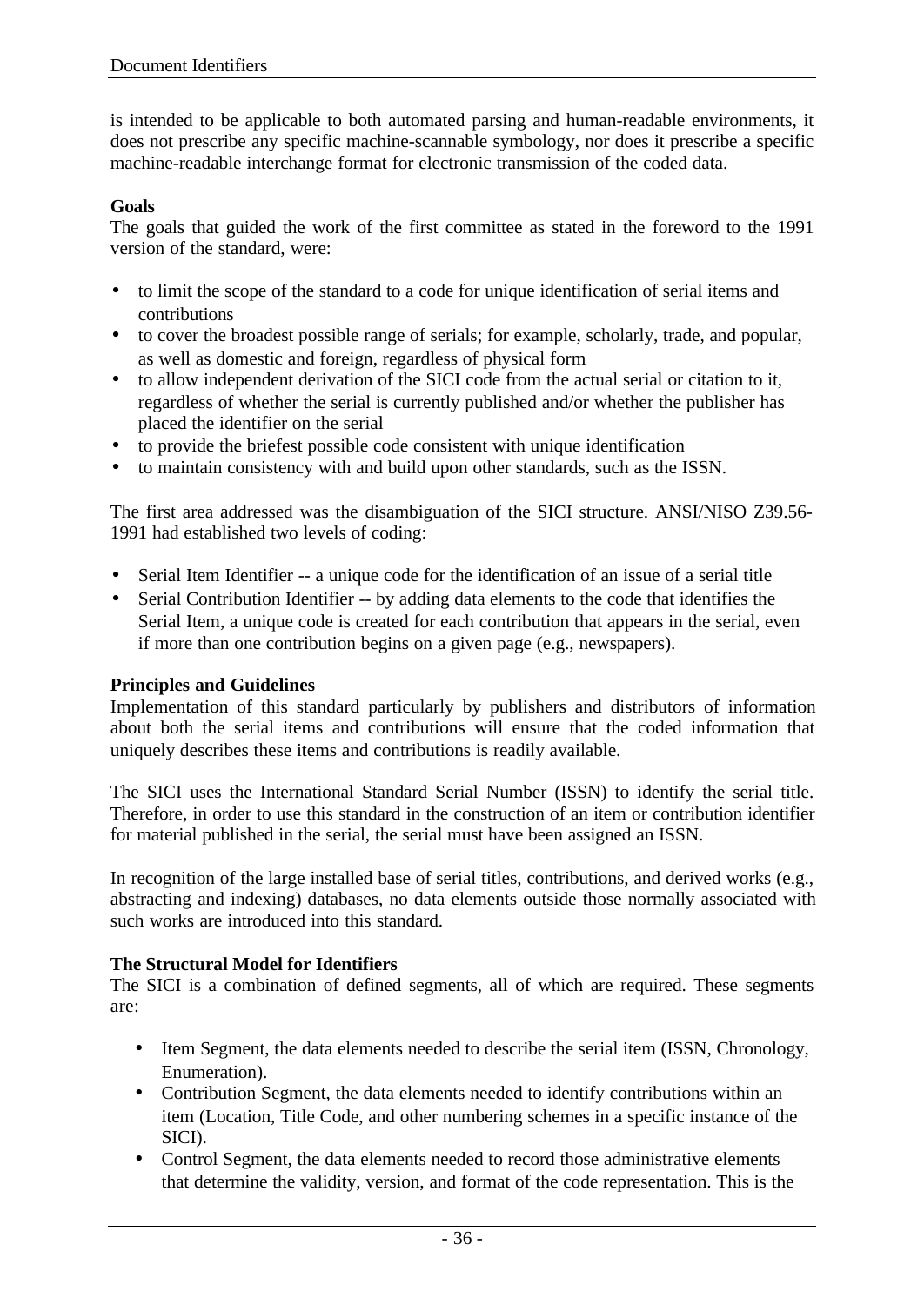is intended to be applicable to both automated parsing and human-readable environments, it does not prescribe any specific machine-scannable symbology, nor does it prescribe a specific machine-readable interchange format for electronic transmission of the coded data.

### **Goals**

The goals that guided the work of the first committee as stated in the foreword to the 1991 version of the standard, were:

- to limit the scope of the standard to a code for unique identification of serial items and contributions
- to cover the broadest possible range of serials; for example, scholarly, trade, and popular, as well as domestic and foreign, regardless of physical form
- to allow independent derivation of the SICI code from the actual serial or citation to it, regardless of whether the serial is currently published and/or whether the publisher has placed the identifier on the serial
- to provide the briefest possible code consistent with unique identification
- to maintain consistency with and build upon other standards, such as the ISSN.

The first area addressed was the disambiguation of the SICI structure. ANSI/NISO Z39.56- 1991 had established two levels of coding:

- Serial Item Identifier -- a unique code for the identification of an issue of a serial title
- Serial Contribution Identifier -- by adding data elements to the code that identifies the Serial Item, a unique code is created for each contribution that appears in the serial, even if more than one contribution begins on a given page (e.g., newspapers).

### **Principles and Guidelines**

Implementation of this standard particularly by publishers and distributors of information about both the serial items and contributions will ensure that the coded information that uniquely describes these items and contributions is readily available.

The SICI uses the International Standard Serial Number (ISSN) to identify the serial title. Therefore, in order to use this standard in the construction of an item or contribution identifier for material published in the serial, the serial must have been assigned an ISSN.

In recognition of the large installed base of serial titles, contributions, and derived works (e.g., abstracting and indexing) databases, no data elements outside those normally associated with such works are introduced into this standard.

### **The Structural Model for Identifiers**

The SICI is a combination of defined segments, all of which are required. These segments are:

- Item Segment, the data elements needed to describe the serial item (ISSN, Chronology, Enumeration).
- Contribution Segment, the data elements needed to identify contributions within an item (Location, Title Code, and other numbering schemes in a specific instance of the SICI).
- Control Segment, the data elements needed to record those administrative elements that determine the validity, version, and format of the code representation. This is the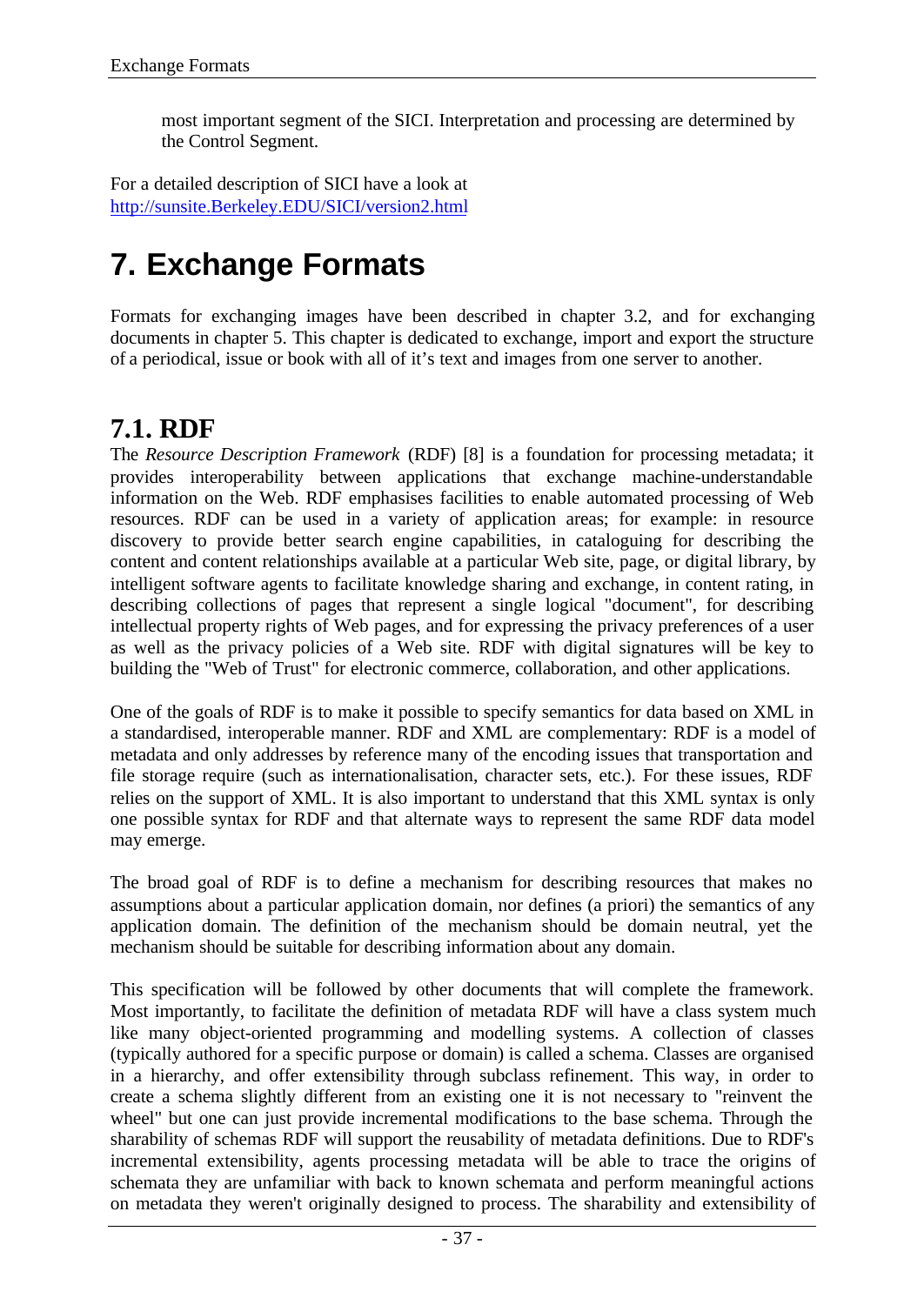most important segment of the SICI. Interpretation and processing are determined by the Control Segment.

For a detailed description of SICI have a look at http://sunsite.Berkeley.EDU/SICI/version2.html

# **7. Exchange Formats**

Formats for exchanging images have been described in chapter 3.2, and for exchanging documents in chapter 5. This chapter is dedicated to exchange, import and export the structure of a periodical, issue or book with all of it's text and images from one server to another.

## **7.1. RDF**

The *Resource Description Framework* (RDF) [8] is a foundation for processing metadata; it provides interoperability between applications that exchange machine-understandable information on the Web. RDF emphasises facilities to enable automated processing of Web resources. RDF can be used in a variety of application areas; for example: in resource discovery to provide better search engine capabilities, in cataloguing for describing the content and content relationships available at a particular Web site, page, or digital library, by intelligent software agents to facilitate knowledge sharing and exchange, in content rating, in describing collections of pages that represent a single logical "document", for describing intellectual property rights of Web pages, and for expressing the privacy preferences of a user as well as the privacy policies of a Web site. RDF with digital signatures will be key to building the "Web of Trust" for electronic commerce, collaboration, and other applications.

One of the goals of RDF is to make it possible to specify semantics for data based on XML in a standardised, interoperable manner. RDF and XML are complementary: RDF is a model of metadata and only addresses by reference many of the encoding issues that transportation and file storage require (such as internationalisation, character sets, etc.). For these issues, RDF relies on the support of XML. It is also important to understand that this XML syntax is only one possible syntax for RDF and that alternate ways to represent the same RDF data model may emerge.

The broad goal of RDF is to define a mechanism for describing resources that makes no assumptions about a particular application domain, nor defines (a priori) the semantics of any application domain. The definition of the mechanism should be domain neutral, yet the mechanism should be suitable for describing information about any domain.

This specification will be followed by other documents that will complete the framework. Most importantly, to facilitate the definition of metadata RDF will have a class system much like many object-oriented programming and modelling systems. A collection of classes (typically authored for a specific purpose or domain) is called a schema. Classes are organised in a hierarchy, and offer extensibility through subclass refinement. This way, in order to create a schema slightly different from an existing one it is not necessary to "reinvent the wheel" but one can just provide incremental modifications to the base schema. Through the sharability of schemas RDF will support the reusability of metadata definitions. Due to RDF's incremental extensibility, agents processing metadata will be able to trace the origins of schemata they are unfamiliar with back to known schemata and perform meaningful actions on metadata they weren't originally designed to process. The sharability and extensibility of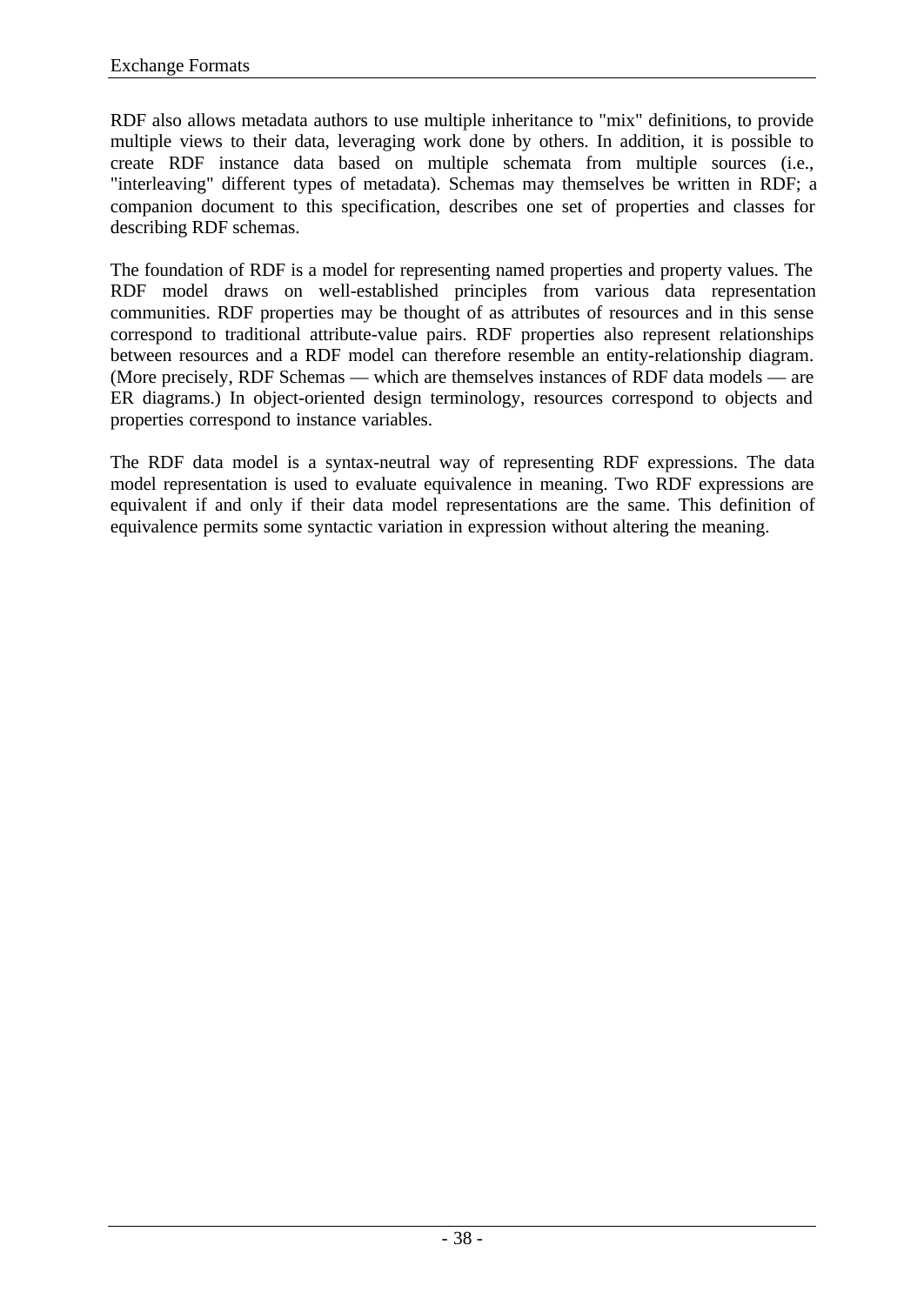RDF also allows metadata authors to use multiple inheritance to "mix" definitions, to provide multiple views to their data, leveraging work done by others. In addition, it is possible to create RDF instance data based on multiple schemata from multiple sources (i.e., "interleaving" different types of metadata). Schemas may themselves be written in RDF; a companion document to this specification, describes one set of properties and classes for describing RDF schemas.

The foundation of RDF is a model for representing named properties and property values. The RDF model draws on well-established principles from various data representation communities. RDF properties may be thought of as attributes of resources and in this sense correspond to traditional attribute-value pairs. RDF properties also represent relationships between resources and a RDF model can therefore resemble an entity-relationship diagram. (More precisely, RDF Schemas — which are themselves instances of RDF data models — are ER diagrams.) In object-oriented design terminology, resources correspond to objects and properties correspond to instance variables.

The RDF data model is a syntax-neutral way of representing RDF expressions. The data model representation is used to evaluate equivalence in meaning. Two RDF expressions are equivalent if and only if their data model representations are the same. This definition of equivalence permits some syntactic variation in expression without altering the meaning.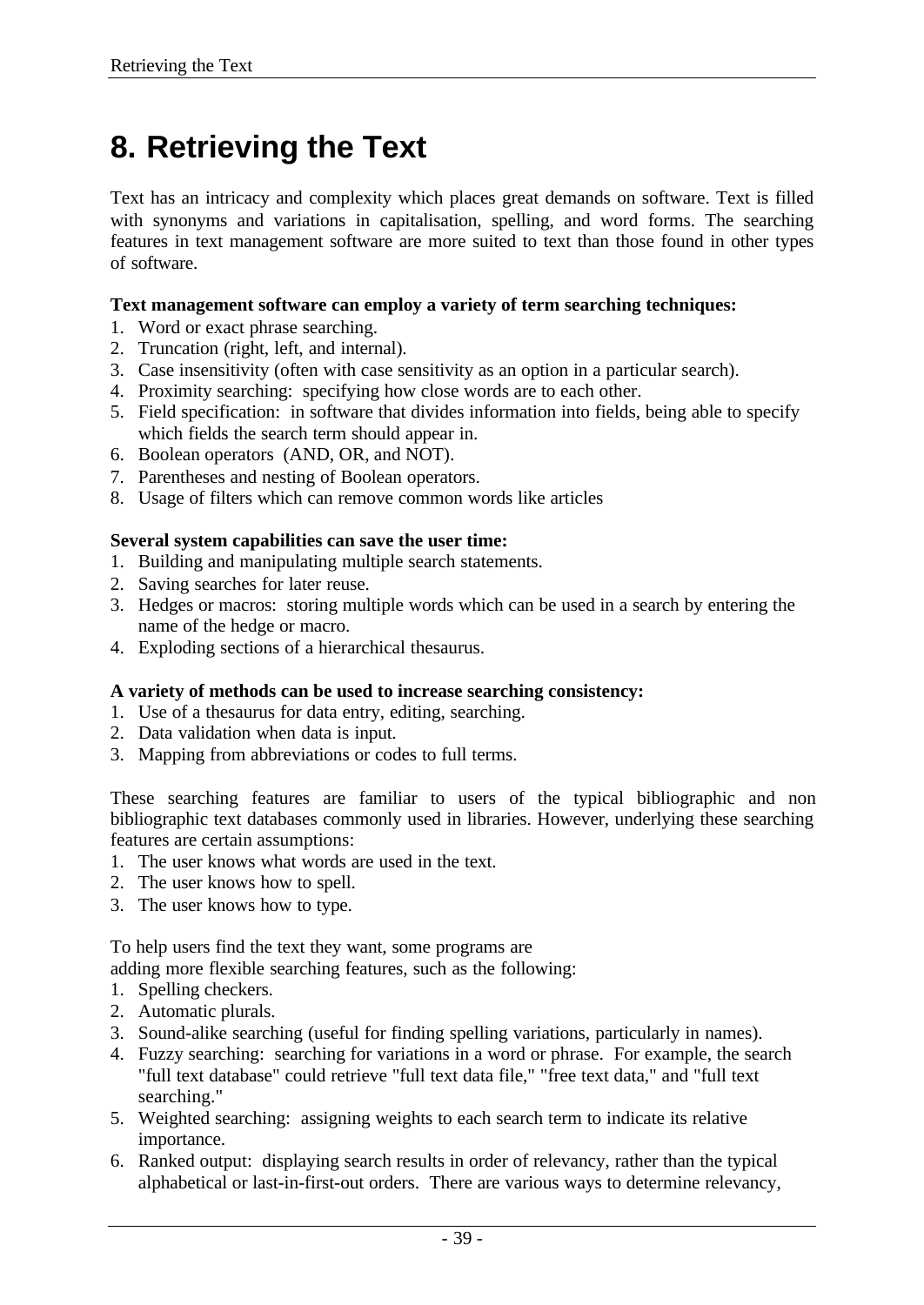# **8. Retrieving the Text**

Text has an intricacy and complexity which places great demands on software. Text is filled with synonyms and variations in capitalisation, spelling, and word forms. The searching features in text management software are more suited to text than those found in other types of software.

### **Text management software can employ a variety of term searching techniques:**

- 1. Word or exact phrase searching.
- 2. Truncation (right, left, and internal).
- 3. Case insensitivity (often with case sensitivity as an option in a particular search).
- 4. Proximity searching: specifying how close words are to each other.
- 5. Field specification: in software that divides information into fields, being able to specify which fields the search term should appear in.
- 6. Boolean operators (AND, OR, and NOT).
- 7. Parentheses and nesting of Boolean operators.
- 8. Usage of filters which can remove common words like articles

#### **Several system capabilities can save the user time:**

- 1. Building and manipulating multiple search statements.
- 2. Saving searches for later reuse.
- 3. Hedges or macros: storing multiple words which can be used in a search by entering the name of the hedge or macro.
- 4. Exploding sections of a hierarchical thesaurus.

### **A variety of methods can be used to increase searching consistency:**

- 1. Use of a thesaurus for data entry, editing, searching.
- 2. Data validation when data is input.
- 3. Mapping from abbreviations or codes to full terms.

These searching features are familiar to users of the typical bibliographic and non bibliographic text databases commonly used in libraries. However, underlying these searching features are certain assumptions:

- 1. The user knows what words are used in the text.
- 2. The user knows how to spell.
- 3. The user knows how to type.

To help users find the text they want, some programs are

adding more flexible searching features, such as the following:

- 1. Spelling checkers.
- 2. Automatic plurals.
- 3. Sound-alike searching (useful for finding spelling variations, particularly in names).
- 4. Fuzzy searching: searching for variations in a word or phrase. For example, the search "full text database" could retrieve "full text data file," "free text data," and "full text searching."
- 5. Weighted searching: assigning weights to each search term to indicate its relative importance.
- 6. Ranked output: displaying search results in order of relevancy, rather than the typical alphabetical or last-in-first-out orders. There are various ways to determine relevancy,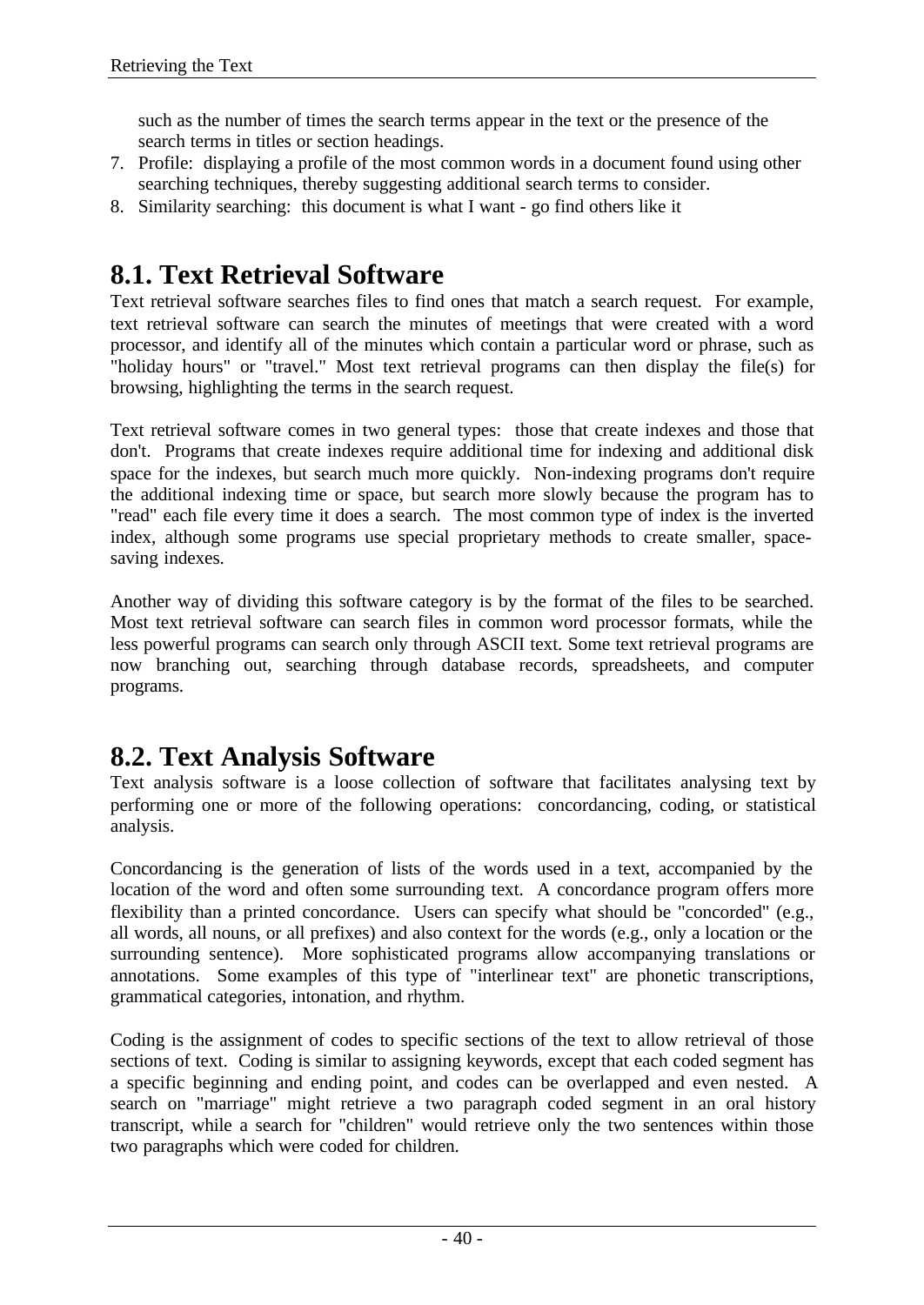such as the number of times the search terms appear in the text or the presence of the search terms in titles or section headings.

- 7. Profile: displaying a profile of the most common words in a document found using other searching techniques, thereby suggesting additional search terms to consider.
- 8. Similarity searching: this document is what I want go find others like it

## **8.1. Text Retrieval Software**

Text retrieval software searches files to find ones that match a search request. For example, text retrieval software can search the minutes of meetings that were created with a word processor, and identify all of the minutes which contain a particular word or phrase, such as "holiday hours" or "travel." Most text retrieval programs can then display the file(s) for browsing, highlighting the terms in the search request.

Text retrieval software comes in two general types: those that create indexes and those that don't. Programs that create indexes require additional time for indexing and additional disk space for the indexes, but search much more quickly. Non-indexing programs don't require the additional indexing time or space, but search more slowly because the program has to "read" each file every time it does a search. The most common type of index is the inverted index, although some programs use special proprietary methods to create smaller, spacesaving indexes.

Another way of dividing this software category is by the format of the files to be searched. Most text retrieval software can search files in common word processor formats, while the less powerful programs can search only through ASCII text. Some text retrieval programs are now branching out, searching through database records, spreadsheets, and computer programs.

## **8.2. Text Analysis Software**

Text analysis software is a loose collection of software that facilitates analysing text by performing one or more of the following operations: concordancing, coding, or statistical analysis.

Concordancing is the generation of lists of the words used in a text, accompanied by the location of the word and often some surrounding text. A concordance program offers more flexibility than a printed concordance. Users can specify what should be "concorded" (e.g., all words, all nouns, or all prefixes) and also context for the words (e.g., only a location or the surrounding sentence). More sophisticated programs allow accompanying translations or annotations. Some examples of this type of "interlinear text" are phonetic transcriptions, grammatical categories, intonation, and rhythm.

Coding is the assignment of codes to specific sections of the text to allow retrieval of those sections of text. Coding is similar to assigning keywords, except that each coded segment has a specific beginning and ending point, and codes can be overlapped and even nested. A search on "marriage" might retrieve a two paragraph coded segment in an oral history transcript, while a search for "children" would retrieve only the two sentences within those two paragraphs which were coded for children.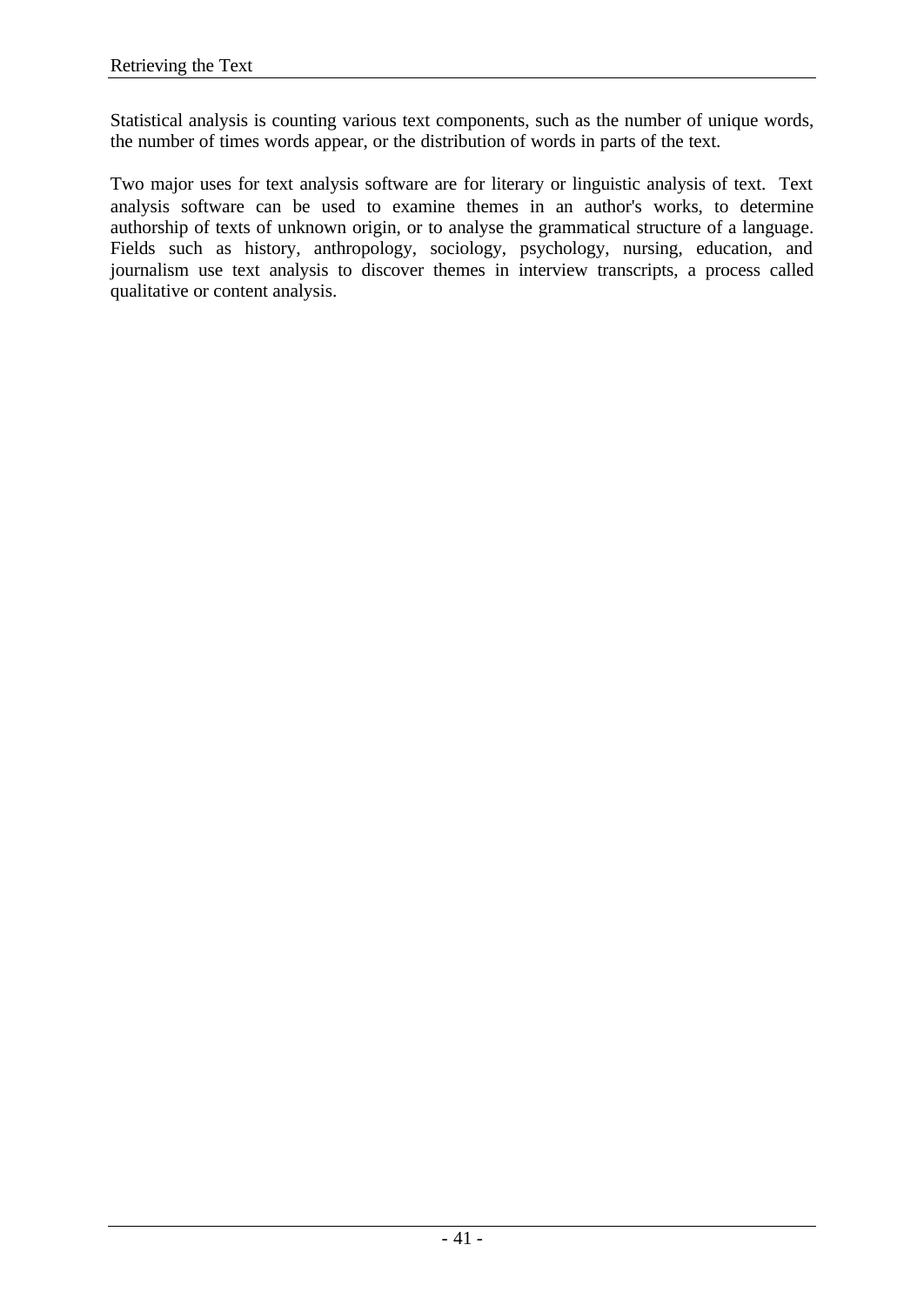Statistical analysis is counting various text components, such as the number of unique words, the number of times words appear, or the distribution of words in parts of the text.

Two major uses for text analysis software are for literary or linguistic analysis of text. Text analysis software can be used to examine themes in an author's works, to determine authorship of texts of unknown origin, or to analyse the grammatical structure of a language. Fields such as history, anthropology, sociology, psychology, nursing, education, and journalism use text analysis to discover themes in interview transcripts, a process called qualitative or content analysis.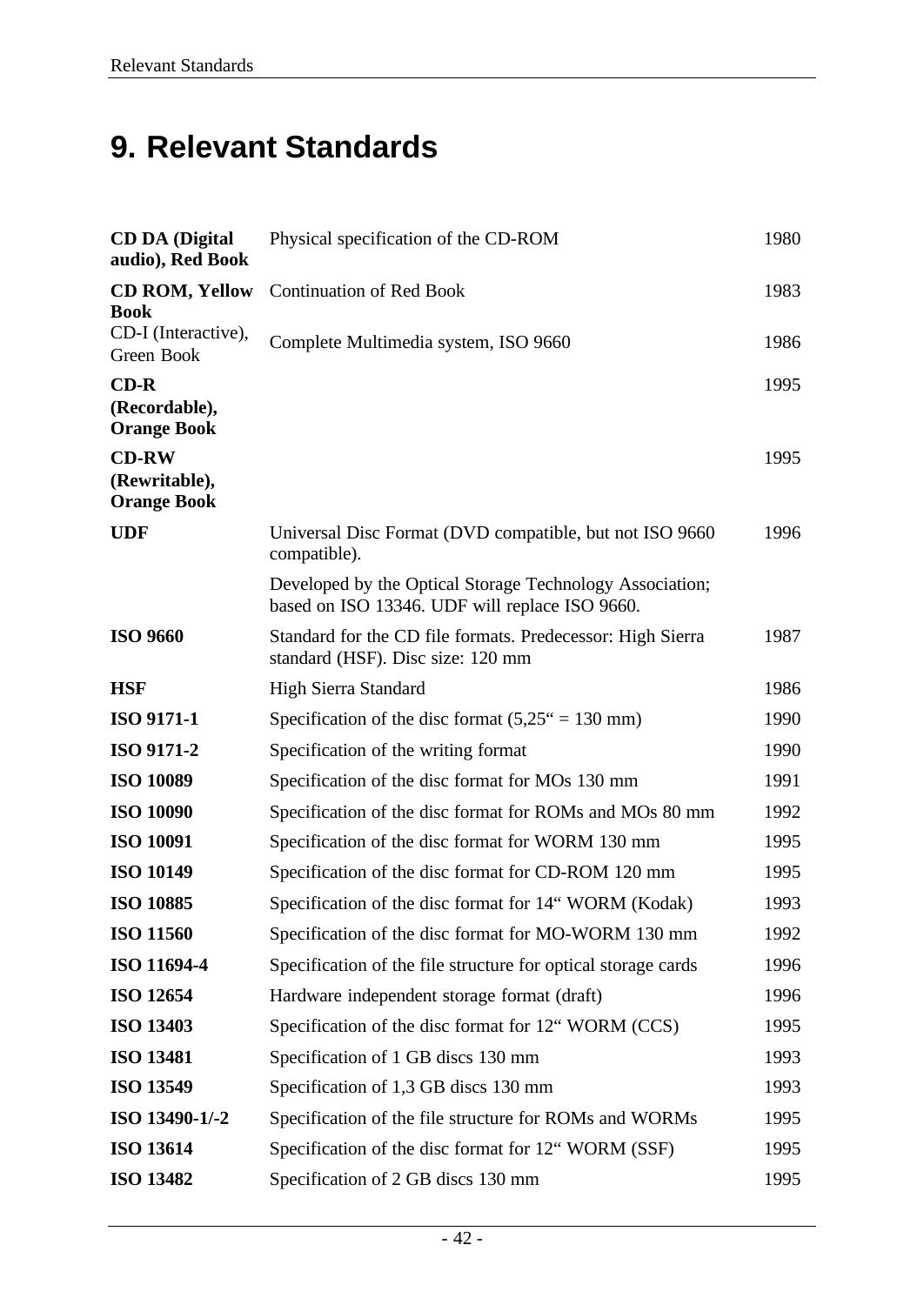# **9. Relevant Standards**

| <b>CD DA (Digital)</b><br>audio), Red Book          | Physical specification of the CD-ROM                                                                       | 1980 |
|-----------------------------------------------------|------------------------------------------------------------------------------------------------------------|------|
| <b>CD ROM, Yellow</b><br><b>Book</b>                | <b>Continuation of Red Book</b>                                                                            | 1983 |
| CD-I (Interactive),<br>Green Book                   | Complete Multimedia system, ISO 9660                                                                       | 1986 |
| $CD-R$<br>(Recordable),<br><b>Orange Book</b>       |                                                                                                            | 1995 |
| <b>CD-RW</b><br>(Rewritable),<br><b>Orange Book</b> |                                                                                                            | 1995 |
| <b>UDF</b>                                          | Universal Disc Format (DVD compatible, but not ISO 9660)<br>compatible).                                   | 1996 |
|                                                     | Developed by the Optical Storage Technology Association;<br>based on ISO 13346. UDF will replace ISO 9660. |      |
| <b>ISO 9660</b>                                     | Standard for the CD file formats. Predecessor: High Sierra<br>standard (HSF). Disc size: 120 mm            | 1987 |
| <b>HSF</b>                                          | High Sierra Standard                                                                                       | 1986 |
| <b>ISO 9171-1</b>                                   | Specification of the disc format $(5,25^{\circ} = 130 \text{ mm})$                                         | 1990 |
| <b>ISO 9171-2</b>                                   | Specification of the writing format                                                                        | 1990 |
| <b>ISO 10089</b>                                    | Specification of the disc format for MOs 130 mm                                                            | 1991 |
| <b>ISO 10090</b>                                    | Specification of the disc format for ROMs and MOs 80 mm                                                    | 1992 |
| <b>ISO 10091</b>                                    | Specification of the disc format for WORM 130 mm                                                           | 1995 |
| <b>ISO 10149</b>                                    | Specification of the disc format for CD-ROM 120 mm                                                         | 1995 |
| <b>ISO 10885</b>                                    | Specification of the disc format for 14" WORM (Kodak)                                                      | 1993 |
| <b>ISO 11560</b>                                    | Specification of the disc format for MO-WORM 130 mm                                                        | 1992 |
| ISO 11694-4                                         | Specification of the file structure for optical storage cards                                              | 1996 |
| <b>ISO 12654</b>                                    | Hardware independent storage format (draft)                                                                | 1996 |
| <b>ISO 13403</b>                                    | Specification of the disc format for 12" WORM (CCS)                                                        | 1995 |
| <b>ISO 13481</b>                                    | Specification of 1 GB discs 130 mm                                                                         | 1993 |
| <b>ISO 13549</b>                                    | Specification of 1,3 GB discs 130 mm                                                                       | 1993 |
| ISO 13490-1/-2                                      | Specification of the file structure for ROMs and WORMs                                                     | 1995 |
| <b>ISO 13614</b>                                    | Specification of the disc format for 12" WORM (SSF)                                                        | 1995 |
| <b>ISO 13482</b>                                    | Specification of 2 GB discs 130 mm                                                                         | 1995 |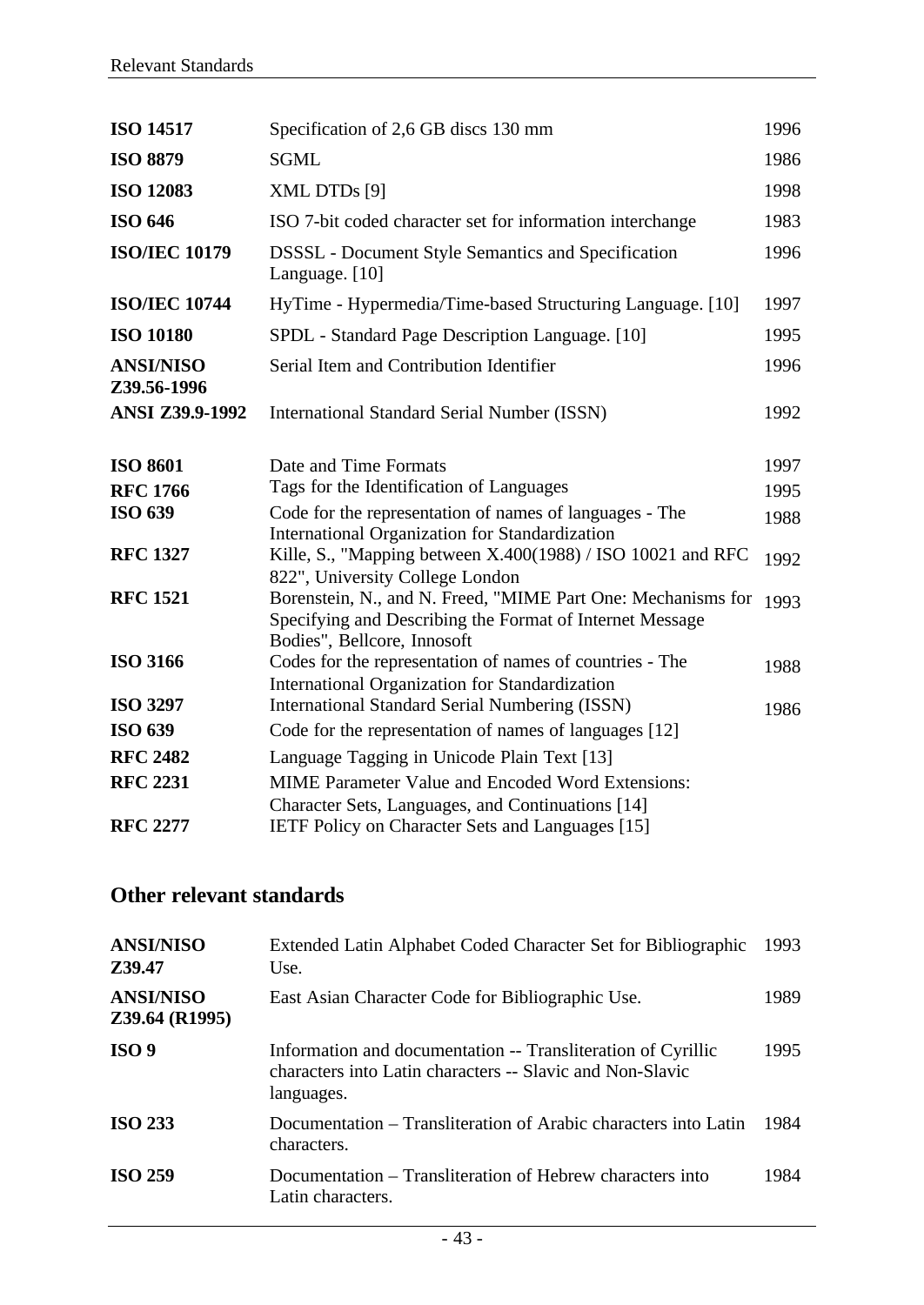| <b>ISO 14517</b>                   | Specification of 2,6 GB discs 130 mm                                                                                                                    | 1996         |
|------------------------------------|---------------------------------------------------------------------------------------------------------------------------------------------------------|--------------|
| <b>ISO 8879</b>                    | <b>SGML</b>                                                                                                                                             | 1986         |
| <b>ISO 12083</b>                   | XML DTDs [9]                                                                                                                                            | 1998         |
| <b>ISO 646</b>                     | ISO 7-bit coded character set for information interchange                                                                                               | 1983         |
| <b>ISO/IEC 10179</b>               | <b>DSSSL</b> - Document Style Semantics and Specification<br>Language. [10]                                                                             | 1996         |
| <b>ISO/IEC 10744</b>               | HyTime - Hypermedia/Time-based Structuring Language. [10]                                                                                               | 1997         |
| <b>ISO 10180</b>                   | SPDL - Standard Page Description Language. [10]                                                                                                         | 1995         |
| <b>ANSI/NISO</b><br>Z39.56-1996    | Serial Item and Contribution Identifier                                                                                                                 | 1996         |
| <b>ANSI Z39.9-1992</b>             | <b>International Standard Serial Number (ISSN)</b>                                                                                                      | 1992         |
| <b>ISO 8601</b><br><b>RFC 1766</b> | Date and Time Formats<br>Tags for the Identification of Languages                                                                                       | 1997<br>1995 |
| <b>ISO 639</b>                     | Code for the representation of names of languages - The<br>International Organization for Standardization                                               | 1988         |
| <b>RFC 1327</b>                    | Kille, S., "Mapping between X.400(1988) / ISO 10021 and RFC<br>822", University College London                                                          | 1992         |
| <b>RFC 1521</b>                    | Borenstein, N., and N. Freed, "MIME Part One: Mechanisms for<br>Specifying and Describing the Format of Internet Message<br>Bodies", Bellcore, Innosoft | 1993         |
| <b>ISO 3166</b>                    | Codes for the representation of names of countries - The<br>International Organization for Standardization                                              | 1988         |
| <b>ISO 3297</b>                    | <b>International Standard Serial Numbering (ISSN)</b>                                                                                                   | 1986         |
| <b>ISO 639</b>                     | Code for the representation of names of languages [12]                                                                                                  |              |
| <b>RFC 2482</b>                    | Language Tagging in Unicode Plain Text [13]                                                                                                             |              |
| <b>RFC 2231</b>                    | <b>MIME</b> Parameter Value and Encoded Word Extensions:<br>Character Sets, Languages, and Continuations [14]                                           |              |
| <b>RFC 2277</b>                    | IETF Policy on Character Sets and Languages [15]                                                                                                        |              |

## **Other relevant standards**

| <b>ANSI/NISO</b><br>Z39.47         | Extended Latin Alphabet Coded Character Set for Bibliographic<br>Use.                                                                   | 1993 |
|------------------------------------|-----------------------------------------------------------------------------------------------------------------------------------------|------|
| <b>ANSI/NISO</b><br>Z39.64 (R1995) | East Asian Character Code for Bibliographic Use.                                                                                        | 1989 |
| ISO <sub>9</sub>                   | Information and documentation -- Transliteration of Cyrillic<br>characters into Latin characters -- Slavic and Non-Slavic<br>languages. | 1995 |
| <b>ISO 233</b>                     | Documentation – Transliteration of Arabic characters into Latin<br>characters.                                                          | 1984 |
| <b>ISO 259</b>                     | Documentation – Transliteration of Hebrew characters into<br>Latin characters.                                                          | 1984 |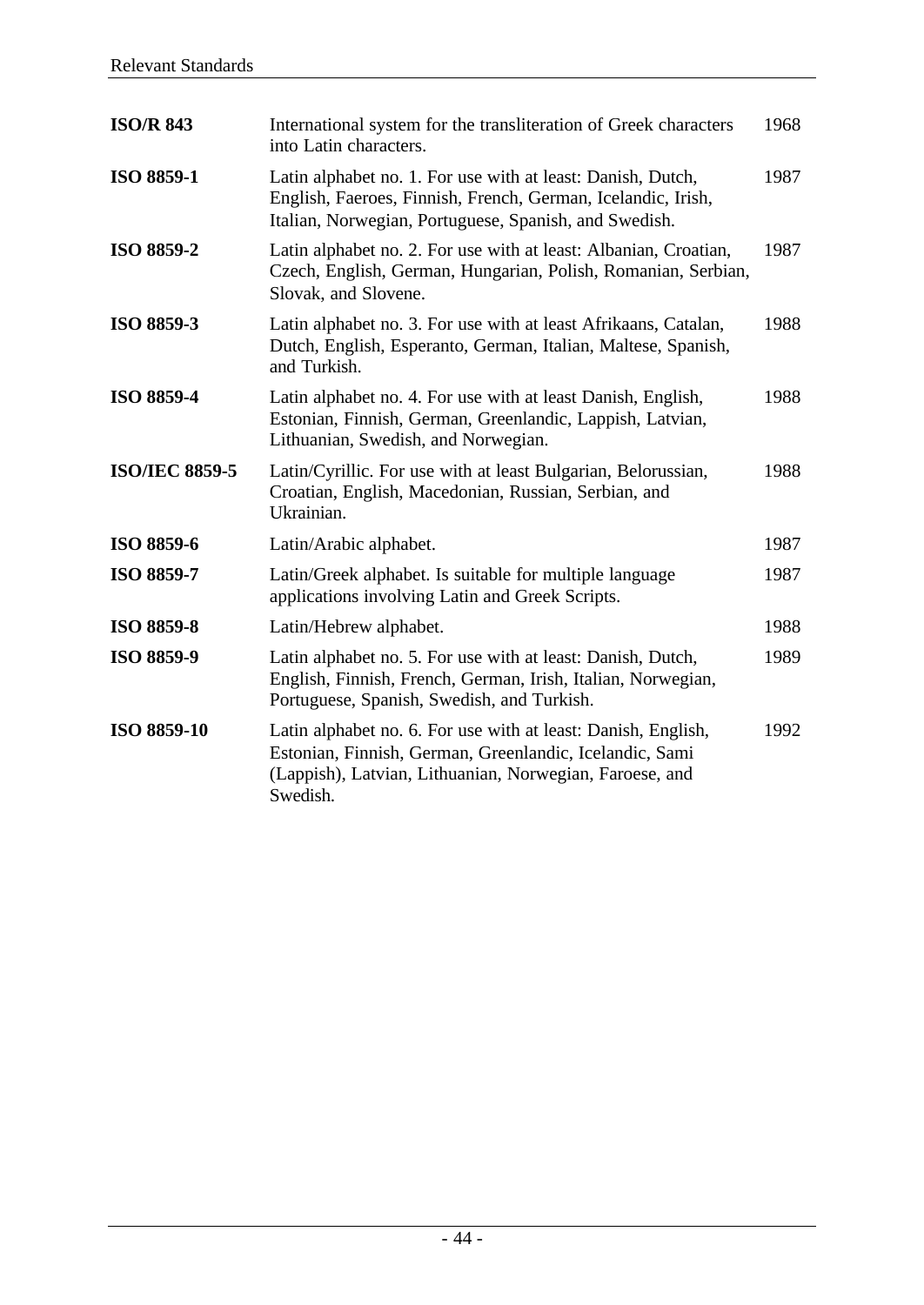| <b>ISO/R 843</b>      | International system for the transliteration of Greek characters<br>into Latin characters.                                                                                                      | 1968 |
|-----------------------|-------------------------------------------------------------------------------------------------------------------------------------------------------------------------------------------------|------|
| ISO 8859-1            | Latin alphabet no. 1. For use with at least: Danish, Dutch,<br>English, Faeroes, Finnish, French, German, Icelandic, Irish,<br>Italian, Norwegian, Portuguese, Spanish, and Swedish.            | 1987 |
| ISO 8859-2            | Latin alphabet no. 2. For use with at least: Albanian, Croatian,<br>Czech, English, German, Hungarian, Polish, Romanian, Serbian,<br>Slovak, and Slovene.                                       | 1987 |
| <b>ISO 8859-3</b>     | Latin alphabet no. 3. For use with at least Afrikaans, Catalan,<br>Dutch, English, Esperanto, German, Italian, Maltese, Spanish,<br>and Turkish.                                                | 1988 |
| <b>ISO 8859-4</b>     | Latin alphabet no. 4. For use with at least Danish, English,<br>Estonian, Finnish, German, Greenlandic, Lappish, Latvian,<br>Lithuanian, Swedish, and Norwegian.                                | 1988 |
| <b>ISO/IEC 8859-5</b> | Latin/Cyrillic. For use with at least Bulgarian, Belorussian,<br>Croatian, English, Macedonian, Russian, Serbian, and<br>Ukrainian.                                                             | 1988 |
| ISO 8859-6            | Latin/Arabic alphabet.                                                                                                                                                                          | 1987 |
| <b>ISO 8859-7</b>     | Latin/Greek alphabet. Is suitable for multiple language<br>applications involving Latin and Greek Scripts.                                                                                      | 1987 |
| <b>ISO 8859-8</b>     | Latin/Hebrew alphabet.                                                                                                                                                                          | 1988 |
| <b>ISO 8859-9</b>     | Latin alphabet no. 5. For use with at least: Danish, Dutch,<br>English, Finnish, French, German, Irish, Italian, Norwegian,<br>Portuguese, Spanish, Swedish, and Turkish.                       | 1989 |
| ISO 8859-10           | Latin alphabet no. 6. For use with at least: Danish, English,<br>Estonian, Finnish, German, Greenlandic, Icelandic, Sami<br>(Lappish), Latvian, Lithuanian, Norwegian, Faroese, and<br>Swedish. | 1992 |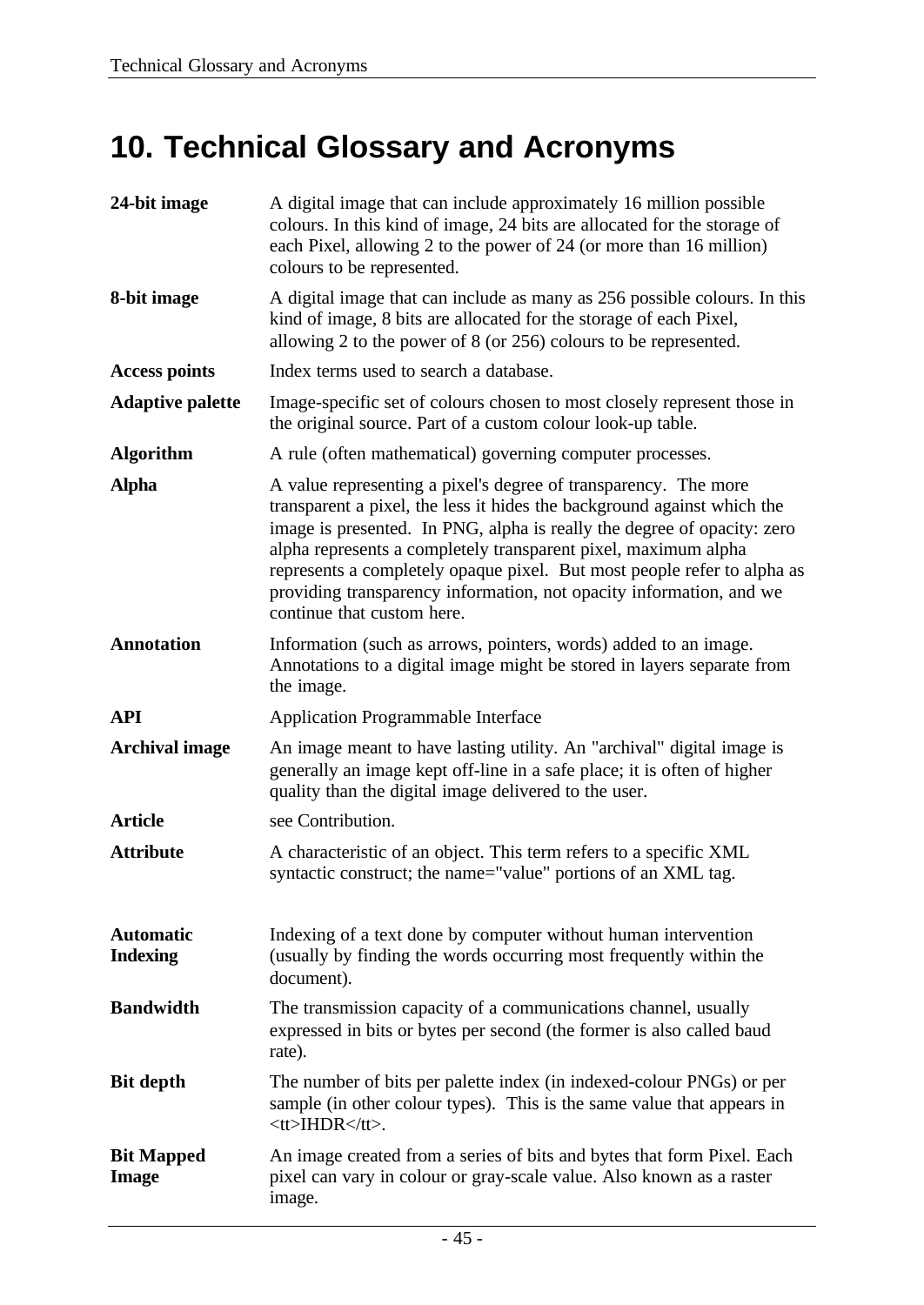# **10. Technical Glossary and Acronyms**

| 24-bit image                        | A digital image that can include approximately 16 million possible<br>colours. In this kind of image, 24 bits are allocated for the storage of<br>each Pixel, allowing 2 to the power of 24 (or more than 16 million)<br>colours to be represented.                                                                                                                                                                                                                     |
|-------------------------------------|-------------------------------------------------------------------------------------------------------------------------------------------------------------------------------------------------------------------------------------------------------------------------------------------------------------------------------------------------------------------------------------------------------------------------------------------------------------------------|
| 8-bit image                         | A digital image that can include as many as 256 possible colours. In this<br>kind of image, 8 bits are allocated for the storage of each Pixel,<br>allowing 2 to the power of 8 (or 256) colours to be represented.                                                                                                                                                                                                                                                     |
| <b>Access points</b>                | Index terms used to search a database.                                                                                                                                                                                                                                                                                                                                                                                                                                  |
| <b>Adaptive palette</b>             | Image-specific set of colours chosen to most closely represent those in<br>the original source. Part of a custom colour look-up table.                                                                                                                                                                                                                                                                                                                                  |
| <b>Algorithm</b>                    | A rule (often mathematical) governing computer processes.                                                                                                                                                                                                                                                                                                                                                                                                               |
| <b>Alpha</b>                        | A value representing a pixel's degree of transparency. The more<br>transparent a pixel, the less it hides the background against which the<br>image is presented. In PNG, alpha is really the degree of opacity: zero<br>alpha represents a completely transparent pixel, maximum alpha<br>represents a completely opaque pixel. But most people refer to alpha as<br>providing transparency information, not opacity information, and we<br>continue that custom here. |
| <b>Annotation</b>                   | Information (such as arrows, pointers, words) added to an image.<br>Annotations to a digital image might be stored in layers separate from<br>the image.                                                                                                                                                                                                                                                                                                                |
| <b>API</b>                          | <b>Application Programmable Interface</b>                                                                                                                                                                                                                                                                                                                                                                                                                               |
| <b>Archival image</b>               | An image meant to have lasting utility. An "archival" digital image is<br>generally an image kept off-line in a safe place; it is often of higher<br>quality than the digital image delivered to the user.                                                                                                                                                                                                                                                              |
| <b>Article</b>                      | see Contribution.                                                                                                                                                                                                                                                                                                                                                                                                                                                       |
| <b>Attribute</b>                    | A characteristic of an object. This term refers to a specific XML<br>syntactic construct; the name="value" portions of an XML tag.                                                                                                                                                                                                                                                                                                                                      |
| <b>Automatic</b><br><b>Indexing</b> | Indexing of a text done by computer without human intervention<br>(usually by finding the words occurring most frequently within the<br>document).                                                                                                                                                                                                                                                                                                                      |
| <b>Bandwidth</b>                    | The transmission capacity of a communications channel, usually<br>expressed in bits or bytes per second (the former is also called baud<br>rate).                                                                                                                                                                                                                                                                                                                       |
| <b>Bit depth</b>                    | The number of bits per palette index (in indexed-colour PNGs) or per<br>sample (in other colour types). This is the same value that appears in<br>$ltt$ > HDR $lt/t$ >.                                                                                                                                                                                                                                                                                                 |
| <b>Bit Mapped</b><br><b>Image</b>   | An image created from a series of bits and bytes that form Pixel. Each<br>pixel can vary in colour or gray-scale value. Also known as a raster<br>image.                                                                                                                                                                                                                                                                                                                |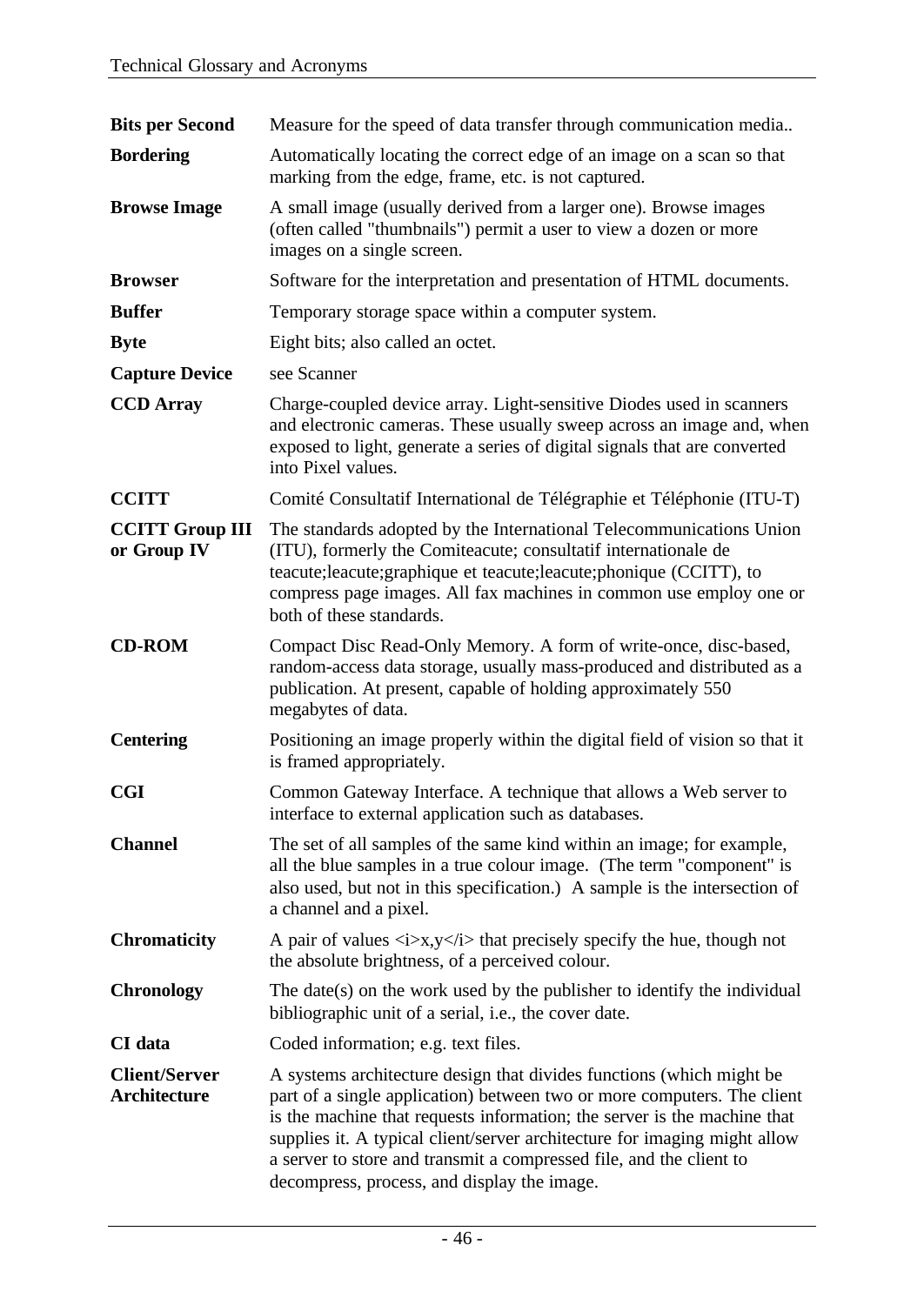| <b>Bits per Second</b>                      | Measure for the speed of data transfer through communication media                                                                                                                                                                                                                                                                                                                                                             |
|---------------------------------------------|--------------------------------------------------------------------------------------------------------------------------------------------------------------------------------------------------------------------------------------------------------------------------------------------------------------------------------------------------------------------------------------------------------------------------------|
| <b>Bordering</b>                            | Automatically locating the correct edge of an image on a scan so that<br>marking from the edge, frame, etc. is not captured.                                                                                                                                                                                                                                                                                                   |
| <b>Browse Image</b>                         | A small image (usually derived from a larger one). Browse images<br>(often called "thumbnails") permit a user to view a dozen or more<br>images on a single screen.                                                                                                                                                                                                                                                            |
| <b>Browser</b>                              | Software for the interpretation and presentation of HTML documents.                                                                                                                                                                                                                                                                                                                                                            |
| <b>Buffer</b>                               | Temporary storage space within a computer system.                                                                                                                                                                                                                                                                                                                                                                              |
| <b>Byte</b>                                 | Eight bits; also called an octet.                                                                                                                                                                                                                                                                                                                                                                                              |
| <b>Capture Device</b>                       | see Scanner                                                                                                                                                                                                                                                                                                                                                                                                                    |
| <b>CCD</b> Array                            | Charge-coupled device array. Light-sensitive Diodes used in scanners<br>and electronic cameras. These usually sweep across an image and, when<br>exposed to light, generate a series of digital signals that are converted<br>into Pixel values.                                                                                                                                                                               |
| <b>CCITT</b>                                | Comité Consultatif International de Télégraphie et Téléphonie (ITU-T)                                                                                                                                                                                                                                                                                                                                                          |
| <b>CCITT Group III</b><br>or Group IV       | The standards adopted by the International Telecommunications Union<br>(ITU), formerly the Comiteacute; consultatif internationale de<br>teacute; leacute; graphique et teacute; leacute; phonique (CCITT), to<br>compress page images. All fax machines in common use employ one or<br>both of these standards.                                                                                                               |
| <b>CD-ROM</b>                               | Compact Disc Read-Only Memory. A form of write-once, disc-based,<br>random-access data storage, usually mass-produced and distributed as a<br>publication. At present, capable of holding approximately 550<br>megabytes of data.                                                                                                                                                                                              |
| <b>Centering</b>                            | Positioning an image properly within the digital field of vision so that it<br>is framed appropriately.                                                                                                                                                                                                                                                                                                                        |
| <b>CGI</b>                                  | Common Gateway Interface. A technique that allows a Web server to<br>interface to external application such as databases.                                                                                                                                                                                                                                                                                                      |
| <b>Channel</b>                              | The set of all samples of the same kind within an image; for example,<br>all the blue samples in a true colour image. (The term "component" is<br>also used, but not in this specification.) A sample is the intersection of<br>a channel and a pixel.                                                                                                                                                                         |
| <b>Chromaticity</b>                         | A pair of values $\langle i \rangle x, y \langle i \rangle$ that precisely specify the hue, though not<br>the absolute brightness, of a perceived colour.                                                                                                                                                                                                                                                                      |
| <b>Chronology</b>                           | The date(s) on the work used by the publisher to identify the individual<br>bibliographic unit of a serial, i.e., the cover date.                                                                                                                                                                                                                                                                                              |
| CI data                                     | Coded information; e.g. text files.                                                                                                                                                                                                                                                                                                                                                                                            |
| <b>Client/Server</b><br><b>Architecture</b> | A systems architecture design that divides functions (which might be<br>part of a single application) between two or more computers. The client<br>is the machine that requests information; the server is the machine that<br>supplies it. A typical client/server architecture for imaging might allow<br>a server to store and transmit a compressed file, and the client to<br>decompress, process, and display the image. |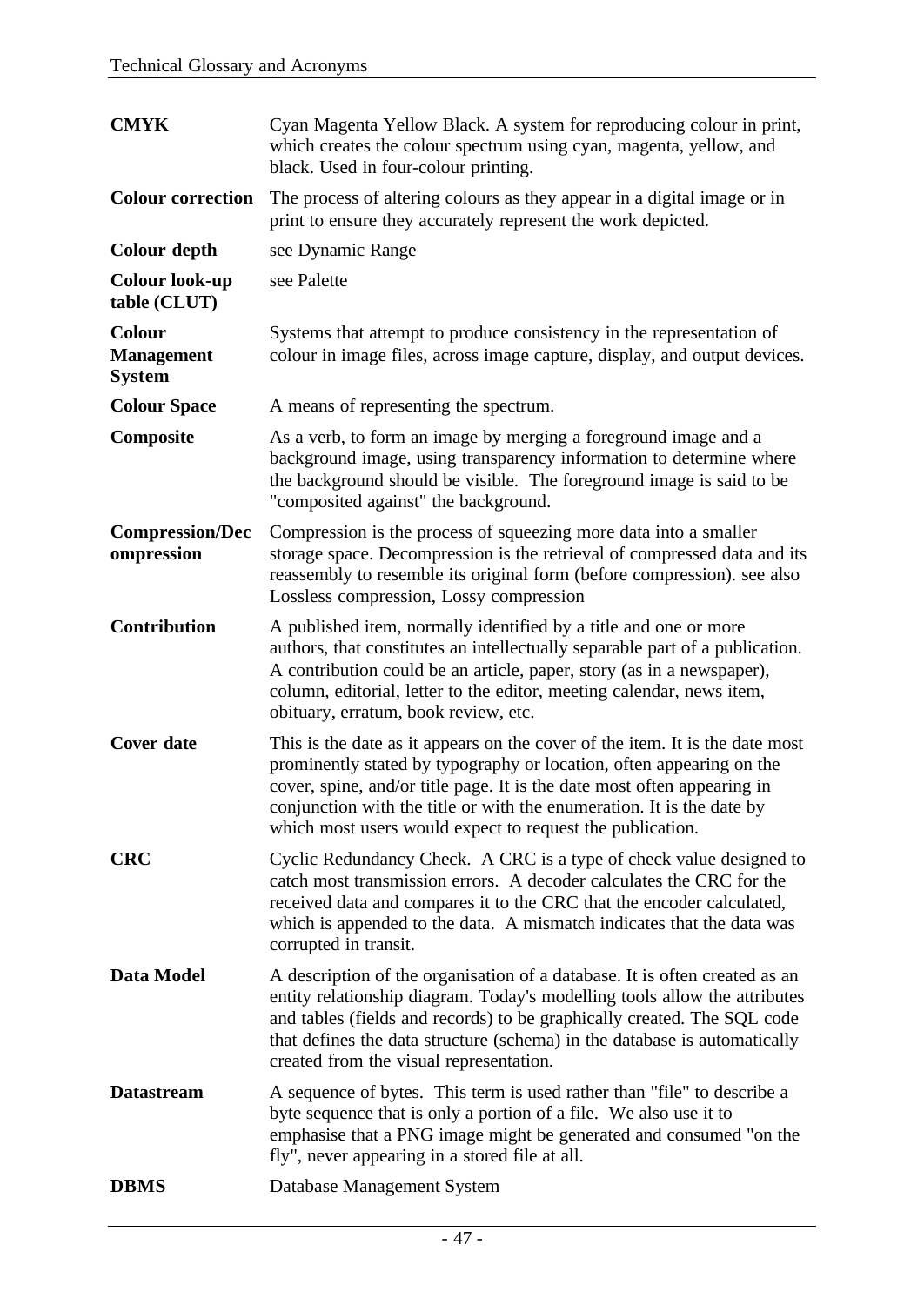| <b>CMYK</b>                                         | Cyan Magenta Yellow Black. A system for reproducing colour in print,<br>which creates the colour spectrum using cyan, magenta, yellow, and<br>black. Used in four-colour printing.                                                                                                                                                                                    |
|-----------------------------------------------------|-----------------------------------------------------------------------------------------------------------------------------------------------------------------------------------------------------------------------------------------------------------------------------------------------------------------------------------------------------------------------|
| <b>Colour correction</b>                            | The process of altering colours as they appear in a digital image or in<br>print to ensure they accurately represent the work depicted.                                                                                                                                                                                                                               |
| Colour depth                                        | see Dynamic Range                                                                                                                                                                                                                                                                                                                                                     |
| <b>Colour look-up</b><br>table (CLUT)               | see Palette                                                                                                                                                                                                                                                                                                                                                           |
| <b>Colour</b><br><b>Management</b><br><b>System</b> | Systems that attempt to produce consistency in the representation of<br>colour in image files, across image capture, display, and output devices.                                                                                                                                                                                                                     |
| <b>Colour Space</b>                                 | A means of representing the spectrum.                                                                                                                                                                                                                                                                                                                                 |
| Composite                                           | As a verb, to form an image by merging a foreground image and a<br>background image, using transparency information to determine where<br>the background should be visible. The foreground image is said to be<br>"composited against" the background.                                                                                                                |
| <b>Compression/Dec</b><br>ompression                | Compression is the process of squeezing more data into a smaller<br>storage space. Decompression is the retrieval of compressed data and its<br>reassembly to resemble its original form (before compression). see also<br>Lossless compression, Lossy compression                                                                                                    |
| Contribution                                        | A published item, normally identified by a title and one or more<br>authors, that constitutes an intellectually separable part of a publication.<br>A contribution could be an article, paper, story (as in a newspaper),<br>column, editorial, letter to the editor, meeting calendar, news item,<br>obituary, erratum, book review, etc.                            |
| <b>Cover date</b>                                   | This is the date as it appears on the cover of the item. It is the date most<br>prominently stated by typography or location, often appearing on the<br>cover, spine, and/or title page. It is the date most often appearing in<br>conjunction with the title or with the enumeration. It is the date by<br>which most users would expect to request the publication. |
| <b>CRC</b>                                          | Cyclic Redundancy Check. A CRC is a type of check value designed to<br>catch most transmission errors. A decoder calculates the CRC for the<br>received data and compares it to the CRC that the encoder calculated,<br>which is appended to the data. A mismatch indicates that the data was<br>corrupted in transit.                                                |
| Data Model                                          | A description of the organisation of a database. It is often created as an<br>entity relationship diagram. Today's modelling tools allow the attributes<br>and tables (fields and records) to be graphically created. The SQL code<br>that defines the data structure (schema) in the database is automatically<br>created from the visual representation.            |
| <b>Datastream</b>                                   | A sequence of bytes. This term is used rather than "file" to describe a<br>byte sequence that is only a portion of a file. We also use it to<br>emphasise that a PNG image might be generated and consumed "on the<br>fly", never appearing in a stored file at all.                                                                                                  |
| <b>DBMS</b>                                         | Database Management System                                                                                                                                                                                                                                                                                                                                            |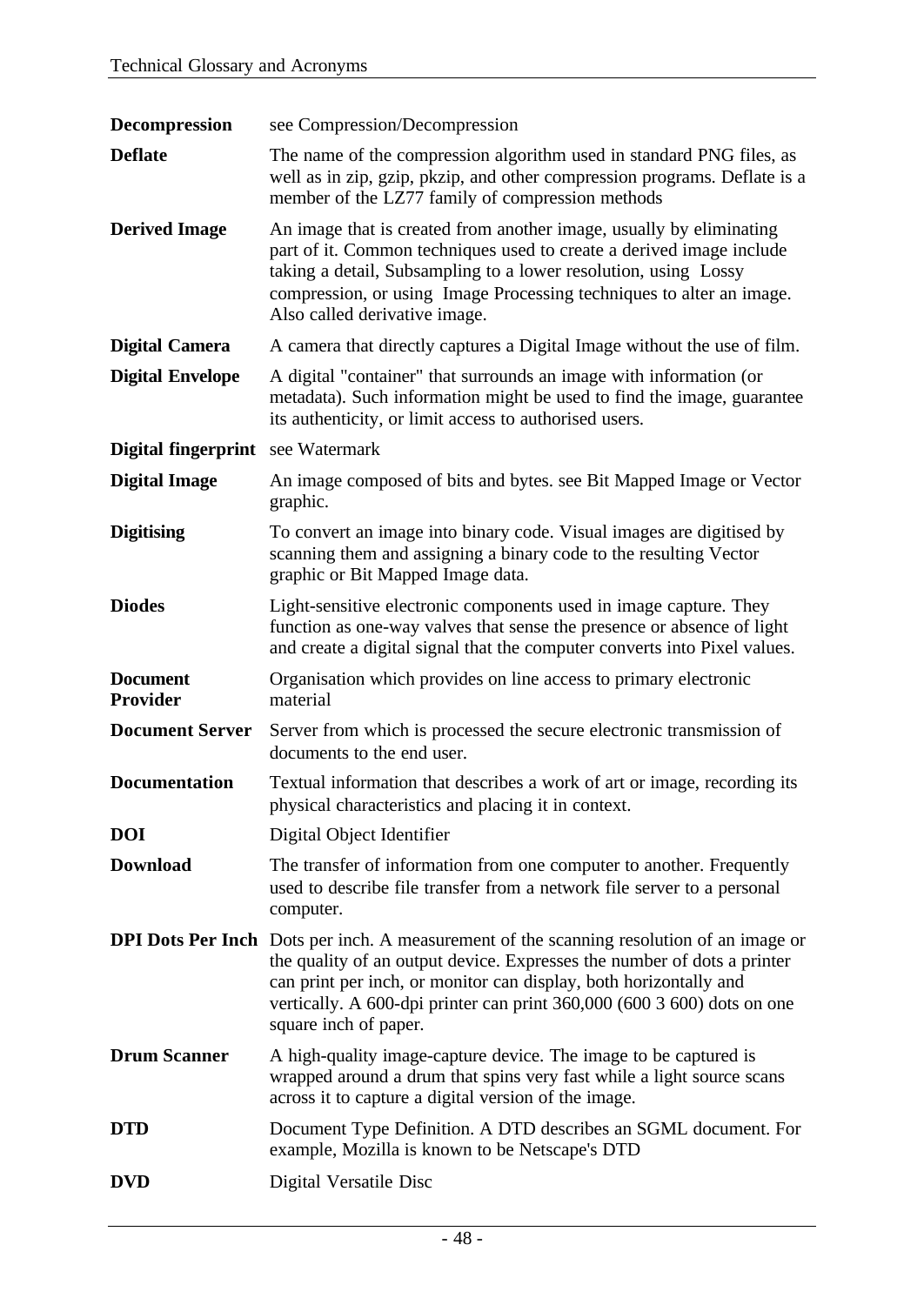| Decompression                     | see Compression/Decompression                                                                                                                                                                                                                                                                                                                       |
|-----------------------------------|-----------------------------------------------------------------------------------------------------------------------------------------------------------------------------------------------------------------------------------------------------------------------------------------------------------------------------------------------------|
| <b>Deflate</b>                    | The name of the compression algorithm used in standard PNG files, as<br>well as in zip, gzip, pkzip, and other compression programs. Deflate is a<br>member of the LZ77 family of compression methods                                                                                                                                               |
| <b>Derived Image</b>              | An image that is created from another image, usually by eliminating<br>part of it. Common techniques used to create a derived image include<br>taking a detail, Subsampling to a lower resolution, using Lossy<br>compression, or using Image Processing techniques to alter an image.<br>Also called derivative image.                             |
| <b>Digital Camera</b>             | A camera that directly captures a Digital Image without the use of film.                                                                                                                                                                                                                                                                            |
| <b>Digital Envelope</b>           | A digital "container" that surrounds an image with information (or<br>metadata). Such information might be used to find the image, guarantee<br>its authenticity, or limit access to authorised users.                                                                                                                                              |
| Digital fingerprint see Watermark |                                                                                                                                                                                                                                                                                                                                                     |
| <b>Digital Image</b>              | An image composed of bits and bytes. see Bit Mapped Image or Vector<br>graphic.                                                                                                                                                                                                                                                                     |
| <b>Digitising</b>                 | To convert an image into binary code. Visual images are digitised by<br>scanning them and assigning a binary code to the resulting Vector<br>graphic or Bit Mapped Image data.                                                                                                                                                                      |
| <b>Diodes</b>                     | Light-sensitive electronic components used in image capture. They<br>function as one-way valves that sense the presence or absence of light<br>and create a digital signal that the computer converts into Pixel values.                                                                                                                            |
| <b>Document</b><br>Provider       | Organisation which provides on line access to primary electronic<br>material                                                                                                                                                                                                                                                                        |
| <b>Document Server</b>            | Server from which is processed the secure electronic transmission of<br>documents to the end user.                                                                                                                                                                                                                                                  |
| <b>Documentation</b>              | Textual information that describes a work of art or image, recording its<br>physical characteristics and placing it in context.                                                                                                                                                                                                                     |
| <b>DOI</b>                        | Digital Object Identifier                                                                                                                                                                                                                                                                                                                           |
| <b>Download</b>                   | The transfer of information from one computer to another. Frequently<br>used to describe file transfer from a network file server to a personal<br>computer.                                                                                                                                                                                        |
|                                   | <b>DPI Dots Per Inch</b> Dots per inch. A measurement of the scanning resolution of an image or<br>the quality of an output device. Expresses the number of dots a printer<br>can print per inch, or monitor can display, both horizontally and<br>vertically. A 600-dpi printer can print 360,000 (600 3 600) dots on one<br>square inch of paper. |
| <b>Drum Scanner</b>               | A high-quality image-capture device. The image to be captured is<br>wrapped around a drum that spins very fast while a light source scans<br>across it to capture a digital version of the image.                                                                                                                                                   |
| <b>DTD</b>                        | Document Type Definition. A DTD describes an SGML document. For<br>example, Mozilla is known to be Netscape's DTD                                                                                                                                                                                                                                   |
| <b>DVD</b>                        | Digital Versatile Disc                                                                                                                                                                                                                                                                                                                              |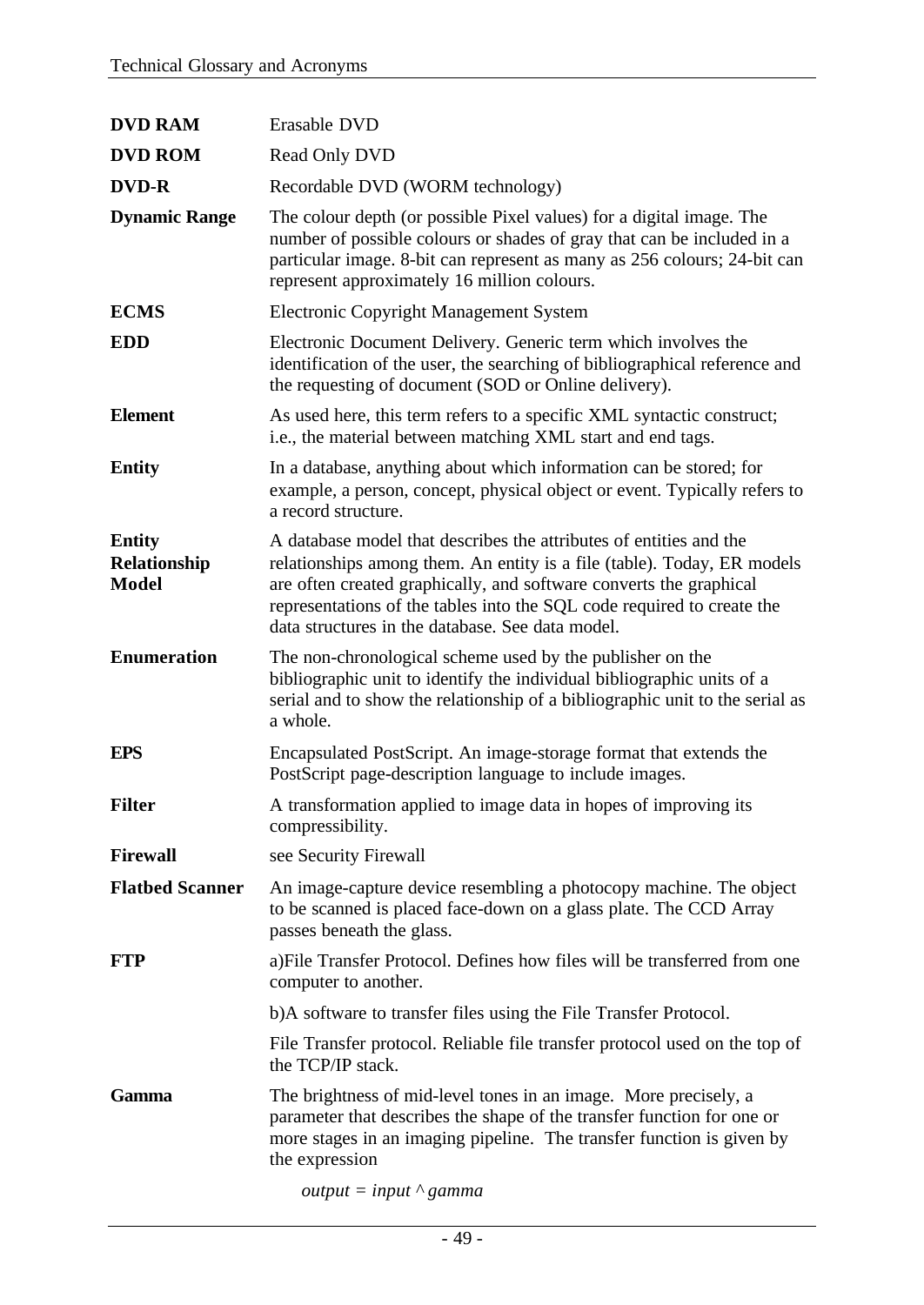| <b>DVD RAM</b>                                | Erasable DVD                                                                                                                                                                                                                                                                                                                                      |
|-----------------------------------------------|---------------------------------------------------------------------------------------------------------------------------------------------------------------------------------------------------------------------------------------------------------------------------------------------------------------------------------------------------|
| <b>DVD ROM</b>                                | Read Only DVD                                                                                                                                                                                                                                                                                                                                     |
| <b>DVD-R</b>                                  | Recordable DVD (WORM technology)                                                                                                                                                                                                                                                                                                                  |
| <b>Dynamic Range</b>                          | The colour depth (or possible Pixel values) for a digital image. The<br>number of possible colours or shades of gray that can be included in a<br>particular image. 8-bit can represent as many as 256 colours; 24-bit can<br>represent approximately 16 million colours.                                                                         |
| <b>ECMS</b>                                   | <b>Electronic Copyright Management System</b>                                                                                                                                                                                                                                                                                                     |
| <b>EDD</b>                                    | Electronic Document Delivery. Generic term which involves the<br>identification of the user, the searching of bibliographical reference and<br>the requesting of document (SOD or Online delivery).                                                                                                                                               |
| <b>Element</b>                                | As used here, this term refers to a specific XML syntactic construct;<br>i.e., the material between matching XML start and end tags.                                                                                                                                                                                                              |
| <b>Entity</b>                                 | In a database, anything about which information can be stored; for<br>example, a person, concept, physical object or event. Typically refers to<br>a record structure.                                                                                                                                                                            |
| <b>Entity</b><br>Relationship<br><b>Model</b> | A database model that describes the attributes of entities and the<br>relationships among them. An entity is a file (table). Today, ER models<br>are often created graphically, and software converts the graphical<br>representations of the tables into the SQL code required to create the<br>data structures in the database. See data model. |
| <b>Enumeration</b>                            | The non-chronological scheme used by the publisher on the<br>bibliographic unit to identify the individual bibliographic units of a<br>serial and to show the relationship of a bibliographic unit to the serial as<br>a whole.                                                                                                                   |
| <b>EPS</b>                                    | Encapsulated PostScript. An image-storage format that extends the<br>PostScript page-description language to include images.                                                                                                                                                                                                                      |
| <b>Filter</b>                                 | A transformation applied to image data in hopes of improving its<br>compressibility.                                                                                                                                                                                                                                                              |
| <b>Firewall</b>                               | see Security Firewall                                                                                                                                                                                                                                                                                                                             |
| <b>Flatbed Scanner</b>                        | An image-capture device resembling a photocopy machine. The object<br>to be scanned is placed face-down on a glass plate. The CCD Array<br>passes beneath the glass.                                                                                                                                                                              |
| <b>FTP</b>                                    | a) File Transfer Protocol. Defines how files will be transferred from one<br>computer to another.                                                                                                                                                                                                                                                 |
|                                               | b)A software to transfer files using the File Transfer Protocol.                                                                                                                                                                                                                                                                                  |
|                                               | File Transfer protocol. Reliable file transfer protocol used on the top of<br>the TCP/IP stack.                                                                                                                                                                                                                                                   |
| Gamma                                         | The brightness of mid-level tones in an image. More precisely, a<br>parameter that describes the shape of the transfer function for one or<br>more stages in an imaging pipeline. The transfer function is given by<br>the expression                                                                                                             |
|                                               | <i>output</i> = <i>input</i> $\wedge$ gamma                                                                                                                                                                                                                                                                                                       |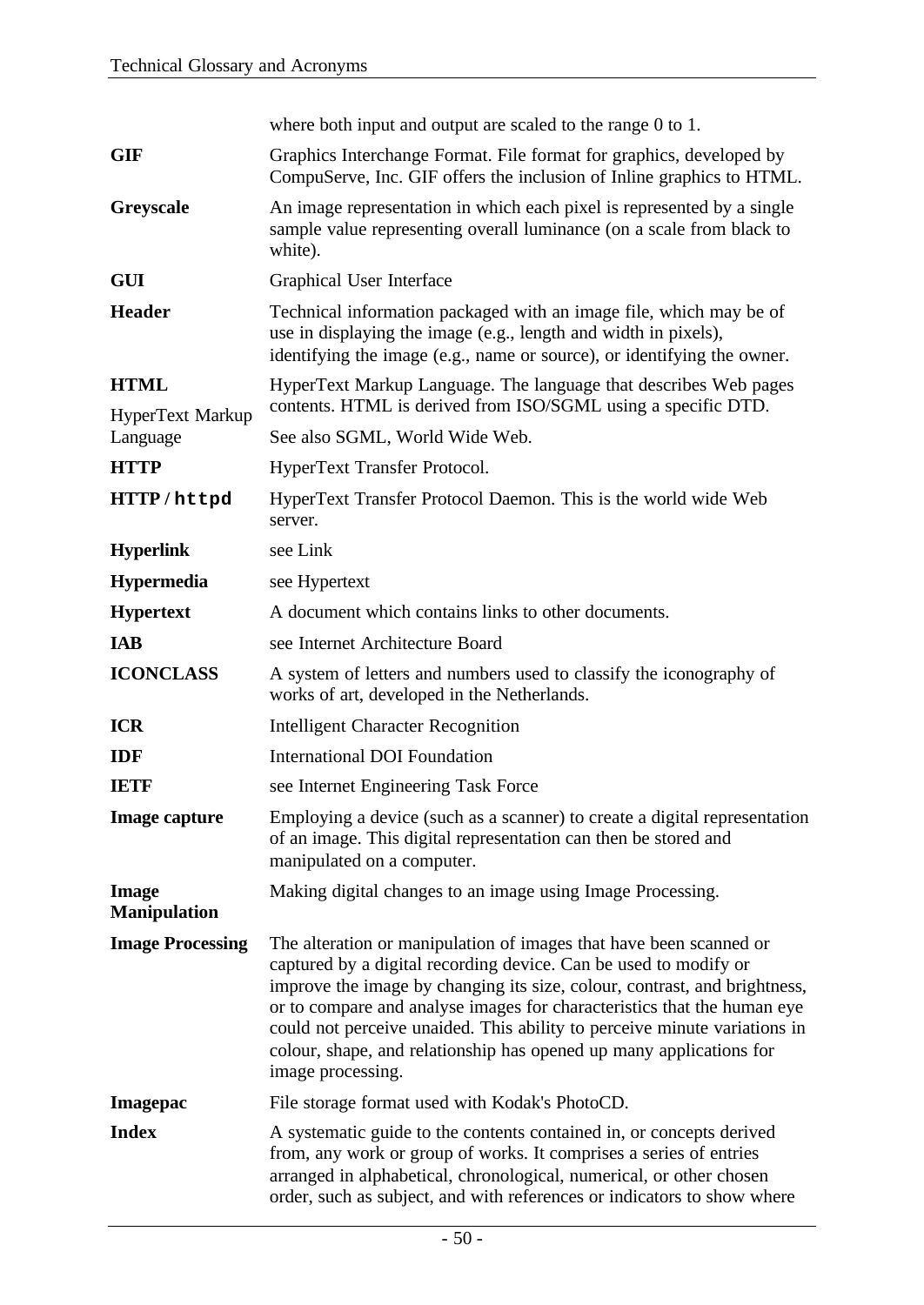|                                     | where both input and output are scaled to the range 0 to 1.                                                                                                                                                                                                                                                                                                                                                                                                             |
|-------------------------------------|-------------------------------------------------------------------------------------------------------------------------------------------------------------------------------------------------------------------------------------------------------------------------------------------------------------------------------------------------------------------------------------------------------------------------------------------------------------------------|
| <b>GIF</b>                          | Graphics Interchange Format. File format for graphics, developed by<br>CompuServe, Inc. GIF offers the inclusion of Inline graphics to HTML.                                                                                                                                                                                                                                                                                                                            |
| Greyscale                           | An image representation in which each pixel is represented by a single<br>sample value representing overall luminance (on a scale from black to<br>white).                                                                                                                                                                                                                                                                                                              |
| <b>GUI</b>                          | Graphical User Interface                                                                                                                                                                                                                                                                                                                                                                                                                                                |
| <b>Header</b>                       | Technical information packaged with an image file, which may be of<br>use in displaying the image (e.g., length and width in pixels),<br>identifying the image (e.g., name or source), or identifying the owner.                                                                                                                                                                                                                                                        |
| <b>HTML</b><br>HyperText Markup     | HyperText Markup Language. The language that describes Web pages<br>contents. HTML is derived from ISO/SGML using a specific DTD.                                                                                                                                                                                                                                                                                                                                       |
| Language                            | See also SGML, World Wide Web.                                                                                                                                                                                                                                                                                                                                                                                                                                          |
| <b>HTTP</b>                         | HyperText Transfer Protocol.                                                                                                                                                                                                                                                                                                                                                                                                                                            |
| HTTP/httpd                          | HyperText Transfer Protocol Daemon. This is the world wide Web<br>server.                                                                                                                                                                                                                                                                                                                                                                                               |
| <b>Hyperlink</b>                    | see Link                                                                                                                                                                                                                                                                                                                                                                                                                                                                |
| <b>Hypermedia</b>                   | see Hypertext                                                                                                                                                                                                                                                                                                                                                                                                                                                           |
| <b>Hypertext</b>                    | A document which contains links to other documents.                                                                                                                                                                                                                                                                                                                                                                                                                     |
| <b>IAB</b>                          | see Internet Architecture Board                                                                                                                                                                                                                                                                                                                                                                                                                                         |
| <b>ICONCLASS</b>                    | A system of letters and numbers used to classify the iconography of<br>works of art, developed in the Netherlands.                                                                                                                                                                                                                                                                                                                                                      |
| <b>ICR</b>                          | <b>Intelligent Character Recognition</b>                                                                                                                                                                                                                                                                                                                                                                                                                                |
| <b>IDF</b>                          | <b>International DOI Foundation</b>                                                                                                                                                                                                                                                                                                                                                                                                                                     |
| <b>IETF</b>                         | see Internet Engineering Task Force                                                                                                                                                                                                                                                                                                                                                                                                                                     |
| <b>Image capture</b>                | Employing a device (such as a scanner) to create a digital representation<br>of an image. This digital representation can then be stored and<br>manipulated on a computer.                                                                                                                                                                                                                                                                                              |
| <b>Image</b><br><b>Manipulation</b> | Making digital changes to an image using Image Processing.                                                                                                                                                                                                                                                                                                                                                                                                              |
| <b>Image Processing</b>             | The alteration or manipulation of images that have been scanned or<br>captured by a digital recording device. Can be used to modify or<br>improve the image by changing its size, colour, contrast, and brightness,<br>or to compare and analyse images for characteristics that the human eye<br>could not perceive unaided. This ability to perceive minute variations in<br>colour, shape, and relationship has opened up many applications for<br>image processing. |
| <b>Imagepac</b>                     | File storage format used with Kodak's PhotoCD.                                                                                                                                                                                                                                                                                                                                                                                                                          |
| <b>Index</b>                        | A systematic guide to the contents contained in, or concepts derived<br>from, any work or group of works. It comprises a series of entries<br>arranged in alphabetical, chronological, numerical, or other chosen<br>order, such as subject, and with references or indicators to show where                                                                                                                                                                            |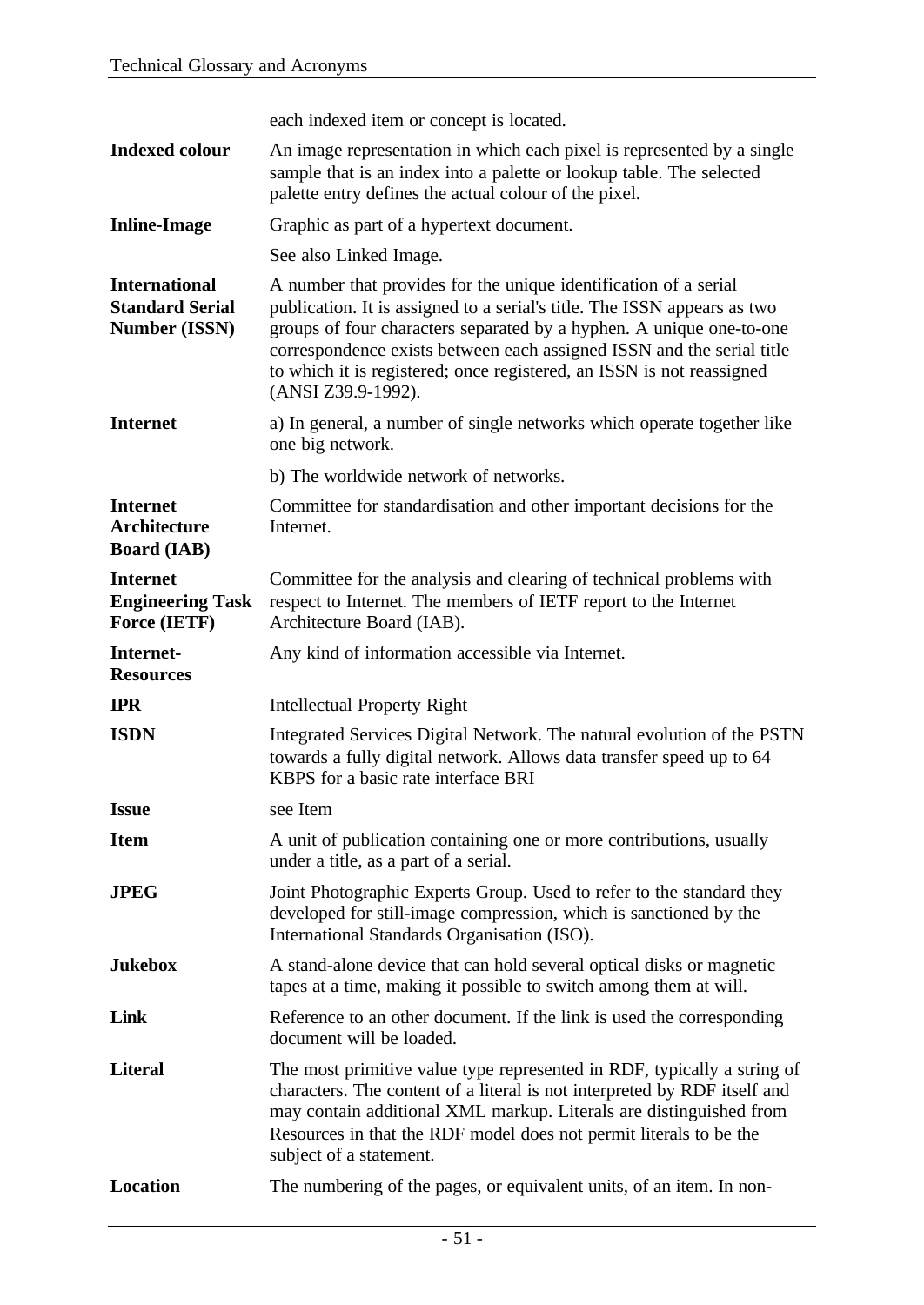|                                                                        | each indexed item or concept is located.                                                                                                                                                                                                                                                                                                                                                     |
|------------------------------------------------------------------------|----------------------------------------------------------------------------------------------------------------------------------------------------------------------------------------------------------------------------------------------------------------------------------------------------------------------------------------------------------------------------------------------|
| <b>Indexed colour</b>                                                  | An image representation in which each pixel is represented by a single<br>sample that is an index into a palette or lookup table. The selected<br>palette entry defines the actual colour of the pixel.                                                                                                                                                                                      |
| <b>Inline-Image</b>                                                    | Graphic as part of a hypertext document.                                                                                                                                                                                                                                                                                                                                                     |
|                                                                        | See also Linked Image.                                                                                                                                                                                                                                                                                                                                                                       |
| <b>International</b><br><b>Standard Serial</b><br><b>Number (ISSN)</b> | A number that provides for the unique identification of a serial<br>publication. It is assigned to a serial's title. The ISSN appears as two<br>groups of four characters separated by a hyphen. A unique one-to-one<br>correspondence exists between each assigned ISSN and the serial title<br>to which it is registered; once registered, an ISSN is not reassigned<br>(ANSI Z39.9-1992). |
| <b>Internet</b>                                                        | a) In general, a number of single networks which operate together like<br>one big network.                                                                                                                                                                                                                                                                                                   |
|                                                                        | b) The worldwide network of networks.                                                                                                                                                                                                                                                                                                                                                        |
| <b>Internet</b><br><b>Architecture</b><br><b>Board</b> (IAB)           | Committee for standardisation and other important decisions for the<br>Internet.                                                                                                                                                                                                                                                                                                             |
| <b>Internet</b><br><b>Engineering Task</b><br>Force (IETF)             | Committee for the analysis and clearing of technical problems with<br>respect to Internet. The members of IETF report to the Internet<br>Architecture Board (IAB).                                                                                                                                                                                                                           |
| Internet-<br><b>Resources</b>                                          | Any kind of information accessible via Internet.                                                                                                                                                                                                                                                                                                                                             |
| <b>IPR</b>                                                             | <b>Intellectual Property Right</b>                                                                                                                                                                                                                                                                                                                                                           |
| <b>ISDN</b>                                                            | Integrated Services Digital Network. The natural evolution of the PSTN<br>towards a fully digital network. Allows data transfer speed up to 64<br>KBPS for a basic rate interface BRI                                                                                                                                                                                                        |
| <b>Issue</b>                                                           | see Item                                                                                                                                                                                                                                                                                                                                                                                     |
| <b>Item</b>                                                            | A unit of publication containing one or more contributions, usually<br>under a title, as a part of a serial.                                                                                                                                                                                                                                                                                 |
| <b>JPEG</b>                                                            | Joint Photographic Experts Group. Used to refer to the standard they<br>developed for still-image compression, which is sanctioned by the<br>International Standards Organisation (ISO).                                                                                                                                                                                                     |
| <b>Jukebox</b>                                                         | A stand-alone device that can hold several optical disks or magnetic<br>tapes at a time, making it possible to switch among them at will.                                                                                                                                                                                                                                                    |
| Link                                                                   | Reference to an other document. If the link is used the corresponding<br>document will be loaded.                                                                                                                                                                                                                                                                                            |
| <b>Literal</b>                                                         | The most primitive value type represented in RDF, typically a string of<br>characters. The content of a literal is not interpreted by RDF itself and<br>may contain additional XML markup. Literals are distinguished from<br>Resources in that the RDF model does not permit literals to be the<br>subject of a statement.                                                                  |
| <b>Location</b>                                                        | The numbering of the pages, or equivalent units, of an item. In non-                                                                                                                                                                                                                                                                                                                         |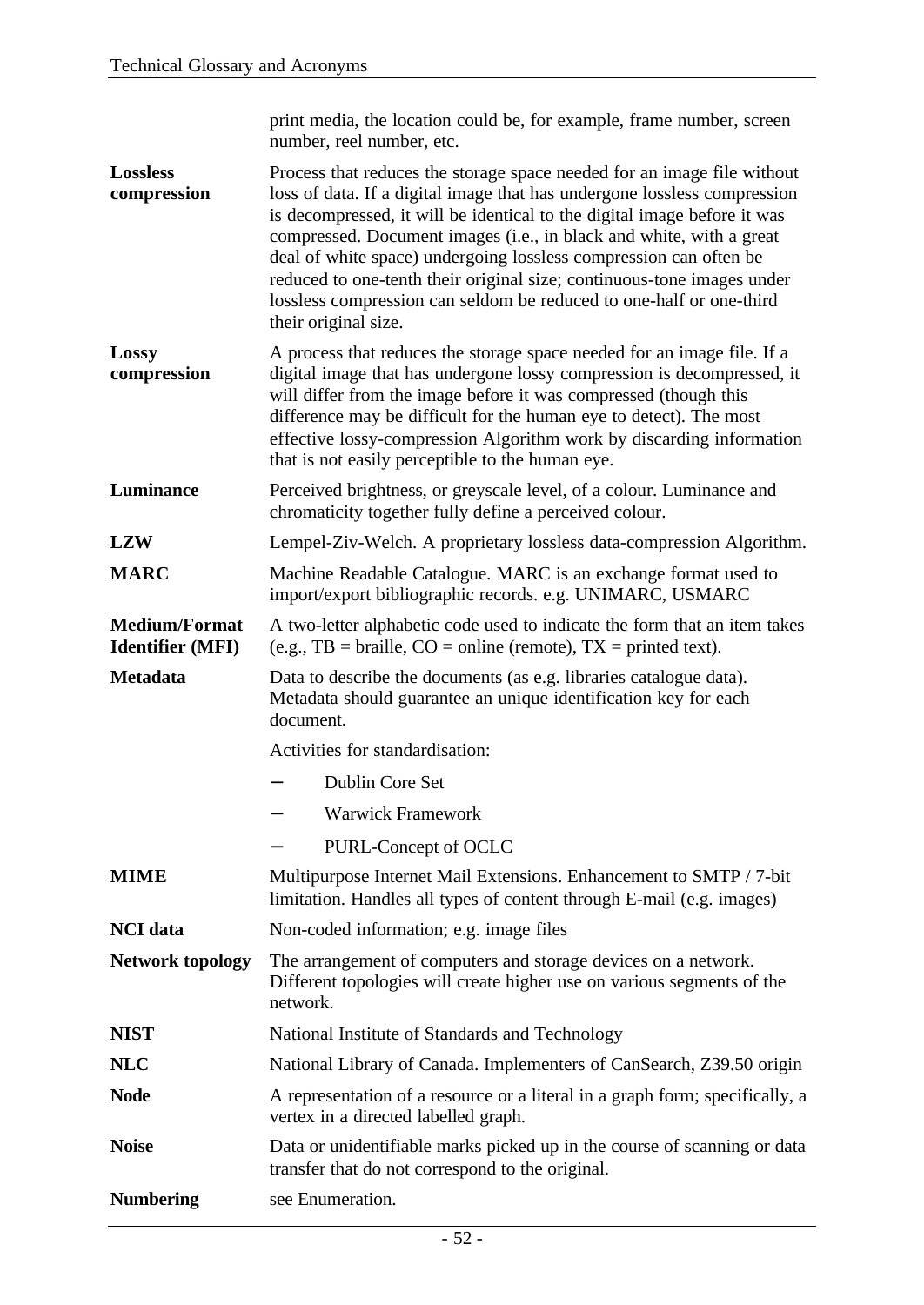|                                                 | print media, the location could be, for example, frame number, screen<br>number, reel number, etc.                                                                                                                                                                                                                                                                                                                                                                                                                                                   |
|-------------------------------------------------|------------------------------------------------------------------------------------------------------------------------------------------------------------------------------------------------------------------------------------------------------------------------------------------------------------------------------------------------------------------------------------------------------------------------------------------------------------------------------------------------------------------------------------------------------|
| <b>Lossless</b><br>compression                  | Process that reduces the storage space needed for an image file without<br>loss of data. If a digital image that has undergone lossless compression<br>is decompressed, it will be identical to the digital image before it was<br>compressed. Document images (i.e., in black and white, with a great<br>deal of white space) undergoing lossless compression can often be<br>reduced to one-tenth their original size; continuous-tone images under<br>lossless compression can seldom be reduced to one-half or one-third<br>their original size. |
| Lossy<br>compression                            | A process that reduces the storage space needed for an image file. If a<br>digital image that has undergone lossy compression is decompressed, it<br>will differ from the image before it was compressed (though this<br>difference may be difficult for the human eye to detect). The most<br>effective lossy-compression Algorithm work by discarding information<br>that is not easily perceptible to the human eye.                                                                                                                              |
| Luminance                                       | Perceived brightness, or greyscale level, of a colour. Luminance and<br>chromaticity together fully define a perceived colour.                                                                                                                                                                                                                                                                                                                                                                                                                       |
| <b>LZW</b>                                      | Lempel-Ziv-Welch. A proprietary lossless data-compression Algorithm.                                                                                                                                                                                                                                                                                                                                                                                                                                                                                 |
| <b>MARC</b>                                     | Machine Readable Catalogue. MARC is an exchange format used to<br>import/export bibliographic records. e.g. UNIMARC, USMARC                                                                                                                                                                                                                                                                                                                                                                                                                          |
| <b>Medium/Format</b><br><b>Identifier (MFI)</b> | A two-letter alphabetic code used to indicate the form that an item takes<br>(e.g., TB = braille, $CO =$ online (remote), TX = printed text).                                                                                                                                                                                                                                                                                                                                                                                                        |
| <b>Metadata</b>                                 | Data to describe the documents (as e.g. libraries catalogue data).<br>Metadata should guarantee an unique identification key for each<br>document.                                                                                                                                                                                                                                                                                                                                                                                                   |
|                                                 | Activities for standardisation:                                                                                                                                                                                                                                                                                                                                                                                                                                                                                                                      |
|                                                 | <b>Dublin Core Set</b>                                                                                                                                                                                                                                                                                                                                                                                                                                                                                                                               |
|                                                 | <b>Warwick Framework</b>                                                                                                                                                                                                                                                                                                                                                                                                                                                                                                                             |
|                                                 | PURL-Concept of OCLC                                                                                                                                                                                                                                                                                                                                                                                                                                                                                                                                 |
| <b>MIME</b>                                     | Multipurpose Internet Mail Extensions. Enhancement to SMTP / 7-bit<br>limitation. Handles all types of content through E-mail (e.g. images)                                                                                                                                                                                                                                                                                                                                                                                                          |
| <b>NCI</b> data                                 | Non-coded information; e.g. image files                                                                                                                                                                                                                                                                                                                                                                                                                                                                                                              |
| <b>Network topology</b>                         | The arrangement of computers and storage devices on a network.<br>Different topologies will create higher use on various segments of the<br>network.                                                                                                                                                                                                                                                                                                                                                                                                 |
| <b>NIST</b>                                     | National Institute of Standards and Technology                                                                                                                                                                                                                                                                                                                                                                                                                                                                                                       |
| <b>NLC</b>                                      | National Library of Canada. Implementers of CanSearch, Z39.50 origin                                                                                                                                                                                                                                                                                                                                                                                                                                                                                 |
| <b>Node</b>                                     | A representation of a resource or a literal in a graph form; specifically, a<br>vertex in a directed labelled graph.                                                                                                                                                                                                                                                                                                                                                                                                                                 |
| <b>Noise</b>                                    | Data or unidentifiable marks picked up in the course of scanning or data<br>transfer that do not correspond to the original.                                                                                                                                                                                                                                                                                                                                                                                                                         |
| <b>Numbering</b>                                | see Enumeration.                                                                                                                                                                                                                                                                                                                                                                                                                                                                                                                                     |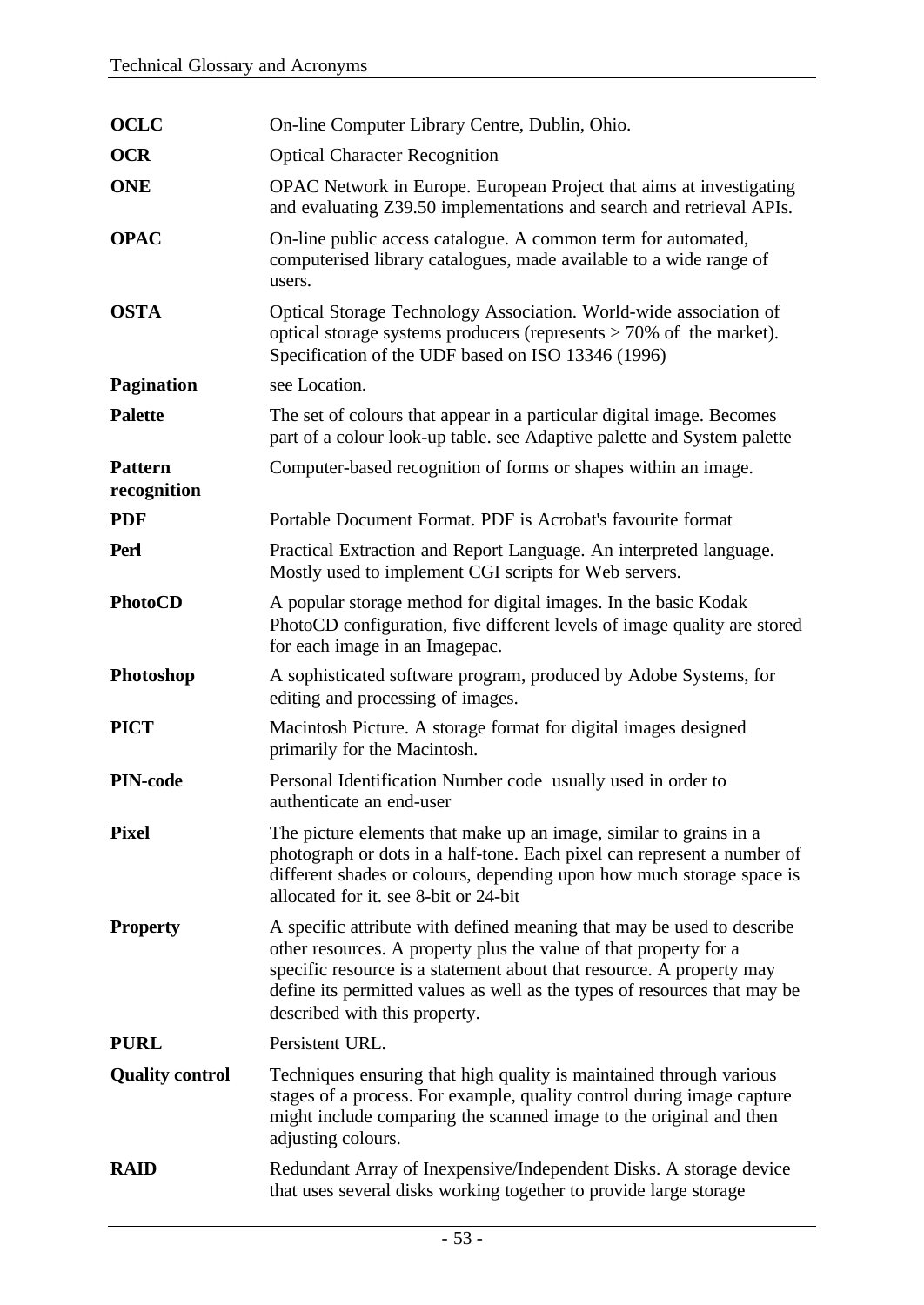| <b>OCLC</b>                   | On-line Computer Library Centre, Dublin, Ohio.                                                                                                                                                                                                                                                                                    |
|-------------------------------|-----------------------------------------------------------------------------------------------------------------------------------------------------------------------------------------------------------------------------------------------------------------------------------------------------------------------------------|
| <b>OCR</b>                    | <b>Optical Character Recognition</b>                                                                                                                                                                                                                                                                                              |
| <b>ONE</b>                    | OPAC Network in Europe. European Project that aims at investigating<br>and evaluating Z39.50 implementations and search and retrieval APIs.                                                                                                                                                                                       |
| <b>OPAC</b>                   | On-line public access catalogue. A common term for automated,<br>computerised library catalogues, made available to a wide range of<br>users.                                                                                                                                                                                     |
| <b>OSTA</b>                   | Optical Storage Technology Association. World-wide association of<br>optical storage systems producers (represents $> 70\%$ of the market).<br>Specification of the UDF based on ISO 13346 (1996)                                                                                                                                 |
| <b>Pagination</b>             | see Location.                                                                                                                                                                                                                                                                                                                     |
| <b>Palette</b>                | The set of colours that appear in a particular digital image. Becomes<br>part of a colour look-up table. see Adaptive palette and System palette                                                                                                                                                                                  |
| <b>Pattern</b><br>recognition | Computer-based recognition of forms or shapes within an image.                                                                                                                                                                                                                                                                    |
| <b>PDF</b>                    | Portable Document Format. PDF is Acrobat's favourite format                                                                                                                                                                                                                                                                       |
| Perl                          | Practical Extraction and Report Language. An interpreted language.<br>Mostly used to implement CGI scripts for Web servers.                                                                                                                                                                                                       |
| <b>PhotoCD</b>                | A popular storage method for digital images. In the basic Kodak<br>PhotoCD configuration, five different levels of image quality are stored<br>for each image in an Imagepac.                                                                                                                                                     |
| Photoshop                     | A sophisticated software program, produced by Adobe Systems, for<br>editing and processing of images.                                                                                                                                                                                                                             |
|                               |                                                                                                                                                                                                                                                                                                                                   |
| <b>PICT</b>                   | Macintosh Picture. A storage format for digital images designed<br>primarily for the Macintosh.                                                                                                                                                                                                                                   |
| <b>PIN-code</b>               | Personal Identification Number code usually used in order to<br>authenticate an end-user                                                                                                                                                                                                                                          |
| <b>Pixel</b>                  | The picture elements that make up an image, similar to grains in a<br>photograph or dots in a half-tone. Each pixel can represent a number of<br>different shades or colours, depending upon how much storage space is<br>allocated for it. see 8-bit or 24-bit                                                                   |
| <b>Property</b>               | A specific attribute with defined meaning that may be used to describe<br>other resources. A property plus the value of that property for a<br>specific resource is a statement about that resource. A property may<br>define its permitted values as well as the types of resources that may be<br>described with this property. |
| <b>PURL</b>                   | Persistent URL.                                                                                                                                                                                                                                                                                                                   |
| <b>Quality control</b>        | Techniques ensuring that high quality is maintained through various<br>stages of a process. For example, quality control during image capture<br>might include comparing the scanned image to the original and then<br>adjusting colours.                                                                                         |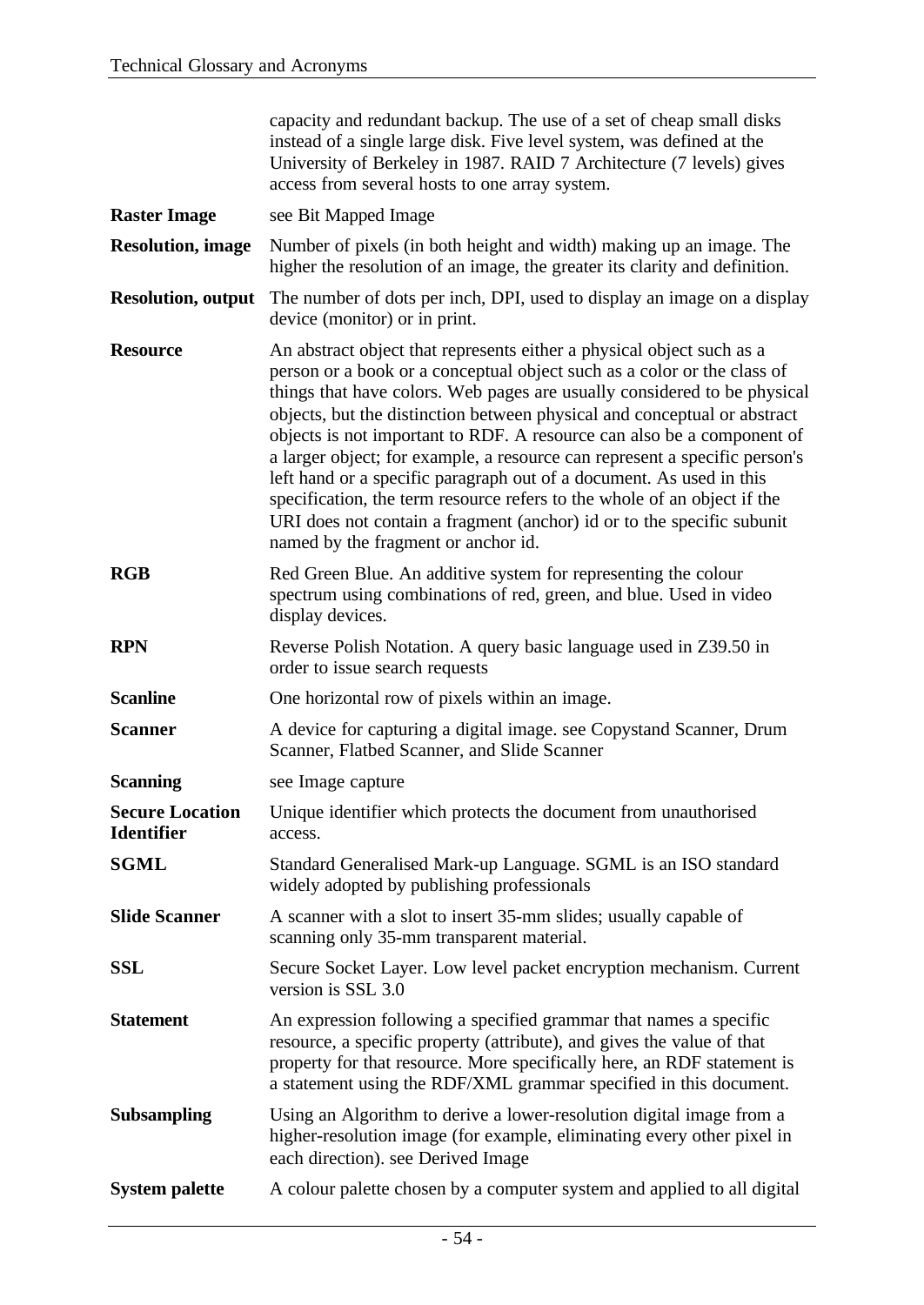|                                             | capacity and redundant backup. The use of a set of cheap small disks<br>instead of a single large disk. Five level system, was defined at the<br>University of Berkeley in 1987. RAID 7 Architecture (7 levels) gives<br>access from several hosts to one array system.                                                                                                                                                                                                                                                                                                                                                                                                                                                               |
|---------------------------------------------|---------------------------------------------------------------------------------------------------------------------------------------------------------------------------------------------------------------------------------------------------------------------------------------------------------------------------------------------------------------------------------------------------------------------------------------------------------------------------------------------------------------------------------------------------------------------------------------------------------------------------------------------------------------------------------------------------------------------------------------|
| <b>Raster Image</b>                         | see Bit Mapped Image                                                                                                                                                                                                                                                                                                                                                                                                                                                                                                                                                                                                                                                                                                                  |
| <b>Resolution</b> , image                   | Number of pixels (in both height and width) making up an image. The<br>higher the resolution of an image, the greater its clarity and definition.                                                                                                                                                                                                                                                                                                                                                                                                                                                                                                                                                                                     |
| <b>Resolution, output</b>                   | The number of dots per inch, DPI, used to display an image on a display<br>device (monitor) or in print.                                                                                                                                                                                                                                                                                                                                                                                                                                                                                                                                                                                                                              |
| <b>Resource</b>                             | An abstract object that represents either a physical object such as a<br>person or a book or a conceptual object such as a color or the class of<br>things that have colors. Web pages are usually considered to be physical<br>objects, but the distinction between physical and conceptual or abstract<br>objects is not important to RDF. A resource can also be a component of<br>a larger object; for example, a resource can represent a specific person's<br>left hand or a specific paragraph out of a document. As used in this<br>specification, the term resource refers to the whole of an object if the<br>URI does not contain a fragment (anchor) id or to the specific subunit<br>named by the fragment or anchor id. |
| <b>RGB</b>                                  | Red Green Blue. An additive system for representing the colour<br>spectrum using combinations of red, green, and blue. Used in video<br>display devices.                                                                                                                                                                                                                                                                                                                                                                                                                                                                                                                                                                              |
| <b>RPN</b>                                  | Reverse Polish Notation. A query basic language used in Z39.50 in<br>order to issue search requests                                                                                                                                                                                                                                                                                                                                                                                                                                                                                                                                                                                                                                   |
| <b>Scanline</b>                             | One horizontal row of pixels within an image.                                                                                                                                                                                                                                                                                                                                                                                                                                                                                                                                                                                                                                                                                         |
| <b>Scanner</b>                              | A device for capturing a digital image. see Copystand Scanner, Drum<br>Scanner, Flatbed Scanner, and Slide Scanner                                                                                                                                                                                                                                                                                                                                                                                                                                                                                                                                                                                                                    |
| <b>Scanning</b>                             | see Image capture                                                                                                                                                                                                                                                                                                                                                                                                                                                                                                                                                                                                                                                                                                                     |
| <b>Secure Location</b><br><b>Identifier</b> | Unique identifier which protects the document from unauthorised<br>access.                                                                                                                                                                                                                                                                                                                                                                                                                                                                                                                                                                                                                                                            |
| <b>SGML</b>                                 | Standard Generalised Mark-up Language. SGML is an ISO standard<br>widely adopted by publishing professionals                                                                                                                                                                                                                                                                                                                                                                                                                                                                                                                                                                                                                          |
| <b>Slide Scanner</b>                        | A scanner with a slot to insert 35-mm slides; usually capable of<br>scanning only 35-mm transparent material.                                                                                                                                                                                                                                                                                                                                                                                                                                                                                                                                                                                                                         |
| <b>SSL</b>                                  | Secure Socket Layer. Low level packet encryption mechanism. Current<br>version is SSL 3.0                                                                                                                                                                                                                                                                                                                                                                                                                                                                                                                                                                                                                                             |
| <b>Statement</b>                            | An expression following a specified grammar that names a specific<br>resource, a specific property (attribute), and gives the value of that<br>property for that resource. More specifically here, an RDF statement is<br>a statement using the RDF/XML grammar specified in this document.                                                                                                                                                                                                                                                                                                                                                                                                                                           |
| <b>Subsampling</b>                          | Using an Algorithm to derive a lower-resolution digital image from a<br>higher-resolution image (for example, eliminating every other pixel in<br>each direction). see Derived Image                                                                                                                                                                                                                                                                                                                                                                                                                                                                                                                                                  |
| <b>System palette</b>                       | A colour palette chosen by a computer system and applied to all digital                                                                                                                                                                                                                                                                                                                                                                                                                                                                                                                                                                                                                                                               |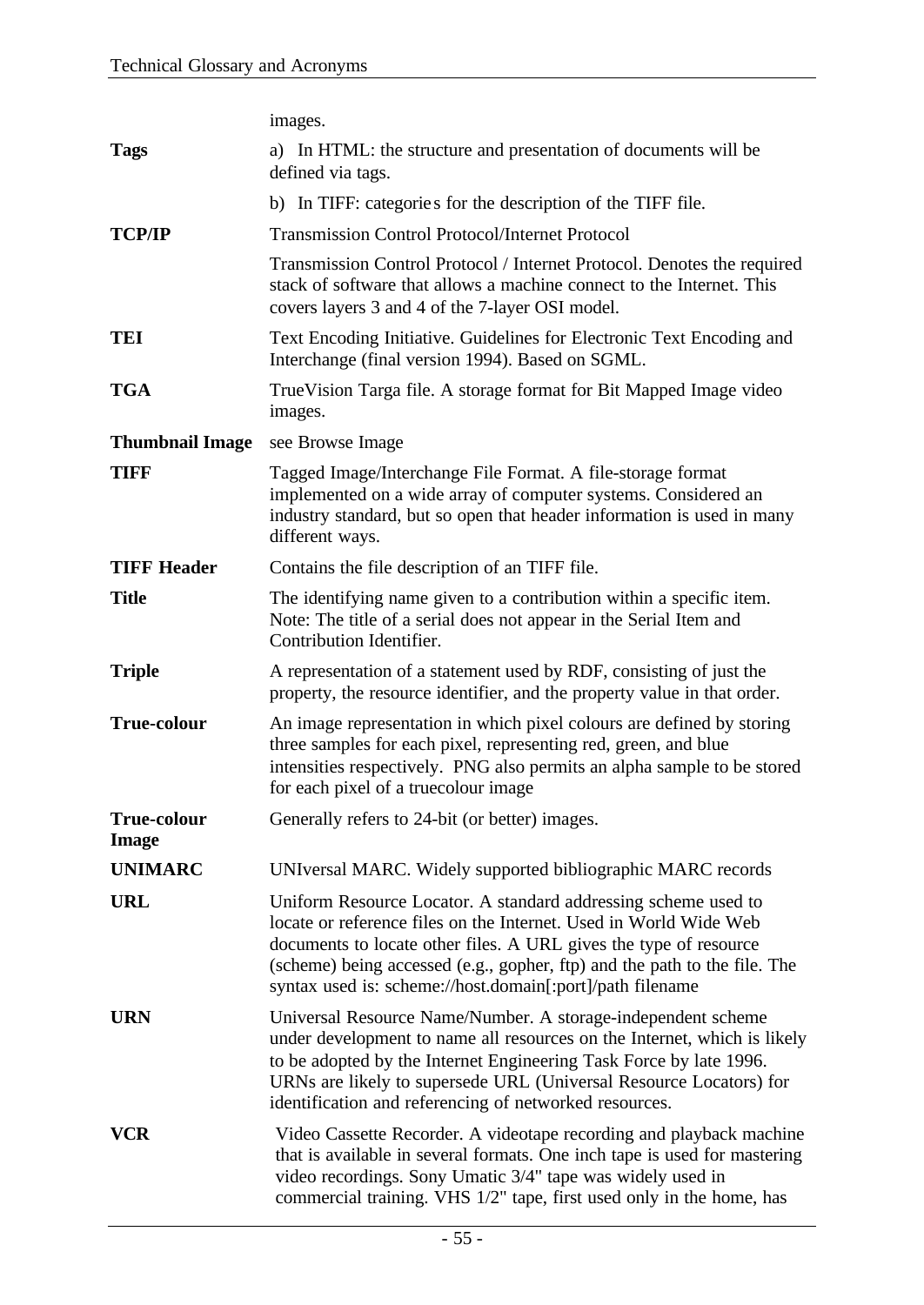|                                    | images.                                                                                                                                                                                                                                                                                                                                            |
|------------------------------------|----------------------------------------------------------------------------------------------------------------------------------------------------------------------------------------------------------------------------------------------------------------------------------------------------------------------------------------------------|
| <b>Tags</b>                        | a) In HTML: the structure and presentation of documents will be<br>defined via tags.                                                                                                                                                                                                                                                               |
|                                    | b) In TIFF: categories for the description of the TIFF file.                                                                                                                                                                                                                                                                                       |
| <b>TCP/IP</b>                      | <b>Transmission Control Protocol/Internet Protocol</b>                                                                                                                                                                                                                                                                                             |
|                                    | Transmission Control Protocol / Internet Protocol. Denotes the required<br>stack of software that allows a machine connect to the Internet. This<br>covers layers 3 and 4 of the 7-layer OSI model.                                                                                                                                                |
| <b>TEI</b>                         | Text Encoding Initiative. Guidelines for Electronic Text Encoding and<br>Interchange (final version 1994). Based on SGML.                                                                                                                                                                                                                          |
| <b>TGA</b>                         | True Vision Targa file. A storage format for Bit Mapped Image video<br>images.                                                                                                                                                                                                                                                                     |
| <b>Thumbnail Image</b>             | see Browse Image                                                                                                                                                                                                                                                                                                                                   |
| <b>TIFF</b>                        | Tagged Image/Interchange File Format. A file-storage format<br>implemented on a wide array of computer systems. Considered an<br>industry standard, but so open that header information is used in many<br>different ways.                                                                                                                         |
| <b>TIFF Header</b>                 | Contains the file description of an TIFF file.                                                                                                                                                                                                                                                                                                     |
| <b>Title</b>                       | The identifying name given to a contribution within a specific item.<br>Note: The title of a serial does not appear in the Serial Item and<br>Contribution Identifier.                                                                                                                                                                             |
| <b>Triple</b>                      | A representation of a statement used by RDF, consisting of just the<br>property, the resource identifier, and the property value in that order.                                                                                                                                                                                                    |
| <b>True-colour</b>                 | An image representation in which pixel colours are defined by storing<br>three samples for each pixel, representing red, green, and blue<br>intensities respectively. PNG also permits an alpha sample to be stored<br>for each pixel of a truecolour image                                                                                        |
| <b>True-colour</b><br><b>Image</b> | Generally refers to 24-bit (or better) images.                                                                                                                                                                                                                                                                                                     |
| <b>UNIMARC</b>                     | UNIversal MARC. Widely supported bibliographic MARC records                                                                                                                                                                                                                                                                                        |
| <b>URL</b>                         | Uniform Resource Locator. A standard addressing scheme used to<br>locate or reference files on the Internet. Used in World Wide Web<br>documents to locate other files. A URL gives the type of resource<br>(scheme) being accessed (e.g., gopher, ftp) and the path to the file. The<br>syntax used is: scheme://host.domain[:port]/path filename |
| <b>URN</b>                         | Universal Resource Name/Number. A storage-independent scheme<br>under development to name all resources on the Internet, which is likely<br>to be adopted by the Internet Engineering Task Force by late 1996.<br>URNs are likely to supersede URL (Universal Resource Locators) for<br>identification and referencing of networked resources.     |
| VCR                                | Video Cassette Recorder. A videotape recording and playback machine<br>that is available in several formats. One inch tape is used for mastering<br>video recordings. Sony Umatic 3/4" tape was widely used in<br>commercial training. VHS 1/2" tape, first used only in the home, has                                                             |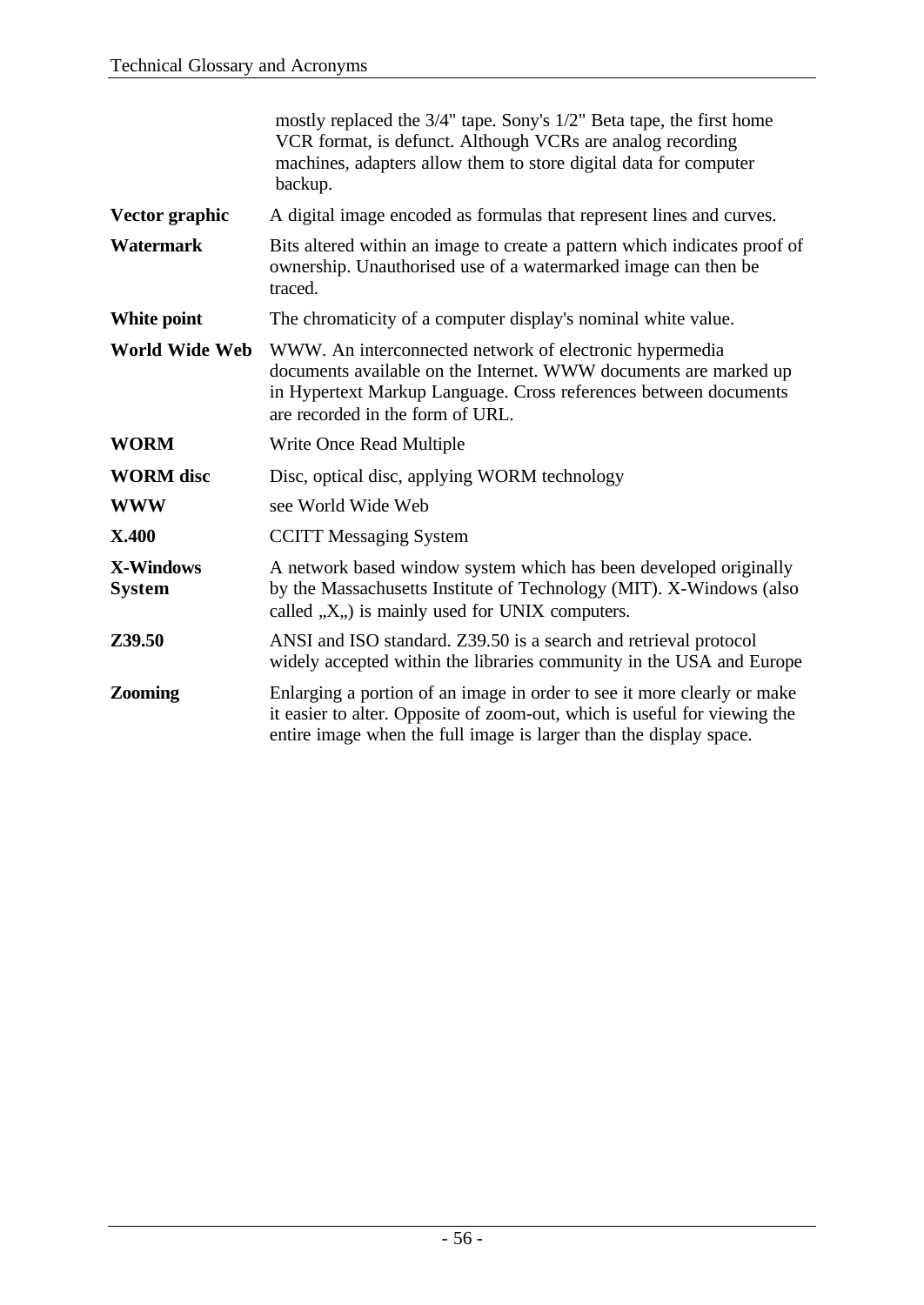|                                   | mostly replaced the 3/4" tape. Sony's 1/2" Beta tape, the first home<br>VCR format, is defunct. Although VCRs are analog recording<br>machines, adapters allow them to store digital data for computer<br>backup.                   |
|-----------------------------------|-------------------------------------------------------------------------------------------------------------------------------------------------------------------------------------------------------------------------------------|
| Vector graphic                    | A digital image encoded as formulas that represent lines and curves.                                                                                                                                                                |
| <b>Watermark</b>                  | Bits altered within an image to create a pattern which indicates proof of<br>ownership. Unauthorised use of a watermarked image can then be<br>traced.                                                                              |
| White point                       | The chromaticity of a computer display's nominal white value.                                                                                                                                                                       |
| <b>World Wide Web</b>             | WWW. An interconnected network of electronic hypermedia<br>documents available on the Internet. WWW documents are marked up<br>in Hypertext Markup Language. Cross references between documents<br>are recorded in the form of URL. |
| <b>WORM</b>                       | Write Once Read Multiple                                                                                                                                                                                                            |
| <b>WORM</b> disc                  | Disc, optical disc, applying WORM technology                                                                                                                                                                                        |
| <b>WWW</b>                        | see World Wide Web                                                                                                                                                                                                                  |
| <b>X.400</b>                      | <b>CCITT Messaging System</b>                                                                                                                                                                                                       |
| <b>X-Windows</b><br><b>System</b> | A network based window system which has been developed originally<br>by the Massachusetts Institute of Technology (MIT). X-Windows (also<br>called $X, Y$ is mainly used for UNIX computers.                                        |
| Z39.50                            | ANSI and ISO standard. Z39.50 is a search and retrieval protocol<br>widely accepted within the libraries community in the USA and Europe                                                                                            |
| Zooming                           | Enlarging a portion of an image in order to see it more clearly or make<br>it easier to alter. Opposite of zoom-out, which is useful for viewing the<br>entire image when the full image is larger than the display space.          |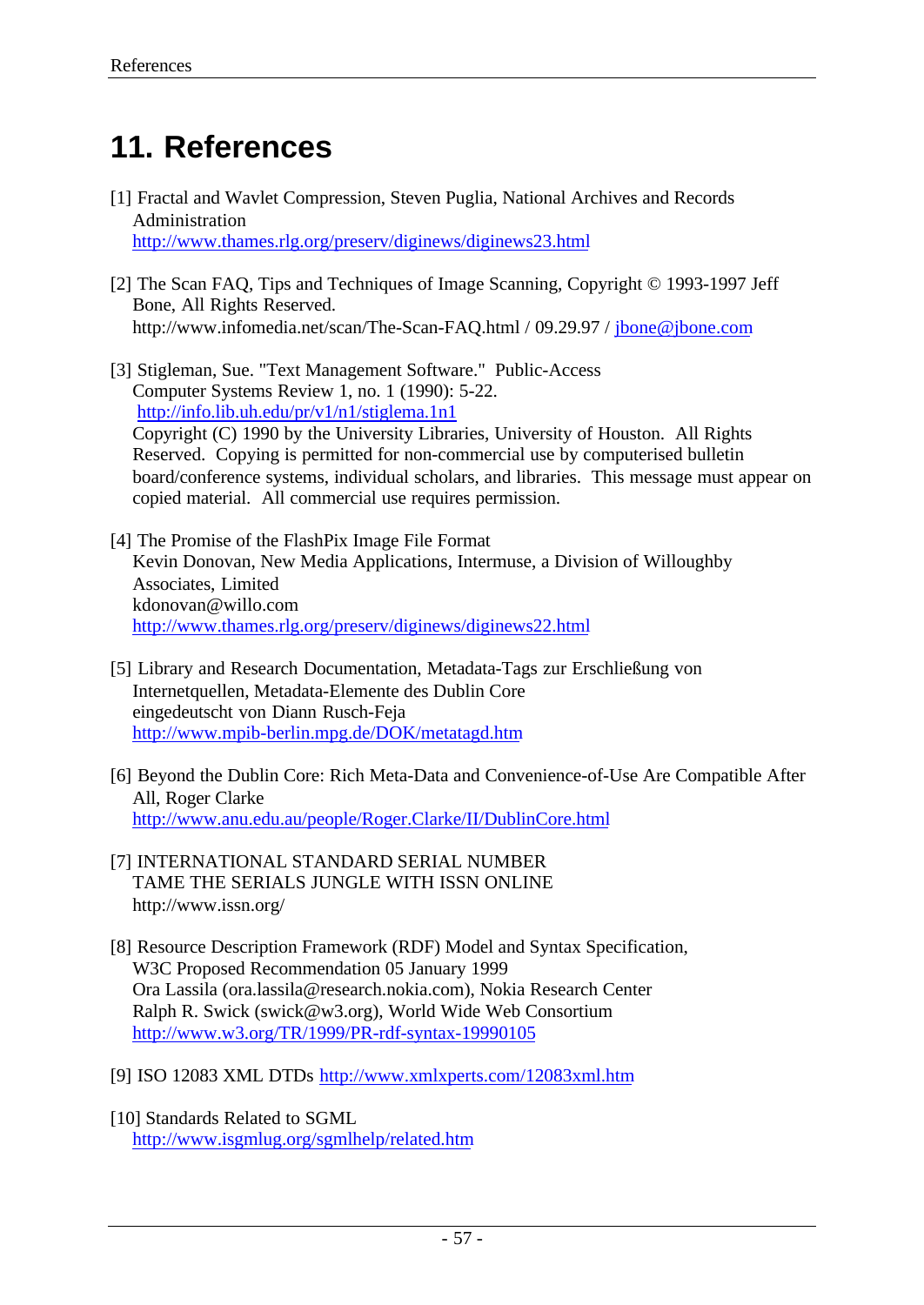# **11. References**

- [1] Fractal and Wavlet Compression, Steven Puglia, National Archives and Records Administration http://www.thames.rlg.org/preserv/diginews/diginews23.html
- [2] The Scan FAQ, Tips and Techniques of Image Scanning, Copyright © 1993-1997 Jeff Bone, All Rights Reserved. http://www.infomedia.net/scan/The-Scan-FAQ.html / 09.29.97 / jbone@jbone.com
- [3] Stigleman, Sue. "Text Management Software." Public-Access Computer Systems Review 1, no. 1 (1990): 5-22. http://info.lib.uh.edu/pr/v1/n1/stiglema.1n1 Copyright (C) 1990 by the University Libraries, University of Houston. All Rights Reserved. Copying is permitted for non-commercial use by computerised bulletin board/conference systems, individual scholars, and libraries. This message must appear on copied material. All commercial use requires permission.
- [4] The Promise of the FlashPix Image File Format Kevin Donovan, New Media Applications, Intermuse, a Division of Willoughby Associates, Limited kdonovan@willo.com http://www.thames.rlg.org/preserv/diginews/diginews22.html
- [5] Library and Research Documentation, Metadata-Tags zur Erschließung von Internetquellen, Metadata-Elemente des Dublin Core eingedeutscht von Diann Rusch-Feja http://www.mpib-berlin.mpg.de/DOK/metatagd.htm
- [6] Beyond the Dublin Core: Rich Meta-Data and Convenience-of-Use Are Compatible After All, Roger Clarke http://www.anu.edu.au/people/Roger.Clarke/II/DublinCore.html
- [7] INTERNATIONAL STANDARD SERIAL NUMBER TAME THE SERIALS JUNGLE WITH ISSN ONLINE http://www.issn.org/
- [8] Resource Description Framework (RDF) Model and Syntax Specification, W3C Proposed Recommendation 05 January 1999 Ora Lassila (ora.lassila@research.nokia.com), Nokia Research Center Ralph R. Swick (swick@w3.org), World Wide Web Consortium http://www.w3.org/TR/1999/PR-rdf-syntax-19990105
- [9] ISO 12083 XML DTDs http://www.xmlxperts.com/12083xml.htm
- [10] Standards Related to SGML http://www.isgmlug.org/sgmlhelp/related.htm